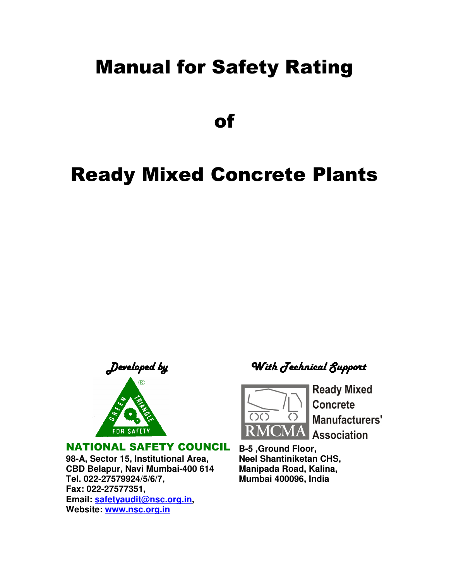# Manual for Safety Rating

of

# Ready Mixed Concrete Plants



#### NATIONAL SAFETY COUNCIL

**98-A, Sector 15, Institutional Area, CBD Belapur, Navi Mumbai-400 614 Tel. 022-27579924/5/6/7, Fax: 022-27577351, Email: safetyaudit@nsc.org.in, Website: www.nsc.org.in**

Developed byWith Technical Support



**Ready Mixed Concrete** Manufacturers' **Association** 

**B-5 ,Ground Floor, Neel Shantiniketan CHS, Manipada Road, Kalina, Mumbai 400096, India**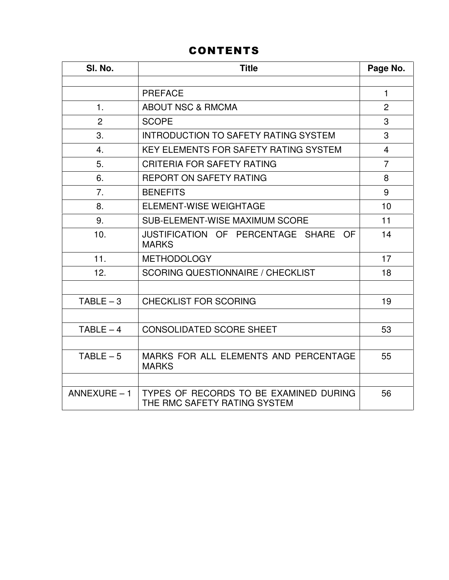# CONTENTS

| SI. No.        | <b>Title</b>                                                           |                |  |  |
|----------------|------------------------------------------------------------------------|----------------|--|--|
|                |                                                                        |                |  |  |
|                | <b>PREFACE</b>                                                         | $\mathbf{1}$   |  |  |
| 1.             | <b>ABOUT NSC &amp; RMCMA</b>                                           | $\overline{2}$ |  |  |
| $\overline{2}$ | <b>SCOPE</b>                                                           | 3              |  |  |
| 3.             | INTRODUCTION TO SAFETY RATING SYSTEM                                   | 3              |  |  |
| 4.             | <b>KEY ELEMENTS FOR SAFETY RATING SYSTEM</b>                           | $\overline{4}$ |  |  |
| 5.             | <b>CRITERIA FOR SAFETY RATING</b>                                      | $\overline{7}$ |  |  |
| 6.             | <b>REPORT ON SAFETY RATING</b>                                         | 8              |  |  |
| 7.             | <b>BENEFITS</b>                                                        | 9              |  |  |
| 8.             | <b>ELEMENT-WISE WEIGHTAGE</b>                                          | 10             |  |  |
| 9.             | SUB-ELEMENT-WISE MAXIMUM SCORE                                         | 11             |  |  |
| 10.            | JUSTIFICATION OF PERCENTAGE SHARE<br>OF.<br><b>MARKS</b>               | 14             |  |  |
| 11.            | <b>METHODOLOGY</b>                                                     | 17             |  |  |
| 12.            | <b>SCORING QUESTIONNAIRE / CHECKLIST</b>                               | 18             |  |  |
|                |                                                                        |                |  |  |
| $TABLE - 3$    | <b>CHECKLIST FOR SCORING</b>                                           | 19             |  |  |
|                |                                                                        |                |  |  |
| $TABLE - 4$    | <b>CONSOLIDATED SCORE SHEET</b>                                        | 53             |  |  |
|                |                                                                        |                |  |  |
| $TABLE - 5$    | MARKS FOR ALL ELEMENTS AND PERCENTAGE<br><b>MARKS</b>                  | 55             |  |  |
|                |                                                                        |                |  |  |
| $ANNEXURE - 1$ | TYPES OF RECORDS TO BE EXAMINED DURING<br>THE RMC SAFETY RATING SYSTEM | 56             |  |  |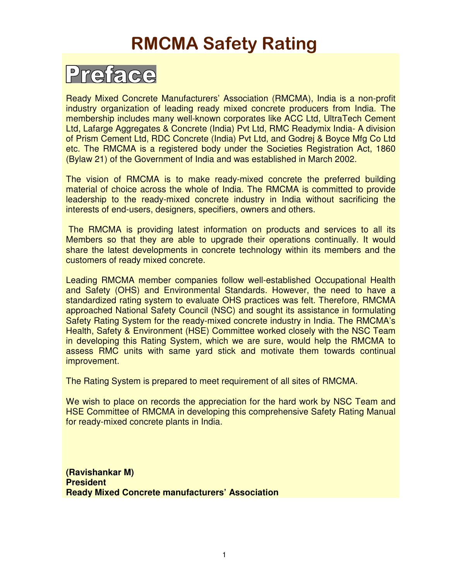# RMCMA Safety Rating

# Preface

Ready Mixed Concrete Manufacturers' Association (RMCMA), India is a non-profit industry organization of leading ready mixed concrete producers from India. The membership includes many well-known corporates like ACC Ltd, UltraTech Cement Ltd, Lafarge Aggregates & Concrete (India) Pvt Ltd, RMC Readymix India- A division of Prism Cement Ltd, RDC Concrete (India) Pvt Ltd, and Godrej & Boyce Mfg Co Ltd etc. The RMCMA is a registered body under the Societies Registration Act, 1860 (Bylaw 21) of the Government of India and was established in March 2002.

The vision of RMCMA is to make ready-mixed concrete the preferred building material of choice across the whole of India. The RMCMA is committed to provide leadership to the ready-mixed concrete industry in India without sacrificing the interests of end-users, designers, specifiers, owners and others.

 The RMCMA is providing latest information on products and services to all its Members so that they are able to upgrade their operations continually. It would share the latest developments in concrete technology within its members and the customers of ready mixed concrete.

Leading RMCMA member companies follow well-established Occupational Health and Safety (OHS) and Environmental Standards. However, the need to have a standardized rating system to evaluate OHS practices was felt. Therefore, RMCMA approached National Safety Council (NSC) and sought its assistance in formulating Safety Rating System for the ready-mixed concrete industry in India. The RMCMA's Health, Safety & Environment (HSE) Committee worked closely with the NSC Team in developing this Rating System, which we are sure, would help the RMCMA to assess RMC units with same yard stick and motivate them towards continual improvement.

The Rating System is prepared to meet requirement of all sites of RMCMA.

We wish to place on records the appreciation for the hard work by NSC Team and HSE Committee of RMCMA in developing this comprehensive Safety Rating Manual for ready-mixed concrete plants in India.

**(Ravishankar M) President Ready Mixed Concrete manufacturers' Association**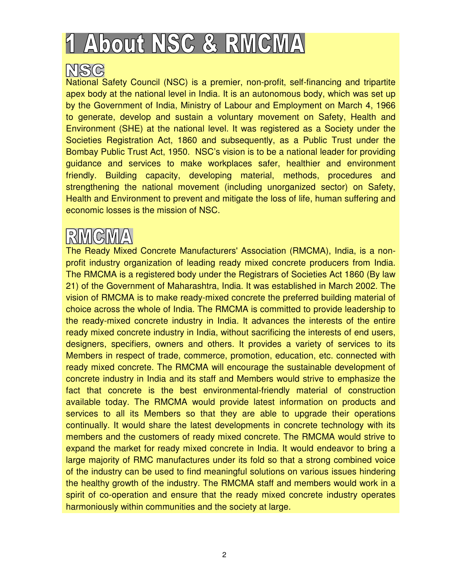# 1 About NSC & RMCMA

# MSG

National Safety Council (NSC) is a premier, non-profit, self-financing and tripartite apex body at the national level in India. It is an autonomous body, which was set up by the Government of India, Ministry of Labour and Employment on March 4, 1966 to generate, develop and sustain a voluntary movement on Safety, Health and Environment (SHE) at the national level. It was registered as a Society under the Societies Registration Act, 1860 and subsequently, as a Public Trust under the Bombay Public Trust Act, 1950. NSC's vision is to be a national leader for providing guidance and services to make workplaces safer, healthier and environment friendly. Building capacity, developing material, methods, procedures and strengthening the national movement (including unorganized sector) on Safety, Health and Environment to prevent and mitigate the loss of life, human suffering and economic losses is the mission of NSC.

The Ready Mixed Concrete Manufacturers' Association (RMCMA), India, is a nonprofit industry organization of leading ready mixed concrete producers from India. The RMCMA is a registered body under the Registrars of Societies Act 1860 (By law 21) of the Government of Maharashtra, India. It was established in March 2002. The vision of RMCMA is to make ready-mixed concrete the preferred building material of choice across the whole of India. The RMCMA is committed to provide leadership to the ready-mixed concrete industry in India. It advances the interests of the entire ready mixed concrete industry in India, without sacrificing the interests of end users, designers, specifiers, owners and others. It provides a variety of services to its Members in respect of trade, commerce, promotion, education, etc. connected with ready mixed concrete. The RMCMA will encourage the sustainable development of concrete industry in India and its staff and Members would strive to emphasize the fact that concrete is the best environmental-friendly material of construction available today. The RMCMA would provide latest information on products and services to all its Members so that they are able to upgrade their operations continually. It would share the latest developments in concrete technology with its members and the customers of ready mixed concrete. The RMCMA would strive to expand the market for ready mixed concrete in India. It would endeavor to bring a large majority of RMC manufactures under its fold so that a strong combined voice of the industry can be used to find meaningful solutions on various issues hindering the healthy growth of the industry. The RMCMA staff and members would work in a spirit of co-operation and ensure that the ready mixed concrete industry operates harmoniously within communities and the society at large.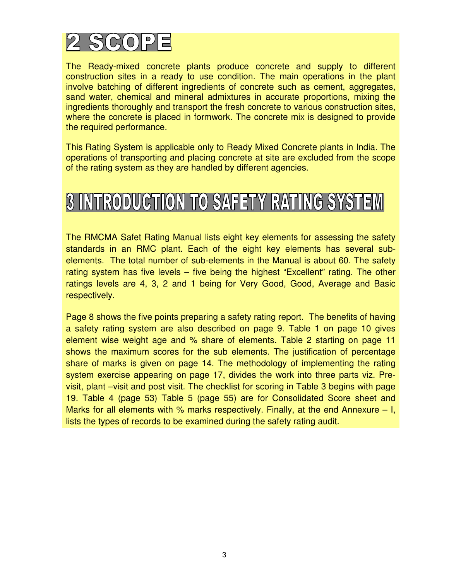

The Ready-mixed concrete plants produce concrete and supply to different construction sites in a ready to use condition. The main operations in the plant involve batching of different ingredients of concrete such as cement, aggregates, sand water, chemical and mineral admixtures in accurate proportions, mixing the ingredients thoroughly and transport the fresh concrete to various construction sites, where the concrete is placed in formwork. The concrete mix is designed to provide the required performance.

This Rating System is applicable only to Ready Mixed Concrete plants in India. The operations of transporting and placing concrete at site are excluded from the scope of the rating system as they are handled by different agencies.

# **3 INTRODUCTION TO SAFETY RATING SYSTEM**

The RMCMA Safet Rating Manual lists eight key elements for assessing the safety standards in an RMC plant. Each of the eight key elements has several subelements. The total number of sub-elements in the Manual is about 60. The safety rating system has five levels – five being the highest "Excellent" rating. The other ratings levels are 4, 3, 2 and 1 being for Very Good, Good, Average and Basic respectively.

Page 8 shows the five points preparing a safety rating report. The benefits of having a safety rating system are also described on page 9. Table 1 on page 10 gives element wise weight age and % share of elements. Table 2 starting on page 11 shows the maximum scores for the sub elements. The justification of percentage share of marks is given on page 14. The methodology of implementing the rating system exercise appearing on page 17, divides the work into three parts viz. Previsit, plant –visit and post visit. The checklist for scoring in Table 3 begins with page 19. Table 4 (page 53) Table 5 (page 55) are for Consolidated Score sheet and Marks for all elements with % marks respectively. Finally, at the end Annexure  $-1$ , lists the types of records to be examined during the safety rating audit.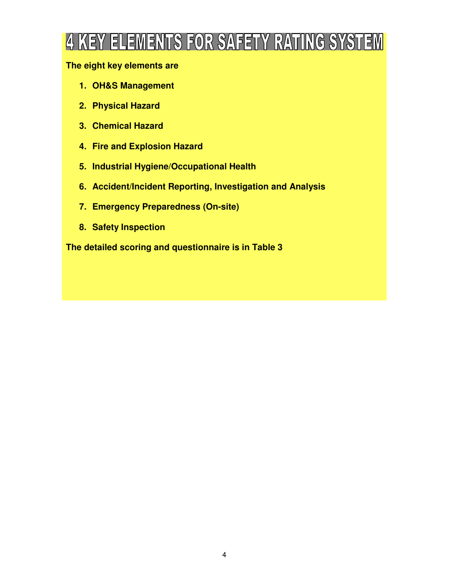# 4 KEY ELEMENTS FOR SAFETY RATING SYSTEM

### **The eight key elements are**

- **1. OH&S Management**
- **2. Physical Hazard**
- **3. Chemical Hazard**
- **4. Fire and Explosion Hazard**
- **5. Industrial Hygiene/Occupational Health**
- **6. Accident/Incident Reporting, Investigation and Analysis**
- **7. Emergency Preparedness (On-site)**
- **8. Safety Inspection**

**The detailed scoring and questionnaire is in Table 3**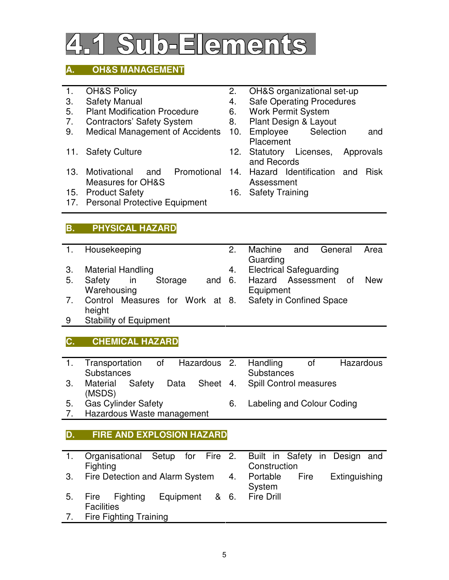# Sub-Elements

# **A. OH&S MANAGEMENT**

- 
- 
- 5. Plant Modification Procedure 6. Work Permit System<br>7. Contractors' Safety System 8. Plant Design & Layout
- 
- 7. Contractors' Safety System 8. Plant Design 8. Plant Design 8. Plant Design 8. Contractors' Safety Broaders.
- 
- 13. Motivational and Promotional Measures for OH&S
- 
- 17. Personal Protective Equipment

# **B. PHYSICAL HAZARD**

- 1. Housekeeping 2. Machine and General Area
- 3. Material Handling **4. Electrical Safeguarding**
- 5. Safety in Storage and Warehousing
- **Equipment** 7. Control Measures for Work at height Safety in Confined Space
- 9 Stability of Equipment

### **C. CHEMICAL HAZARD**

- 1. Transportation of Hazardous **Substances** Handling of Hazardous **Substances** 3. Material Safety Data Sheet Spill Control measures
- (MSDS)<br>Gas Cylinder Safety 5. Gas Cylinder Safety 6. Labeling and Colour Coding
- 7. Hazardous Waste management

#### **D. FIRE AND EXPLOSION HAZARD**

| 1. | Organisational Setup for Fire 2. Built in Safety in Design and |                           |  |              |             |               |  |
|----|----------------------------------------------------------------|---------------------------|--|--------------|-------------|---------------|--|
|    | <b>Fighting</b>                                                |                           |  | Construction |             |               |  |
|    | 3. Fire Detection and Alarm System 4.                          |                           |  | Portable     | <b>Fire</b> | Extinguishing |  |
|    |                                                                |                           |  | System       |             |               |  |
| 5. | Fire Fighting                                                  | Equipment & 6. Fire Drill |  |              |             |               |  |
|    | <b>Facilities</b>                                              |                           |  |              |             |               |  |
|    | 7. Fire Fighting Training                                      |                           |  |              |             |               |  |

- 1. OH&S Policy 2. OH&S organizational set-up
- 3. Safety Manual 2008 and 4. Safe Operating Procedures
	-
	-
- 9. Medical Management of Accidents 10. Employee Selection and Placement
- 11. Safety Culture **12. Statutory Licenses**, Approvals and Records
	- 14. Hazard Identification and Risk Assessment

6. Hazard Assessment of New

15. Product Safety 16. Safety Training

Guarding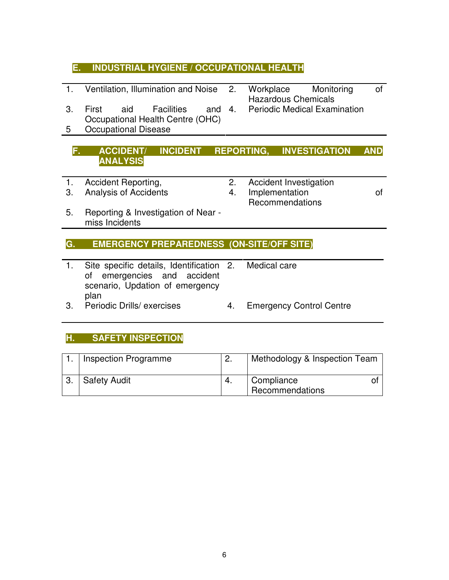### **E. INDUSTRIAL HYGIENE / OCCUPATIONAL HEALTH**

- 1. Ventilation, Illumination and Noise 2. Workplace Monitoring of
- 3. First aid Facilities and Occupational Health Centre (OHC)
- 5 Occupational Disease

### **F. ACCIDENT/ INCIDENT REPORTING, INVESTIGATION AND ANALYSIS**

- 
- 
- 1. Accident Reporting, 2. Accident Investigation
- 3. Analysis of Accidents 4. Implementation of Recommendations
- 5. Reporting & Investigation of Near miss Incidents

#### **G. EMERGENCY PREPAREDNESS (ON-SITE/OFF SITE)**

- 1. Site specific details, Identification of emergencies and accident scenario, Updation of emergency plan
	- Medical care
- 3. Periodic Drills/ exercises 4. Emergency Control Centre

### **H. SAFETY INSPECTION**

| Inspection Programme | Methodology & Inspection Team |
|----------------------|-------------------------------|
| <b>Safety Audit</b>  | Compliance<br>Recommendations |

- Hazardous Chemicals
- Periodic Medical Examination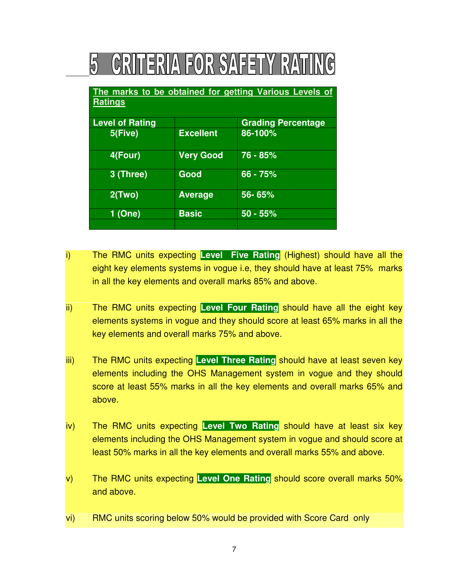# **CRITERIA FOR SAFETY RATING** 5

 $\overline{\phantom{a}}$ 

| The marks to be obtained for getting Various Levels of<br><b>Ratings</b> |                  |                           |  |  |  |  |
|--------------------------------------------------------------------------|------------------|---------------------------|--|--|--|--|
| <b>Level of Rating</b>                                                   |                  | <b>Grading Percentage</b> |  |  |  |  |
| 5(Five)                                                                  | <b>Excellent</b> | 86-100%                   |  |  |  |  |
| 4(Four)                                                                  | <b>Very Good</b> | 76 - 85%                  |  |  |  |  |
| 3 (Three)                                                                | Good             | 66 - 75%                  |  |  |  |  |
| 2(Two)                                                                   | <b>Average</b>   | 56-65%                    |  |  |  |  |
| 1(One)                                                                   | <b>Basic</b>     | $50 - 55%$                |  |  |  |  |

- i) The RMC units expecting **Level Five Rating** (Highest) should have all the eight key elements systems in vogue i.e, they should have at least 75% marks in all the key elements and overall marks 85% and above.
- ii) The RMC units expecting **Level Four Rating** should have all the eight key elements systems in vogue and they should score at least 65% marks in all the key elements and overall marks 75% and above.
- iii) The RMC units expecting **Level Three Rating** should have at least seven key elements including the OHS Management system in vogue and they should score at least 55% marks in all the key elements and overall marks 65% and above.
- iv) The RMC units expecting **Level Two Rating** should have at least six key elements including the OHS Management system in vogue and should score at least 50% marks in all the key elements and overall marks 55% and above.
- v) The RMC units expecting **Level One Rating** should score overall marks 50% and above.
- vi) RMC units scoring below 50% would be provided with Score Card only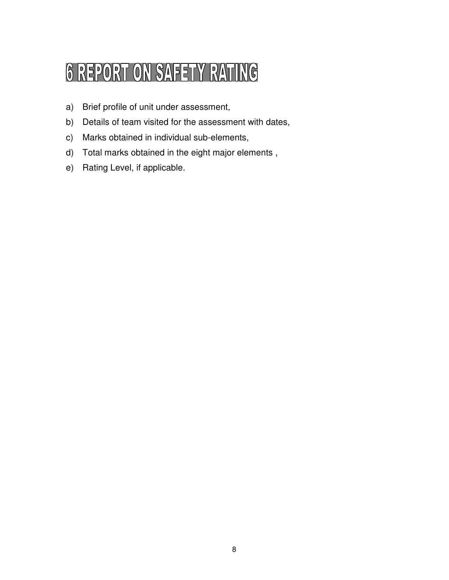# **6 REPORT ON SAFETY RATING**

- a) Brief profile of unit under assessment,
- b) Details of team visited for the assessment with dates,
- c) Marks obtained in individual sub-elements,
- d) Total marks obtained in the eight major elements ,
- e) Rating Level, if applicable.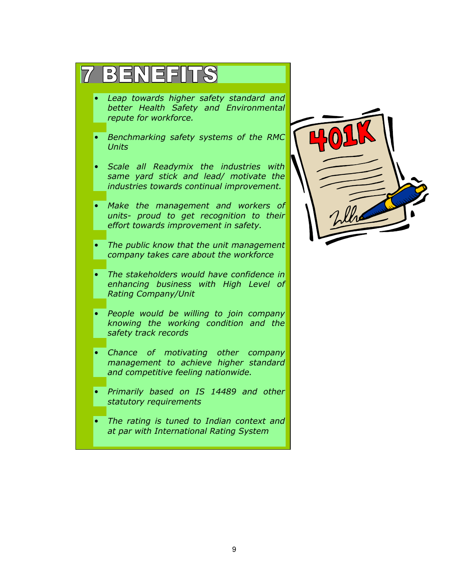|           | 3 3 2 1 3 3 6                                                                                                                 |  |
|-----------|-------------------------------------------------------------------------------------------------------------------------------|--|
|           | Leap towards higher safety standard and<br>better Health Safety and Environmental<br>repute for workforce.                    |  |
|           | Benchmarking safety systems of the RMC<br><b>Units</b>                                                                        |  |
|           | Scale all Readymix the industries with<br>same yard stick and lead/ motivate the<br>industries towards continual improvement. |  |
| $\bullet$ | Make the management and workers of<br>units- proud to get recognition to their<br>effort towards improvement in safety.       |  |
|           | The public know that the unit management<br>company takes care about the workforce                                            |  |
|           | The stakeholders would have confidence in<br>enhancing business with High Level of<br><b>Rating Company/Unit</b>              |  |
|           | People would be willing to join company<br>knowing the working condition and the<br>safety track records                      |  |
|           | Chance of motivating other company<br>management to achieve higher standard<br>and competitive feeling nationwide.            |  |
|           | Primarily based on IS 14489 and other<br>statutory requirements                                                               |  |
|           | The rating is tuned to Indian context and<br>at par with International Rating System                                          |  |

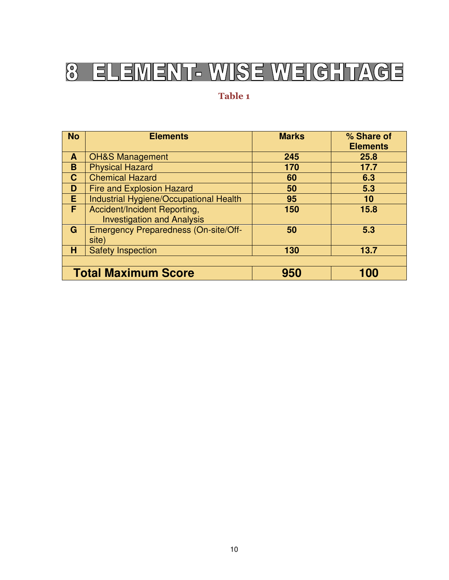## ELEMENT- WISE WEIGHTAGE 8

### Table 1

| <b>No</b>                                | <b>Elements</b>                             | <b>Marks</b> | % Share of<br><b>Elements</b> |  |  |
|------------------------------------------|---------------------------------------------|--------------|-------------------------------|--|--|
| A                                        | <b>OH&amp;S Management</b>                  | 245          | 25.8                          |  |  |
| B                                        | <b>Physical Hazard</b>                      | 170          | 17.7                          |  |  |
| $\mathbf{C}$                             | <b>Chemical Hazard</b>                      | 60           | 6.3                           |  |  |
| D                                        | <b>Fire and Explosion Hazard</b>            | 50           | 5.3                           |  |  |
| E.                                       | Industrial Hygiene/Occupational Health      | 95           | 10                            |  |  |
| F                                        | Accident/Incident Reporting,                | 150          | 15.8                          |  |  |
|                                          | <b>Investigation and Analysis</b>           |              |                               |  |  |
| G                                        | <b>Emergency Preparedness (On-site/Off-</b> | 50           | 5.3                           |  |  |
|                                          | site)                                       |              |                               |  |  |
| н                                        | <b>Safety Inspection</b>                    | 130          | 13.7                          |  |  |
|                                          |                                             |              |                               |  |  |
| <b>Total Maximum Score</b><br>100<br>950 |                                             |              |                               |  |  |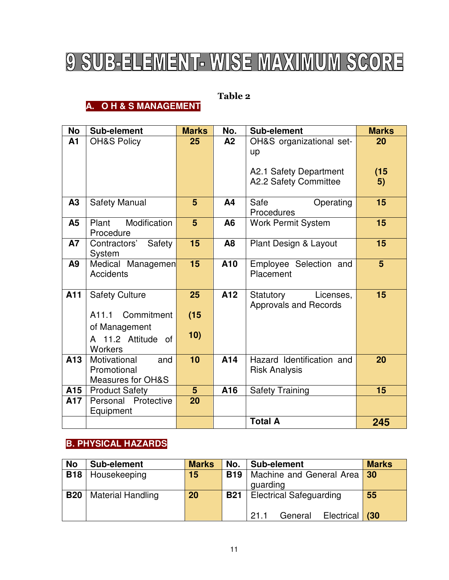# 9 SUB-ELEMENT- WISE MAXIMUM SCORE

### Table 2

# **A. O H & S MANAGEMENT**

| No             | Sub-element                      | <b>Marks</b>   | No.            | Sub-element                  | <b>Marks</b>   |
|----------------|----------------------------------|----------------|----------------|------------------------------|----------------|
| A <sub>1</sub> | <b>OH&amp;S Policy</b>           | 25             | A2             | OH&S organizational set-     | 20             |
|                |                                  |                |                | up                           |                |
|                |                                  |                |                | A2.1 Safety Department       | (15)           |
|                |                                  |                |                | A2.2 Safety Committee        | 5)             |
|                |                                  |                |                |                              |                |
| A3             | <b>Safety Manual</b>             | 5              | A <sub>4</sub> | Safe<br>Operating            | 15             |
|                |                                  |                |                | Procedures                   |                |
| A5             | Modification<br>Plant            | 5              | A6             | <b>Work Permit System</b>    | 15             |
|                | Procedure                        |                |                |                              |                |
| <b>A7</b>      | Safety<br>Contractors'<br>System | 15             | A <sub>8</sub> | Plant Design & Layout        | 15             |
| A9             | Medical Managemen                | 15             | A10            | Employee Selection and       | 5 <sup>5</sup> |
|                | <b>Accidents</b>                 |                |                | Placement                    |                |
|                |                                  |                |                |                              |                |
| A11            | <b>Safety Culture</b>            | 25             | A12            | Licenses,<br>Statutory       | 15             |
|                | A11.1 Commitment                 | (15)           |                | <b>Approvals and Records</b> |                |
|                |                                  |                |                |                              |                |
|                | of Management                    | 10)            |                |                              |                |
|                | A 11.2 Attitude of<br>Workers    |                |                |                              |                |
| A13            | Motivational<br>and              | 10             | A14            | Hazard Identification and    | 20             |
|                | Promotional                      |                |                | <b>Risk Analysis</b>         |                |
|                | <b>Measures for OH&amp;S</b>     |                |                |                              |                |
| A15            | <b>Product Safety</b>            | 5 <sup>5</sup> | A16            | <b>Safety Training</b>       | 15             |
| A17            | Personal Protective              | 20             |                |                              |                |
|                | Equipment                        |                |                |                              |                |
|                |                                  |                |                | <b>Total A</b>               | 245            |

# **B. PHYSICAL HAZARDS**

| No         | Sub-element              | <b>Marks</b> | No.        | Sub-element                             | <b>Marks</b> |
|------------|--------------------------|--------------|------------|-----------------------------------------|--------------|
| <b>B18</b> | Housekeeping             | 15           | <b>B19</b> | Machine and General Area 30<br>quarding |              |
| <b>B20</b> | <b>Material Handling</b> | 20           | <b>B21</b> | <b>Electrical Safeguarding</b>          | 55           |
|            |                          |              |            | 21.1<br>Electrical<br>General           | (30)         |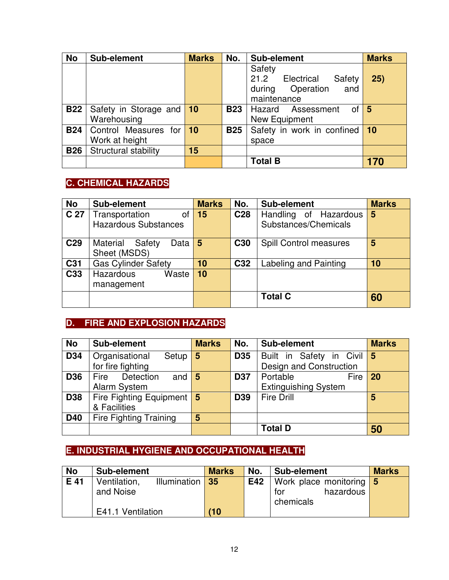| <b>No</b>  | Sub-element                             | <b>Marks</b> | No.        | Sub-element                                                                      | <b>Marks</b> |
|------------|-----------------------------------------|--------------|------------|----------------------------------------------------------------------------------|--------------|
|            |                                         |              |            | Safety<br>21.2<br>Electrical<br>Safety<br>during Operation<br>and<br>maintenance | 25)          |
| <b>B22</b> | Safety in Storage and 10<br>Warehousing |              | <b>B23</b> | of $\vert 5 \vert$<br>Hazard Assessment<br>New Equipment                         |              |
| <b>B24</b> | Control Measures for<br>Work at height  | $\vert$ 10   | <b>B25</b> | Safety in work in confined 10<br>space                                           |              |
| <b>B26</b> | Structural stability                    | 15           |            |                                                                                  |              |
|            |                                         |              |            | <b>Total B</b>                                                                   | 170          |

# **C. CHEMICAL HAZARDS**

| <b>No</b>       | Sub-element                                         | <b>Marks</b>   | No.             | Sub-element                                   | <b>Marks</b> |
|-----------------|-----------------------------------------------------|----------------|-----------------|-----------------------------------------------|--------------|
| C 27            | Transportation<br>0f<br><b>Hazardous Substances</b> | 15             | C <sub>28</sub> | Handling of Hazardous<br>Substances/Chemicals | 5            |
| C <sub>29</sub> | Material<br>Safety<br>Data<br>Sheet (MSDS)          | $5\phantom{1}$ | C <sub>30</sub> | <b>Spill Control measures</b>                 | 5            |
| C <sub>31</sub> | <b>Gas Cylinder Safety</b>                          | 10             | C <sub>32</sub> | Labeling and Painting                         | 10           |
| C33             | Waste<br><b>Hazardous</b><br>management             | 10             |                 |                                               |              |
|                 |                                                     |                |                 | <b>Total C</b>                                | 60           |

# **D. FIRE AND EXPLOSION HAZARDS**

| <b>No</b>  | Sub-element                             | <b>Marks</b> | No.             | Sub-element                 | <b>Marks</b> |
|------------|-----------------------------------------|--------------|-----------------|-----------------------------|--------------|
| D34        | Organisational<br>Setup                 | 5            | <b>D35</b>      | Built in Safety in Civil 5  |              |
|            | for fire fighting                       |              |                 | Design and Construction     |              |
| <b>D36</b> | Detection<br><b>Fire</b><br>and         | <b>5</b>     | <b>D37</b>      | Portable<br><b>Fire</b>     | 20           |
|            | Alarm System                            |              |                 | <b>Extinguishing System</b> |              |
| <b>D38</b> | Fire Fighting Equipment $\vert 5 \vert$ |              | D <sub>39</sub> | <b>Fire Drill</b>           | 5            |
|            | & Facilities                            |              |                 |                             |              |
| <b>D40</b> | <b>Fire Fighting Training</b>           | 5            |                 |                             |              |
|            |                                         |              |                 | <b>Total D</b>              | 50           |

# **E. INDUSTRIAL HYGIENE AND OCCUPATIONAL HEALTH**

| <b>No</b> | Sub-element                  | <b>Marks</b> | No. | Sub-element             | <b>Marks</b> |
|-----------|------------------------------|--------------|-----|-------------------------|--------------|
| E 41      | Illumination<br>Ventilation, | 35           | E42 | Work place monitoring 5 |              |
|           | and Noise                    |              |     | hazardous<br>tor        |              |
|           |                              |              |     | chemicals               |              |
|           | E41.1 Ventilation            | (10)         |     |                         |              |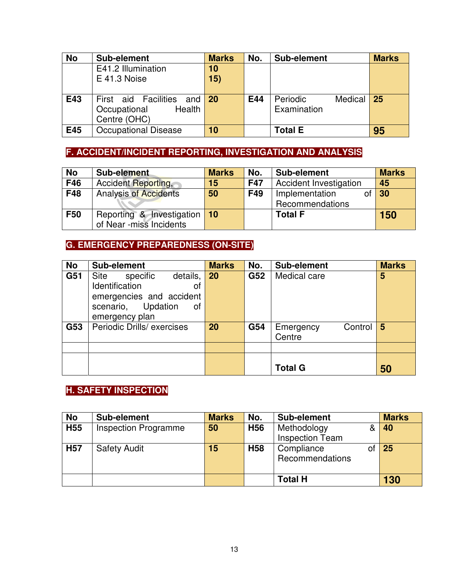| <b>No</b> | Sub-element                                                           | <b>Marks</b>                | No. | Sub-element                        | <b>Marks</b> |
|-----------|-----------------------------------------------------------------------|-----------------------------|-----|------------------------------------|--------------|
|           | E41.2 Illumination<br>$E$ 41.3 Noise                                  | 10<br>15)                   |     |                                    |              |
| E43       | First aid Facilities<br>and<br>Occupational<br>Health<br>Centre (OHC) | $\overline{\phantom{0}}$ 20 | E44 | Periodic<br>Medical<br>Examination | 25           |
| E45       | <b>Occupational Disease</b>                                           | 10                          |     | <b>Total E</b>                     | 95           |

# **F. ACCIDENT/INCIDENT REPORTING, INVESTIGATION AND ANALYSIS**

| <b>No</b> | Sub-element                  | <b>Marks</b> | No.        | Sub-element                   | <b>Marks</b> |
|-----------|------------------------------|--------------|------------|-------------------------------|--------------|
| F46       | <b>Accident Reporting,</b>   | 15           | <b>F47</b> | <b>Accident Investigation</b> | 45           |
| F48       | <b>Analysis of Accidents</b> | 50           | F49        | Implementation                | 30           |
|           |                              |              |            | Recommendations               |              |
| F50       | Reporting & Investigation    | 10           |            | <b>Total F</b>                | 150          |
|           | of Near -miss Incidents      |              |            |                               |              |

# **G. EMERGENCY PREPAREDNESS (ON-SITE)**

| <b>No</b> | Sub-element                  | <b>Marks</b> | No. | Sub-element          | <b>Marks</b> |
|-----------|------------------------------|--------------|-----|----------------------|--------------|
| G51       | Site<br>specific<br>details, | 20           | G52 | Medical care         | 5            |
|           | Identification<br>οf         |              |     |                      |              |
|           | emergencies and accident     |              |     |                      |              |
|           | Updation<br>οf<br>scenario,  |              |     |                      |              |
|           | emergency plan               |              |     |                      |              |
| G53       | Periodic Drills/ exercises   | 20           | G54 | Control<br>Emergency | 5            |
|           |                              |              |     | Centre               |              |
|           |                              |              |     |                      |              |
|           |                              |              |     |                      |              |
|           |                              |              |     | <b>Total G</b>       | 50           |

# **H. SAFETY INSPECTION**

| No              | Sub-element                 | <b>Marks</b> | No.             | Sub-element                   | <b>Marks</b> |
|-----------------|-----------------------------|--------------|-----------------|-------------------------------|--------------|
| H <sub>55</sub> | <b>Inspection Programme</b> | 50           | H <sub>56</sub> | Methodology                   | 40           |
|                 |                             |              |                 | <b>Inspection Team</b>        |              |
| <b>H57</b>      | <b>Safety Audit</b>         | 15           | H <sub>58</sub> | Compliance<br>Recommendations | 25           |
|                 |                             |              |                 | <b>Total H</b>                | 130          |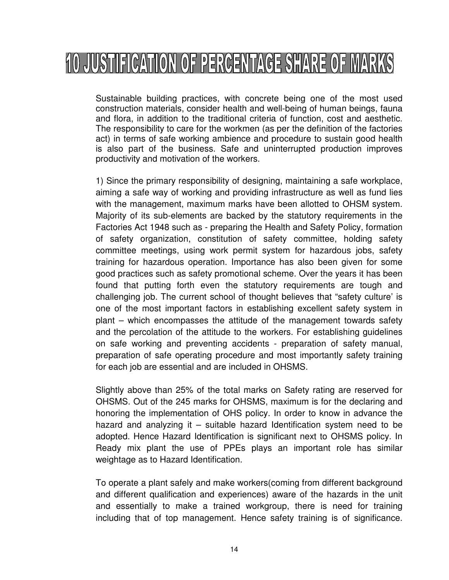# 10 JUSTIFICATION OF PERCENTAGE SHARE OF MARKS

Sustainable building practices, with concrete being one of the most used construction materials, consider health and well-being of human beings, fauna and flora, in addition to the traditional criteria of function, cost and aesthetic. The responsibility to care for the workmen (as per the definition of the factories act) in terms of safe working ambience and procedure to sustain good health is also part of the business. Safe and uninterrupted production improves productivity and motivation of the workers.

1) Since the primary responsibility of designing, maintaining a safe workplace, aiming a safe way of working and providing infrastructure as well as fund lies with the management, maximum marks have been allotted to OHSM system. Majority of its sub-elements are backed by the statutory requirements in the Factories Act 1948 such as - preparing the Health and Safety Policy, formation of safety organization, constitution of safety committee, holding safety committee meetings, using work permit system for hazardous jobs, safety training for hazardous operation. Importance has also been given for some good practices such as safety promotional scheme. Over the years it has been found that putting forth even the statutory requirements are tough and challenging job. The current school of thought believes that "safety culture' is one of the most important factors in establishing excellent safety system in plant – which encompasses the attitude of the management towards safety and the percolation of the attitude to the workers. For establishing guidelines on safe working and preventing accidents - preparation of safety manual, preparation of safe operating procedure and most importantly safety training for each job are essential and are included in OHSMS.

Slightly above than 25% of the total marks on Safety rating are reserved for OHSMS. Out of the 245 marks for OHSMS, maximum is for the declaring and honoring the implementation of OHS policy. In order to know in advance the hazard and analyzing it – suitable hazard Identification system need to be adopted. Hence Hazard Identification is significant next to OHSMS policy. In Ready mix plant the use of PPEs plays an important role has similar weightage as to Hazard Identification.

To operate a plant safely and make workers(coming from different background and different qualification and experiences) aware of the hazards in the unit and essentially to make a trained workgroup, there is need for training including that of top management. Hence safety training is of significance.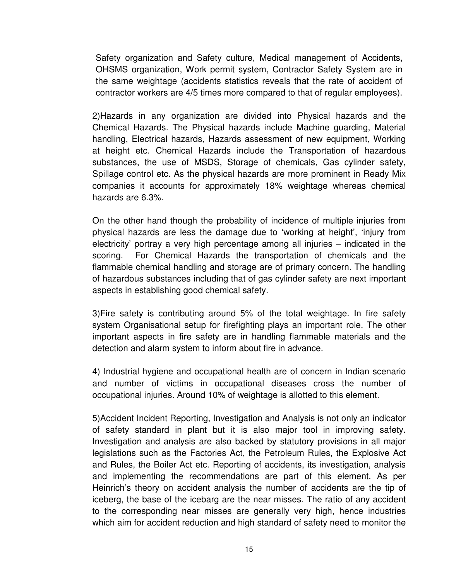Safety organization and Safety culture, Medical management of Accidents, OHSMS organization, Work permit system, Contractor Safety System are in the same weightage (accidents statistics reveals that the rate of accident of contractor workers are 4/5 times more compared to that of regular employees).

2)Hazards in any organization are divided into Physical hazards and the Chemical Hazards. The Physical hazards include Machine guarding, Material handling, Electrical hazards, Hazards assessment of new equipment, Working at height etc. Chemical Hazards include the Transportation of hazardous substances, the use of MSDS, Storage of chemicals, Gas cylinder safety, Spillage control etc. As the physical hazards are more prominent in Ready Mix companies it accounts for approximately 18% weightage whereas chemical hazards are 6.3%.

On the other hand though the probability of incidence of multiple injuries from physical hazards are less the damage due to 'working at height', 'injury from electricity' portray a very high percentage among all injuries – indicated in the scoring. For Chemical Hazards the transportation of chemicals and the flammable chemical handling and storage are of primary concern. The handling of hazardous substances including that of gas cylinder safety are next important aspects in establishing good chemical safety.

3)Fire safety is contributing around 5% of the total weightage. In fire safety system Organisational setup for firefighting plays an important role. The other important aspects in fire safety are in handling flammable materials and the detection and alarm system to inform about fire in advance.

4) Industrial hygiene and occupational health are of concern in Indian scenario and number of victims in occupational diseases cross the number of occupational injuries. Around 10% of weightage is allotted to this element.

5)Accident Incident Reporting, Investigation and Analysis is not only an indicator of safety standard in plant but it is also major tool in improving safety. Investigation and analysis are also backed by statutory provisions in all major legislations such as the Factories Act, the Petroleum Rules, the Explosive Act and Rules, the Boiler Act etc. Reporting of accidents, its investigation, analysis and implementing the recommendations are part of this element. As per Heinrich's theory on accident analysis the number of accidents are the tip of iceberg, the base of the icebarg are the near misses. The ratio of any accident to the corresponding near misses are generally very high, hence industries which aim for accident reduction and high standard of safety need to monitor the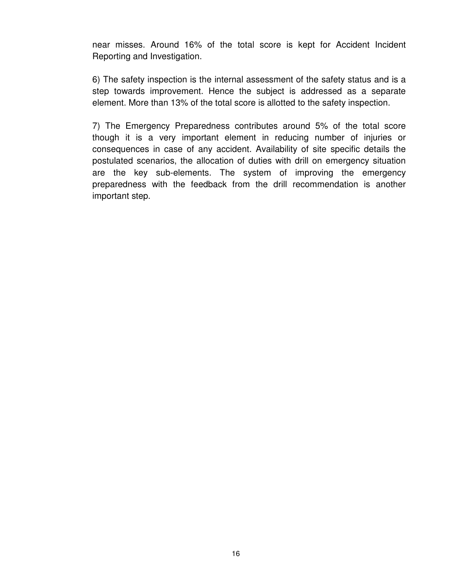near misses. Around 16% of the total score is kept for Accident Incident Reporting and Investigation.

6) The safety inspection is the internal assessment of the safety status and is a step towards improvement. Hence the subject is addressed as a separate element. More than 13% of the total score is allotted to the safety inspection.

7) The Emergency Preparedness contributes around 5% of the total score though it is a very important element in reducing number of injuries or consequences in case of any accident. Availability of site specific details the postulated scenarios, the allocation of duties with drill on emergency situation are the key sub-elements. The system of improving the emergency preparedness with the feedback from the drill recommendation is another important step.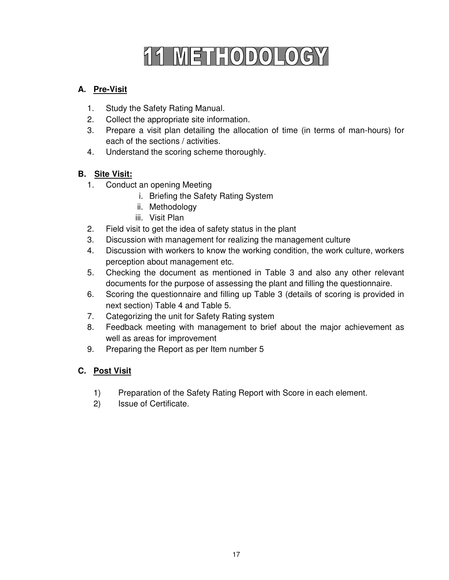# 11 METHODOLOGY

### **A. Pre-Visit**

- 1. Study the Safety Rating Manual.
- 2. Collect the appropriate site information.
- 3. Prepare a visit plan detailing the allocation of time (in terms of man-hours) for each of the sections / activities.
- 4. Understand the scoring scheme thoroughly.

### **B. Site Visit:**

- 1. Conduct an opening Meeting
	- i. Briefing the Safety Rating System
	- ii. Methodology
	- iii. Visit Plan
- 2. Field visit to get the idea of safety status in the plant
- 3. Discussion with management for realizing the management culture
- 4. Discussion with workers to know the working condition, the work culture, workers perception about management etc.
- 5. Checking the document as mentioned in Table 3 and also any other relevant documents for the purpose of assessing the plant and filling the questionnaire.
- 6. Scoring the questionnaire and filling up Table 3 (details of scoring is provided in next section) Table 4 and Table 5.
- 7. Categorizing the unit for Safety Rating system
- 8. Feedback meeting with management to brief about the major achievement as well as areas for improvement
- 9. Preparing the Report as per Item number 5

#### **C. Post Visit**

- 1) Preparation of the Safety Rating Report with Score in each element.
- 2) Issue of Certificate.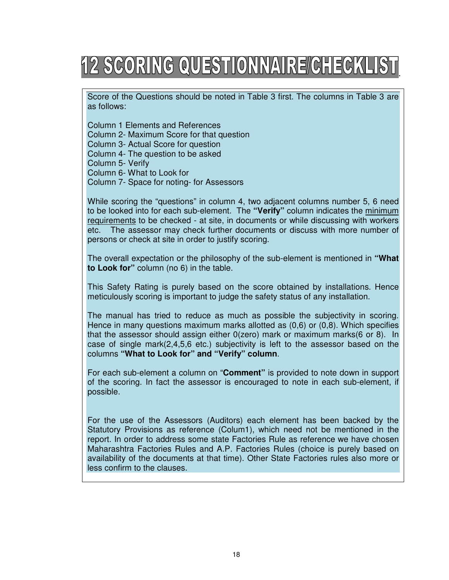# <u> 12 SCORING QUESTIONNAIRE/CHECKLIST</u> .

Score of the Questions should be noted in Table 3 first. The columns in Table 3 are as follows:

Column 1 Elements and References Column 2- Maximum Score for that question Column 3- Actual Score for question Column 4- The question to be asked Column 5- Verify Column 6- What to Look for Column 7- Space for noting- for Assessors

While scoring the "questions" in column 4, two adjacent columns number 5, 6 need to be looked into for each sub-element. The **"Verify"** column indicates the minimum requirements to be checked - at site, in documents or while discussing with workers etc. The assessor may check further documents or discuss with more number of persons or check at site in order to justify scoring.

The overall expectation or the philosophy of the sub-element is mentioned in **"What to Look for"** column (no 6) in the table.

This Safety Rating is purely based on the score obtained by installations. Hence meticulously scoring is important to judge the safety status of any installation.

The manual has tried to reduce as much as possible the subjectivity in scoring. Hence in many questions maximum marks allotted as (0,6) or (0,8). Which specifies that the assessor should assign either 0(zero) mark or maximum marks(6 or 8). In case of single mark(2,4,5,6 etc.) subjectivity is left to the assessor based on the columns **"What to Look for" and "Verify" column**.

For each sub-element a column on "**Comment"** is provided to note down in support of the scoring. In fact the assessor is encouraged to note in each sub-element, if possible.

For the use of the Assessors (Auditors) each element has been backed by the Statutory Provisions as reference (Colum1), which need not be mentioned in the report. In order to address some state Factories Rule as reference we have chosen Maharashtra Factories Rules and A.P. Factories Rules (choice is purely based on availability of the documents at that time). Other State Factories rules also more or less confirm to the clauses.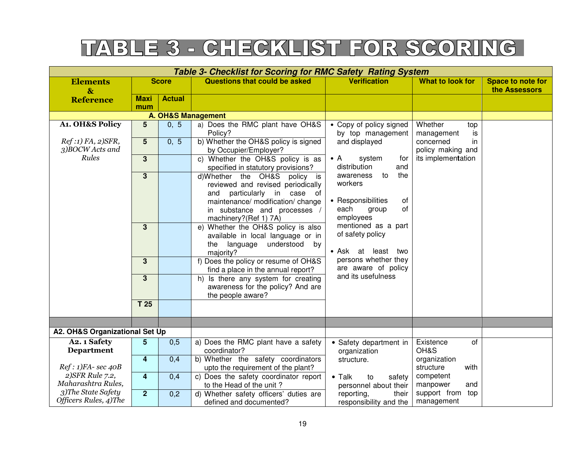# TABLE 3 - CHECKLIST FOR SCORING

| Questions that could be asked<br><b>Score</b><br><b>Verification</b><br><b>What to look for</b><br><b>Elements</b><br>the Assessors<br>$\mathbf{\alpha}$<br><b>Actual</b><br>Maxi<br><b>Reference</b><br>mum<br><b>A. OH&amp;S Management</b><br>A1. OH&S Policy<br>$5\phantom{.}$<br>0, 5<br>a) Does the RMC plant have OH&S<br>• Copy of policy signed<br>Whether<br>top<br>by top management<br>Policy?<br>management<br>is<br>b) Whether the OH&S policy is signed<br>Ref:1) FA, 2)SFR,<br>$5\overline{)}$<br>0, 5<br>and displayed<br>concerned<br>in<br>3)BOCW Acts and<br>policy making and<br>by Occupier/Employer?<br>Rules<br>its implementation<br>c) Whether the OH&S policy is as<br>$3\phantom{a}$<br>$\bullet$ A<br>system<br>for<br>distribution<br>and<br>specified in statutory provisions?<br>the<br>awareness<br>to<br>$3\phantom{a}$<br>d)Whether the OH&S policy is<br>workers<br>reviewed and revised periodically<br>particularly in case of<br>and<br>• Responsibilities<br>maintenance/ modification/ change<br>of<br>each<br>of<br>group<br>in substance and processes /<br>employees<br>machinery?(Ref 1) 7A)<br>mentioned as a part<br>$3\phantom{a}$<br>e) Whether the OH&S policy is also<br>of safety policy<br>available in local language or in |  |  |  | <b>Table 3- Checklist for Scoring for RMC Safety Rating System</b> |  |                          |
|-----------------------------------------------------------------------------------------------------------------------------------------------------------------------------------------------------------------------------------------------------------------------------------------------------------------------------------------------------------------------------------------------------------------------------------------------------------------------------------------------------------------------------------------------------------------------------------------------------------------------------------------------------------------------------------------------------------------------------------------------------------------------------------------------------------------------------------------------------------------------------------------------------------------------------------------------------------------------------------------------------------------------------------------------------------------------------------------------------------------------------------------------------------------------------------------------------------------------------------------------------------------------------------|--|--|--|--------------------------------------------------------------------|--|--------------------------|
|                                                                                                                                                                                                                                                                                                                                                                                                                                                                                                                                                                                                                                                                                                                                                                                                                                                                                                                                                                                                                                                                                                                                                                                                                                                                                   |  |  |  |                                                                    |  | <b>Space to note for</b> |
|                                                                                                                                                                                                                                                                                                                                                                                                                                                                                                                                                                                                                                                                                                                                                                                                                                                                                                                                                                                                                                                                                                                                                                                                                                                                                   |  |  |  |                                                                    |  |                          |
|                                                                                                                                                                                                                                                                                                                                                                                                                                                                                                                                                                                                                                                                                                                                                                                                                                                                                                                                                                                                                                                                                                                                                                                                                                                                                   |  |  |  |                                                                    |  |                          |
|                                                                                                                                                                                                                                                                                                                                                                                                                                                                                                                                                                                                                                                                                                                                                                                                                                                                                                                                                                                                                                                                                                                                                                                                                                                                                   |  |  |  |                                                                    |  |                          |
|                                                                                                                                                                                                                                                                                                                                                                                                                                                                                                                                                                                                                                                                                                                                                                                                                                                                                                                                                                                                                                                                                                                                                                                                                                                                                   |  |  |  |                                                                    |  |                          |
|                                                                                                                                                                                                                                                                                                                                                                                                                                                                                                                                                                                                                                                                                                                                                                                                                                                                                                                                                                                                                                                                                                                                                                                                                                                                                   |  |  |  |                                                                    |  |                          |
|                                                                                                                                                                                                                                                                                                                                                                                                                                                                                                                                                                                                                                                                                                                                                                                                                                                                                                                                                                                                                                                                                                                                                                                                                                                                                   |  |  |  |                                                                    |  |                          |
|                                                                                                                                                                                                                                                                                                                                                                                                                                                                                                                                                                                                                                                                                                                                                                                                                                                                                                                                                                                                                                                                                                                                                                                                                                                                                   |  |  |  |                                                                    |  |                          |
|                                                                                                                                                                                                                                                                                                                                                                                                                                                                                                                                                                                                                                                                                                                                                                                                                                                                                                                                                                                                                                                                                                                                                                                                                                                                                   |  |  |  |                                                                    |  |                          |
|                                                                                                                                                                                                                                                                                                                                                                                                                                                                                                                                                                                                                                                                                                                                                                                                                                                                                                                                                                                                                                                                                                                                                                                                                                                                                   |  |  |  |                                                                    |  |                          |
|                                                                                                                                                                                                                                                                                                                                                                                                                                                                                                                                                                                                                                                                                                                                                                                                                                                                                                                                                                                                                                                                                                                                                                                                                                                                                   |  |  |  |                                                                    |  |                          |
|                                                                                                                                                                                                                                                                                                                                                                                                                                                                                                                                                                                                                                                                                                                                                                                                                                                                                                                                                                                                                                                                                                                                                                                                                                                                                   |  |  |  |                                                                    |  |                          |
|                                                                                                                                                                                                                                                                                                                                                                                                                                                                                                                                                                                                                                                                                                                                                                                                                                                                                                                                                                                                                                                                                                                                                                                                                                                                                   |  |  |  |                                                                    |  |                          |
|                                                                                                                                                                                                                                                                                                                                                                                                                                                                                                                                                                                                                                                                                                                                                                                                                                                                                                                                                                                                                                                                                                                                                                                                                                                                                   |  |  |  |                                                                    |  |                          |
|                                                                                                                                                                                                                                                                                                                                                                                                                                                                                                                                                                                                                                                                                                                                                                                                                                                                                                                                                                                                                                                                                                                                                                                                                                                                                   |  |  |  |                                                                    |  |                          |
|                                                                                                                                                                                                                                                                                                                                                                                                                                                                                                                                                                                                                                                                                                                                                                                                                                                                                                                                                                                                                                                                                                                                                                                                                                                                                   |  |  |  | language<br>understood<br>the<br>by                                |  |                          |
| • Ask at least two<br>majority?                                                                                                                                                                                                                                                                                                                                                                                                                                                                                                                                                                                                                                                                                                                                                                                                                                                                                                                                                                                                                                                                                                                                                                                                                                                   |  |  |  |                                                                    |  |                          |
| persons whether they<br>3<br>f) Does the policy or resume of OH&S                                                                                                                                                                                                                                                                                                                                                                                                                                                                                                                                                                                                                                                                                                                                                                                                                                                                                                                                                                                                                                                                                                                                                                                                                 |  |  |  |                                                                    |  |                          |
| are aware of policy<br>find a place in the annual report?<br>and its usefulness                                                                                                                                                                                                                                                                                                                                                                                                                                                                                                                                                                                                                                                                                                                                                                                                                                                                                                                                                                                                                                                                                                                                                                                                   |  |  |  |                                                                    |  |                          |
| 3<br>h) Is there any system for creating                                                                                                                                                                                                                                                                                                                                                                                                                                                                                                                                                                                                                                                                                                                                                                                                                                                                                                                                                                                                                                                                                                                                                                                                                                          |  |  |  |                                                                    |  |                          |
| awareness for the policy? And are<br>the people aware?                                                                                                                                                                                                                                                                                                                                                                                                                                                                                                                                                                                                                                                                                                                                                                                                                                                                                                                                                                                                                                                                                                                                                                                                                            |  |  |  |                                                                    |  |                          |
| T <sub>25</sub>                                                                                                                                                                                                                                                                                                                                                                                                                                                                                                                                                                                                                                                                                                                                                                                                                                                                                                                                                                                                                                                                                                                                                                                                                                                                   |  |  |  |                                                                    |  |                          |
|                                                                                                                                                                                                                                                                                                                                                                                                                                                                                                                                                                                                                                                                                                                                                                                                                                                                                                                                                                                                                                                                                                                                                                                                                                                                                   |  |  |  |                                                                    |  |                          |
|                                                                                                                                                                                                                                                                                                                                                                                                                                                                                                                                                                                                                                                                                                                                                                                                                                                                                                                                                                                                                                                                                                                                                                                                                                                                                   |  |  |  |                                                                    |  |                          |
| A2. OH&S Organizational Set Up                                                                                                                                                                                                                                                                                                                                                                                                                                                                                                                                                                                                                                                                                                                                                                                                                                                                                                                                                                                                                                                                                                                                                                                                                                                    |  |  |  |                                                                    |  |                          |
| 5<br>A2. 1 Safety<br>0,5<br>a) Does the RMC plant have a safety<br>Existence<br>of<br>• Safety department in                                                                                                                                                                                                                                                                                                                                                                                                                                                                                                                                                                                                                                                                                                                                                                                                                                                                                                                                                                                                                                                                                                                                                                      |  |  |  |                                                                    |  |                          |
| OH&S<br><b>Department</b><br>coordinator?<br>organization                                                                                                                                                                                                                                                                                                                                                                                                                                                                                                                                                                                                                                                                                                                                                                                                                                                                                                                                                                                                                                                                                                                                                                                                                         |  |  |  |                                                                    |  |                          |
| 4<br>0,4<br>b) Whether the safety coordinators<br>organization<br>structure.                                                                                                                                                                                                                                                                                                                                                                                                                                                                                                                                                                                                                                                                                                                                                                                                                                                                                                                                                                                                                                                                                                                                                                                                      |  |  |  |                                                                    |  |                          |
| $Ref: 1)FA$ - sec $40B$<br>upto the requirement of the plant?<br>structure<br>with                                                                                                                                                                                                                                                                                                                                                                                                                                                                                                                                                                                                                                                                                                                                                                                                                                                                                                                                                                                                                                                                                                                                                                                                |  |  |  |                                                                    |  |                          |
| 2) SFR Rule 7.2,<br>c) Does the safety coordinator report<br>competent<br>4<br>0,4<br>$\bullet$ Talk<br>to<br>safety<br>Maharashtra Rules,                                                                                                                                                                                                                                                                                                                                                                                                                                                                                                                                                                                                                                                                                                                                                                                                                                                                                                                                                                                                                                                                                                                                        |  |  |  |                                                                    |  |                          |
| manpower<br>and<br>to the Head of the unit?<br>personnel about their<br>3)The State Safety<br>support from top                                                                                                                                                                                                                                                                                                                                                                                                                                                                                                                                                                                                                                                                                                                                                                                                                                                                                                                                                                                                                                                                                                                                                                    |  |  |  |                                                                    |  |                          |
| $\overline{2}$<br>d) Whether safety officers' duties are<br>0,2<br>their<br>reporting,<br>Officers Rules, 4)The<br>management<br>responsibility and the<br>defined and documented?                                                                                                                                                                                                                                                                                                                                                                                                                                                                                                                                                                                                                                                                                                                                                                                                                                                                                                                                                                                                                                                                                                |  |  |  |                                                                    |  |                          |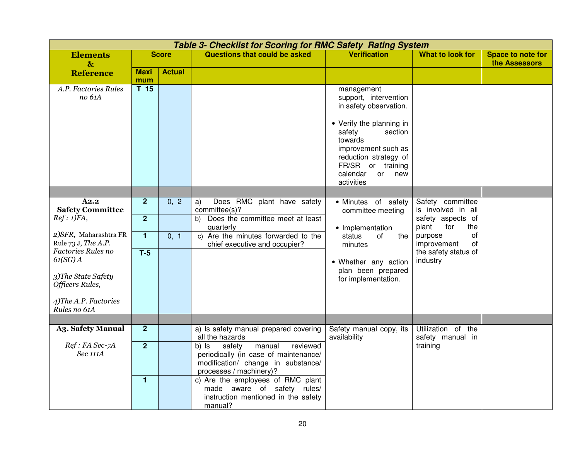|                                                                                                     | <b>Table 3- Checklist for Scoring for RMC Safety Rating System</b> |               |                                                                                                                                                                    |                                                                                                                                                                                                                                              |                                          |                                           |  |  |  |  |
|-----------------------------------------------------------------------------------------------------|--------------------------------------------------------------------|---------------|--------------------------------------------------------------------------------------------------------------------------------------------------------------------|----------------------------------------------------------------------------------------------------------------------------------------------------------------------------------------------------------------------------------------------|------------------------------------------|-------------------------------------------|--|--|--|--|
| <b>Elements</b><br>$\mathbf{\&}$                                                                    |                                                                    | <b>Score</b>  | <b>Questions that could be asked</b>                                                                                                                               | <b>Verification</b>                                                                                                                                                                                                                          | What to look for                         | <b>Space to note for</b><br>the Assessors |  |  |  |  |
| <b>Reference</b>                                                                                    | <b>Maxi</b><br>mum                                                 | <b>Actual</b> |                                                                                                                                                                    |                                                                                                                                                                                                                                              |                                          |                                           |  |  |  |  |
| A.P. Factories Rules<br>no 61A                                                                      | T <sub>15</sub>                                                    |               |                                                                                                                                                                    | management<br>support, intervention<br>in safety observation.<br>• Verify the planning in<br>safety<br>section<br>towards<br>improvement such as<br>reduction strategy of<br>FR/SR or training<br>calendar<br>new<br><b>or</b><br>activities |                                          |                                           |  |  |  |  |
|                                                                                                     |                                                                    |               |                                                                                                                                                                    |                                                                                                                                                                                                                                              |                                          |                                           |  |  |  |  |
| A2.2<br><b>Safety Committee</b>                                                                     | 2 <sup>2</sup>                                                     | 0, 2          | Does RMC plant have safety<br>a)<br>committee(s)?                                                                                                                  | • Minutes of safety<br>committee meeting                                                                                                                                                                                                     | Safety committee<br>is involved in all   |                                           |  |  |  |  |
| Ref: 1)FA,                                                                                          | $\overline{2}$                                                     |               | Does the committee meet at least<br>b)<br>quarterly                                                                                                                | • Implementation                                                                                                                                                                                                                             | safety aspects of<br>plant<br>for<br>the |                                           |  |  |  |  |
| 2) SFR, Maharashtra FR<br>Rule 73 J, The A.P.                                                       | $\mathbf{1}$                                                       | 0, 1          | c) Are the minutes forwarded to the<br>chief executive and occupier?                                                                                               | status<br>of<br>the<br>minutes                                                                                                                                                                                                               | οf<br>purpose<br>improvement<br>of       |                                           |  |  |  |  |
| Factories Rules no<br>$61(SG)$ A<br>3) The State Safety<br>Officers Rules,<br>4) The A.P. Factories | $T-5$                                                              |               |                                                                                                                                                                    | • Whether any action<br>plan been prepared<br>for implementation.                                                                                                                                                                            | the safety status of<br>industry         |                                           |  |  |  |  |
| Rules no 61A                                                                                        |                                                                    |               |                                                                                                                                                                    |                                                                                                                                                                                                                                              |                                          |                                           |  |  |  |  |
| <b>A3. Safety Manual</b>                                                                            | 2 <sup>2</sup>                                                     |               | a) Is safety manual prepared covering                                                                                                                              | Safety manual copy, its                                                                                                                                                                                                                      | Utilization of the                       |                                           |  |  |  |  |
| Ref: FA Sec-7A<br>Sec 111A                                                                          | $\overline{2}$                                                     |               | all the hazards<br>safety<br>manual<br>reviewed<br>b) Is<br>periodically (in case of maintenance/<br>modification/ change in substance/<br>processes / machinery)? | availability                                                                                                                                                                                                                                 | safety manual in<br>training             |                                           |  |  |  |  |
|                                                                                                     | $\mathbf{1}$                                                       |               | c) Are the employees of RMC plant<br>made aware of safety rules/<br>instruction mentioned in the safety<br>manual?                                                 |                                                                                                                                                                                                                                              |                                          |                                           |  |  |  |  |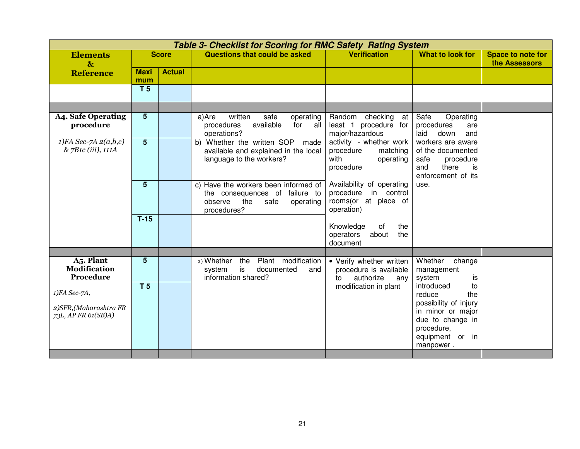| <b>Table 3- Checklist for Scoring for RMC Safety Rating System</b> |                |               |                                                                              |                                                    |                                            |                   |  |  |
|--------------------------------------------------------------------|----------------|---------------|------------------------------------------------------------------------------|----------------------------------------------------|--------------------------------------------|-------------------|--|--|
| <b>Elements</b>                                                    |                | <b>Score</b>  | Questions that could be asked                                                | <b>Verification</b>                                | What to look for                           | Space to note for |  |  |
| $\mathbf{\&}$                                                      | <b>Maxi</b>    | <b>Actual</b> |                                                                              |                                                    |                                            | the Assessors     |  |  |
| <b>Reference</b>                                                   | mum            |               |                                                                              |                                                    |                                            |                   |  |  |
|                                                                    | <b>T5</b>      |               |                                                                              |                                                    |                                            |                   |  |  |
|                                                                    |                |               |                                                                              |                                                    |                                            |                   |  |  |
|                                                                    |                |               |                                                                              |                                                    |                                            |                   |  |  |
| <b>A4. Safe Operating</b>                                          | $5\phantom{1}$ |               | written<br>a)Are<br>safe<br>operating                                        | Random checking at                                 | Safe<br>Operating                          |                   |  |  |
| procedure                                                          |                |               | available<br>procedures<br>for<br>all<br>operations?                         | least 1 procedure for<br>major/hazardous           | procedures<br>are<br>down<br>laid<br>and   |                   |  |  |
| $1)FA$ Sec-7A $2(a,b,c)$                                           | $5\phantom{1}$ |               | b) Whether the written SOP made                                              | activity - whether work                            | workers are aware                          |                   |  |  |
| & 7B1c (iii), 111A                                                 |                |               | available and explained in the local                                         | matching<br>procedure                              | of the documented                          |                   |  |  |
|                                                                    |                |               | language to the workers?                                                     | with<br>operating                                  | procedure<br>safe                          |                   |  |  |
|                                                                    |                |               |                                                                              | procedure                                          | there<br>and<br>is<br>enforcement of its   |                   |  |  |
|                                                                    | $5\phantom{1}$ |               | c) Have the workers been informed of                                         | Availability of operating                          | use.                                       |                   |  |  |
|                                                                    |                |               | the consequences of failure to                                               | procedure in control                               |                                            |                   |  |  |
|                                                                    |                |               | observe<br>the<br>safe<br>operating                                          | rooms(or at place of                               |                                            |                   |  |  |
|                                                                    | $T-15$         |               | procedures?                                                                  | operation)                                         |                                            |                   |  |  |
|                                                                    |                |               |                                                                              | Knowledge<br>of<br>the                             |                                            |                   |  |  |
|                                                                    |                |               |                                                                              | the<br>operators<br>about                          |                                            |                   |  |  |
|                                                                    |                |               |                                                                              | document                                           |                                            |                   |  |  |
|                                                                    | $5\phantom{.}$ |               |                                                                              |                                                    |                                            |                   |  |  |
| A5. Plant<br><b>Modification</b>                                   |                |               | Plant modification<br>a) Whether<br>the<br>is<br>documented<br>system<br>and | • Verify whether written<br>procedure is available | Whether<br>change<br>management            |                   |  |  |
| Procedure                                                          |                |               | information shared?                                                          | authorize<br>to<br>any                             | system<br>is                               |                   |  |  |
|                                                                    | T <sub>5</sub> |               |                                                                              | modification in plant                              | introduced<br>to                           |                   |  |  |
| $1)FA$ Sec-7A,                                                     |                |               |                                                                              |                                                    | reduce<br>the                              |                   |  |  |
| 2) SFR, (Maharashtra FR                                            |                |               |                                                                              |                                                    | possibility of injury<br>in minor or major |                   |  |  |
| 73L, AP FR 61(SB)A)                                                |                |               |                                                                              |                                                    | due to change in                           |                   |  |  |
|                                                                    |                |               |                                                                              |                                                    | procedure,                                 |                   |  |  |
|                                                                    |                |               |                                                                              |                                                    | equipment or in                            |                   |  |  |
|                                                                    |                |               |                                                                              |                                                    | manpower.                                  |                   |  |  |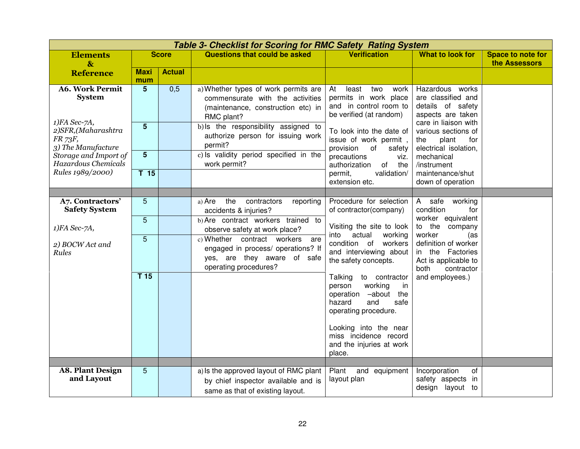|                                                         |                                   | Table 3- Checklist for Scoring for RMC Safety Rating System |                                                                                                                                                                      |                                                                                                                                                          |                                                                                                         |                                           |
|---------------------------------------------------------|-----------------------------------|-------------------------------------------------------------|----------------------------------------------------------------------------------------------------------------------------------------------------------------------|----------------------------------------------------------------------------------------------------------------------------------------------------------|---------------------------------------------------------------------------------------------------------|-------------------------------------------|
| <b>Elements</b><br>$\mathbf{g}$                         |                                   | <b>Score</b>                                                | <b>Questions that could be asked</b>                                                                                                                                 | <b>Verification</b>                                                                                                                                      | <b>What to look for</b>                                                                                 | <b>Space to note for</b><br>the Assessors |
| <b>Reference</b>                                        | <b>Maxi</b><br>mum                | <b>Actual</b>                                               |                                                                                                                                                                      |                                                                                                                                                          |                                                                                                         |                                           |
| <b>A6. Work Permit</b><br><b>System</b><br>1)FA Sec-7A, | $5\phantom{.0}$<br>$5\phantom{1}$ | 0,5                                                         | a) Whether types of work permits are<br>commensurate with the activities<br>(maintenance, construction etc) in<br>RMC plant?<br>b) Is the responsibility assigned to | At<br>least<br>two<br>work<br>permits in work place<br>and in control room to<br>be verified (at random)                                                 | Hazardous works<br>are classified and<br>details of safety<br>aspects are taken<br>care in liaison with |                                           |
| 2)SFR,(Maharashtra<br>FR 73F,<br>3) The Manufacture     |                                   |                                                             | authorize person for issuing work<br>permit?                                                                                                                         | To look into the date of<br>issue of work permit,<br>provision<br>of<br>safety                                                                           | various sections of<br>the<br>plant<br>for<br>electrical isolation,                                     |                                           |
| Storage and Import of<br>Hazardous Chemicals            | $5\phantom{1}$                    |                                                             | c) Is validity period specified in the<br>work permit?                                                                                                               | precautions<br>viz.<br>authorization<br>of<br>the                                                                                                        | mechanical<br>/instrument                                                                               |                                           |
| Rules 1989/2000)                                        | T <sub>15</sub>                   |                                                             |                                                                                                                                                                      | validation/<br>permit,<br>extension etc.                                                                                                                 | maintenance/shut<br>down of operation                                                                   |                                           |
|                                                         |                                   |                                                             |                                                                                                                                                                      | Procedure for selection                                                                                                                                  |                                                                                                         |                                           |
| A7. Contractors'<br><b>Safety System</b>                | $\sqrt{5}$                        |                                                             | the<br>contractors<br>a) Are<br>reporting<br>accidents & injuries?                                                                                                   | of contractor(company)                                                                                                                                   | A safe<br>working<br>condition<br>for                                                                   |                                           |
| 1)FA Sec-7A,                                            | $\overline{5}$                    |                                                             | b) Are contract workers trained to<br>observe safety at work place?                                                                                                  | Visiting the site to look<br>actual<br>into<br>working                                                                                                   | worker equivalent<br>to the company<br>worker<br>(as                                                    |                                           |
| 2) BOCW Act and<br>Rules                                | $\overline{5}$                    |                                                             | c) Whether contract workers<br>are<br>engaged in process/ operations? If<br>yes, are they aware of safe<br>operating procedures?                                     | condition of workers<br>and interviewing about<br>the safety concepts.                                                                                   | definition of worker<br>in the Factories<br>Act is applicable to<br>both<br>contractor                  |                                           |
|                                                         | T15                               |                                                             |                                                                                                                                                                      | Talking<br>to contractor<br>working<br>person<br>in<br>-about the<br>operation<br>hazard<br>and<br>safe<br>operating procedure.<br>Looking into the near | and employees.)                                                                                         |                                           |
|                                                         |                                   |                                                             |                                                                                                                                                                      | miss incidence record<br>and the injuries at work<br>place.                                                                                              |                                                                                                         |                                           |
|                                                         |                                   |                                                             |                                                                                                                                                                      |                                                                                                                                                          |                                                                                                         |                                           |
| <b>A8. Plant Design</b><br>and Layout                   | 5                                 |                                                             | a) Is the approved layout of RMC plant<br>by chief inspector available and is<br>same as that of existing layout.                                                    | Plant<br>and equipment<br>layout plan                                                                                                                    | Incorporation<br>of<br>safety aspects<br>in<br>design layout to                                         |                                           |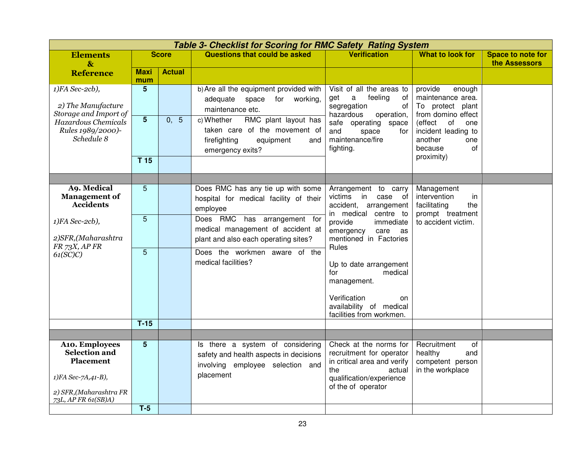|                                                                                                             | <b>Table 3- Checklist for Scoring for RMC Safety Rating System</b> |               |                                                                                                                             |                                                                                                                                                      |                                                                                              |                                    |  |  |  |
|-------------------------------------------------------------------------------------------------------------|--------------------------------------------------------------------|---------------|-----------------------------------------------------------------------------------------------------------------------------|------------------------------------------------------------------------------------------------------------------------------------------------------|----------------------------------------------------------------------------------------------|------------------------------------|--|--|--|
| <b>Elements</b><br>$\mathbf{\&}$                                                                            |                                                                    | <b>Score</b>  | <b>Questions that could be asked</b>                                                                                        | <b>Verification</b>                                                                                                                                  | What to look for                                                                             | Space to note for<br>the Assessors |  |  |  |
| <b>Reference</b>                                                                                            | <b>Maxi</b><br>mum                                                 | <b>Actual</b> |                                                                                                                             |                                                                                                                                                      |                                                                                              |                                    |  |  |  |
| 1)FA Sec-2cb),<br>2) The Manufacture<br>Storage and Import of                                               | $5\phantom{1}$                                                     |               | b) Are all the equipment provided with<br>adequate<br>space<br>for<br>working,<br>maintenance etc.                          | Visit of all the areas to<br>feeling<br>get<br>$\alpha$<br>0f<br>segregation<br>of<br>hazardous<br>operation,                                        | provide<br>enough<br>maintenance area.<br>To protect plant<br>from domino effect             |                                    |  |  |  |
| Hazardous Chemicals<br>Rules 1989/2000)-<br>Schedule 8                                                      | $\overline{5}$                                                     | 0, 5          | RMC plant layout has<br>c) Whether<br>taken care of the movement of<br>firefighting<br>equipment<br>and<br>emergency exits? | safe operating space<br>and<br>space<br>for<br>maintenance/fire<br>fighting.                                                                         | (effect<br>of<br>one<br>incident leading to<br>another<br>one<br>of<br>because<br>proximity) |                                    |  |  |  |
|                                                                                                             | T <sub>15</sub>                                                    |               |                                                                                                                             |                                                                                                                                                      |                                                                                              |                                    |  |  |  |
|                                                                                                             |                                                                    |               |                                                                                                                             |                                                                                                                                                      |                                                                                              |                                    |  |  |  |
| <b>A9. Medical</b><br><b>Management of</b><br><b>Accidents</b>                                              | $5\phantom{.}$                                                     |               | Does RMC has any tie up with some<br>hospital for medical facility of their<br>employee                                     | Arrangement to carry<br>victims in<br>case of<br>accident, arrangement<br>in medical centre to                                                       | Management<br>intervention<br>in<br>facilitating<br>the<br>prompt treatment                  |                                    |  |  |  |
| 1)FA Sec-2cb),<br>2)SFR,(Maharashtra<br>FR 73X, AP FR<br>61(SC)C                                            | $\overline{5}$                                                     |               | Does RMC has arrangement for<br>medical management of accident at<br>plant and also each operating sites?                   | provide<br>immediate<br>emergency<br>care<br>as<br>mentioned in Factories                                                                            | to accident victim.                                                                          |                                    |  |  |  |
|                                                                                                             | $\overline{5}$                                                     |               | Does the workmen aware of the<br>medical facilities?                                                                        | Rules<br>Up to date arrangement<br>for<br>medical<br>management.                                                                                     |                                                                                              |                                    |  |  |  |
|                                                                                                             |                                                                    |               |                                                                                                                             | Verification<br>on<br>availability of medical<br>facilities from workmen.                                                                            |                                                                                              |                                    |  |  |  |
|                                                                                                             | $T-15$                                                             |               |                                                                                                                             |                                                                                                                                                      |                                                                                              |                                    |  |  |  |
|                                                                                                             |                                                                    |               |                                                                                                                             |                                                                                                                                                      |                                                                                              |                                    |  |  |  |
| <b>A10. Employees</b><br>Selection and<br><b>Placement</b><br>1)FA Sec-7A,41-B),<br>2) SFR, (Maharashtra FR | 5                                                                  |               | Is there a system of considering<br>safety and health aspects in decisions<br>involving employee selection and<br>placement | Check at the norms for<br>recruitment for operator<br>in critical area and verify<br>the<br>actual<br>qualification/experience<br>of the of operator | Recruitment<br>οf<br>healthy<br>and<br>competent person<br>in the workplace                  |                                    |  |  |  |
| 73L, AP FR 61(SB)A)                                                                                         | $T-5$                                                              |               |                                                                                                                             |                                                                                                                                                      |                                                                                              |                                    |  |  |  |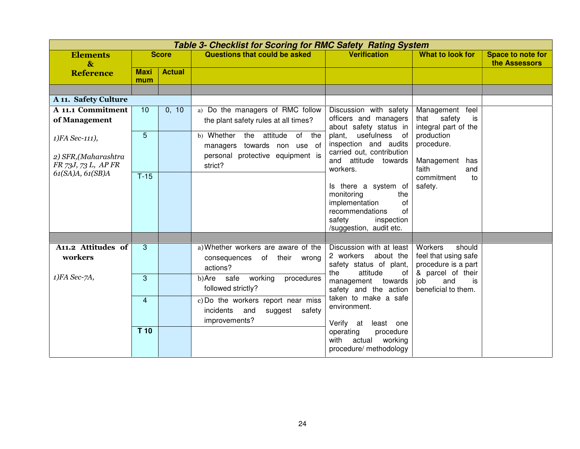|                                             | <b>Table 3- Checklist for Scoring for RMC Safety Rating System</b> |               |                                                              |                                                                         |                                                                  |                                    |  |  |  |
|---------------------------------------------|--------------------------------------------------------------------|---------------|--------------------------------------------------------------|-------------------------------------------------------------------------|------------------------------------------------------------------|------------------------------------|--|--|--|
| <b>Elements</b><br>$\mathbf{\&}$            |                                                                    | <b>Score</b>  | Questions that could be asked                                | <b>Verification</b>                                                     | <b>What to look for</b>                                          | Space to note for<br>the Assessors |  |  |  |
| <b>Reference</b>                            | <b>Maxi</b><br>mum                                                 | <b>Actual</b> |                                                              |                                                                         |                                                                  |                                    |  |  |  |
|                                             |                                                                    |               |                                                              |                                                                         |                                                                  |                                    |  |  |  |
| A 11. Safety Culture                        |                                                                    |               |                                                              |                                                                         |                                                                  |                                    |  |  |  |
| A 11.1 Commitment                           | 10                                                                 | 0, 10         | a) Do the managers of RMC follow                             | Discussion with safety                                                  | Management feel                                                  |                                    |  |  |  |
| of Management                               |                                                                    |               | the plant safety rules at all times?                         | officers and managers<br>about safety status in                         | that safety<br>is<br>integral part of the                        |                                    |  |  |  |
| 1) FA Sec-111),                             | 5                                                                  |               | b) Whether<br>attitude<br>of<br>the<br>the                   | plant, usefulness of                                                    | production                                                       |                                    |  |  |  |
|                                             |                                                                    |               | managers towards non use of                                  | inspection and audits                                                   | procedure.                                                       |                                    |  |  |  |
| 2) SFR, (Maharashtra<br>FR 73J, 73 L, AP FR |                                                                    |               | personal protective equipment is<br>strict?                  | carried out, contribution<br>and attitude towards                       | Management<br>has                                                |                                    |  |  |  |
| 61(SA)A, 61(SB)A                            | $T-15$                                                             |               |                                                              | workers.                                                                | faith<br>and                                                     |                                    |  |  |  |
|                                             |                                                                    |               |                                                              | Is there a system of                                                    | commitment<br>to<br>safety.                                      |                                    |  |  |  |
|                                             |                                                                    |               |                                                              | monitoring<br>the                                                       |                                                                  |                                    |  |  |  |
|                                             |                                                                    |               |                                                              | implementation<br>of                                                    |                                                                  |                                    |  |  |  |
|                                             |                                                                    |               |                                                              | of<br>recommendations<br>safety<br>inspection                           |                                                                  |                                    |  |  |  |
|                                             |                                                                    |               |                                                              | /suggestion, audit etc.                                                 |                                                                  |                                    |  |  |  |
|                                             |                                                                    |               |                                                              |                                                                         |                                                                  |                                    |  |  |  |
| A11.2 Attitudes of                          | 3                                                                  |               | a) Whether workers are aware of the                          | Discussion with at least                                                | Workers<br>should                                                |                                    |  |  |  |
| workers                                     |                                                                    |               | consequences of their wrong<br>actions?                      | 2 workers<br>about the<br>safety status of plant,                       | feel that using safe<br>procedure is a part<br>& parcel of their |                                    |  |  |  |
| 1)FA Sec-7A,                                | 3                                                                  |               | safe<br>working<br>b)Are<br>procedures<br>followed strictly? | attitude<br>the<br>0f<br>management<br>towards<br>safety and the action | job<br>and<br>is<br>beneficial to them.                          |                                    |  |  |  |
|                                             | $\overline{4}$                                                     |               | c) Do the workers report near miss                           | taken to make a safe<br>environment.                                    |                                                                  |                                    |  |  |  |
|                                             |                                                                    |               | incidents<br>and<br>suggest safety                           |                                                                         |                                                                  |                                    |  |  |  |
|                                             |                                                                    |               | improvements?                                                | Verify at<br>least one                                                  |                                                                  |                                    |  |  |  |
|                                             | T 10                                                               |               |                                                              | operating<br>procedure<br>with<br>actual<br>working                     |                                                                  |                                    |  |  |  |
|                                             |                                                                    |               |                                                              | procedure/ methodology                                                  |                                                                  |                                    |  |  |  |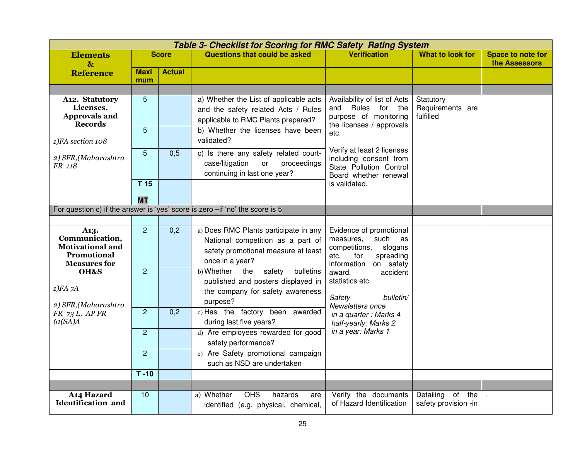|                                                                                                |                     |                  | <b>Table 3- Checklist for Scoring for RMC Safety Rating System</b>                                                                                       |                                                                                                                                        |                                            |                                           |
|------------------------------------------------------------------------------------------------|---------------------|------------------|----------------------------------------------------------------------------------------------------------------------------------------------------------|----------------------------------------------------------------------------------------------------------------------------------------|--------------------------------------------|-------------------------------------------|
| <b>Elements</b><br>$\mathbf{\&}$                                                               |                     | <b>Score</b>     | <b>Questions that could be asked</b>                                                                                                                     | <b>Verification</b>                                                                                                                    | What to look for                           | <b>Space to note for</b><br>the Assessors |
| <b>Reference</b>                                                                               | Maxi<br>mum         | <b>Actual</b>    |                                                                                                                                                          |                                                                                                                                        |                                            |                                           |
|                                                                                                |                     |                  |                                                                                                                                                          |                                                                                                                                        |                                            |                                           |
| A12. Statutory<br>Licenses,<br><b>Approvals and</b><br><b>Records</b>                          | $\overline{5}$<br>5 |                  | a) Whether the List of applicable acts<br>and the safety related Acts / Rules<br>applicable to RMC Plants prepared?<br>b) Whether the licenses have been | Availability of list of Acts<br>Rules<br>for the<br>and<br>purpose of monitoring<br>the licenses / approvals<br>etc.                   | Statutory<br>Requirements are<br>fulfilled |                                           |
| 1)FA section 108                                                                               |                     |                  | validated?                                                                                                                                               |                                                                                                                                        |                                            |                                           |
| 2) SFR, (Maharashtra<br>FR 118                                                                 | 5                   | 0,5              | c) Is there any safety related court-<br>case/litigation<br>proceedings<br>or<br>continuing in last one year?                                            | Verify at least 2 licenses<br>including consent from<br>State Pollution Control<br>Board whether renewal                               |                                            |                                           |
|                                                                                                | T <sub>15</sub>     |                  |                                                                                                                                                          | is validated.                                                                                                                          |                                            |                                           |
|                                                                                                | <b>MT</b>           |                  |                                                                                                                                                          |                                                                                                                                        |                                            |                                           |
| For question c) if the answer is 'yes' score is zero -if 'no' the score is 5                   |                     |                  |                                                                                                                                                          |                                                                                                                                        |                                            |                                           |
|                                                                                                |                     |                  |                                                                                                                                                          |                                                                                                                                        |                                            |                                           |
| A13.<br>Communication,<br><b>Motivational and</b><br><b>Promotional</b><br><b>Measures for</b> | $\overline{2}$      | 0,2              | a) Does RMC Plants participate in any<br>National competition as a part of<br>safety promotional measure at least<br>once in a year?                     | Evidence of promotional<br>measures,<br>such<br>as<br>competitions,<br>slogans<br>etc.<br>for<br>spreading<br>information<br>on safety |                                            |                                           |
| OH&S<br>$1)FA$ 7A<br>2) SFR, (Maharashtra                                                      | $\overline{2}$      |                  | b) Whether<br>the<br>safety<br>bulletins<br>published and posters displayed in<br>the company for safety awareness<br>purpose?                           | accident<br>award,<br>statistics etc.<br>Safety<br>bulletin/<br>Newsletters once                                                       |                                            |                                           |
| $FR$ 73 L, AP FR<br>61(SA)A                                                                    | $\overline{2}$      | $\overline{0,2}$ | c) Has the factory been awarded<br>during last five years?                                                                                               | in a quarter : Marks 4<br>half-yearly: Marks 2                                                                                         |                                            |                                           |
|                                                                                                | $\overline{2}$      |                  | d) Are employees rewarded for good<br>safety performance?                                                                                                | in a year: Marks 1                                                                                                                     |                                            |                                           |
|                                                                                                | $\overline{2}$      |                  | e) Are Safety promotional campaign<br>such as NSD are undertaken                                                                                         |                                                                                                                                        |                                            |                                           |
|                                                                                                | $T - 10$            |                  |                                                                                                                                                          |                                                                                                                                        |                                            |                                           |
|                                                                                                |                     |                  |                                                                                                                                                          |                                                                                                                                        |                                            |                                           |
| A14 Hazard<br><b>Identification</b> and                                                        | 10                  |                  | <b>OHS</b><br>a) Whether<br>hazards<br>are<br>identified (e.g. physical, chemical,                                                                       | Verify the documents<br>of Hazard Identification                                                                                       | Detailing of the<br>safety provision -in   |                                           |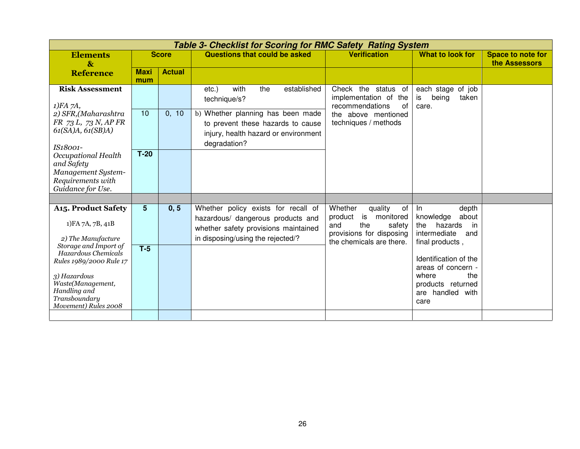| Table 3- Checklist for Scoring for RMC Safety Rating System                                                                                                                                                                                    |                         |               |                                                                                                                                                                                          |                                                                                                                                        |                                                                                                                                                                                                                     |                                    |  |  |
|------------------------------------------------------------------------------------------------------------------------------------------------------------------------------------------------------------------------------------------------|-------------------------|---------------|------------------------------------------------------------------------------------------------------------------------------------------------------------------------------------------|----------------------------------------------------------------------------------------------------------------------------------------|---------------------------------------------------------------------------------------------------------------------------------------------------------------------------------------------------------------------|------------------------------------|--|--|
| <b>Elements</b><br>$\mathbf{\&}$                                                                                                                                                                                                               |                         | <b>Score</b>  | <b>Questions that could be asked</b>                                                                                                                                                     | <b>Verification</b>                                                                                                                    | What to look for                                                                                                                                                                                                    | Space to note for<br>the Assessors |  |  |
| <b>Reference</b>                                                                                                                                                                                                                               | <b>Maxi</b><br>mum      | <b>Actual</b> |                                                                                                                                                                                          |                                                                                                                                        |                                                                                                                                                                                                                     |                                    |  |  |
| <b>Risk Assessment</b><br>$1)FA$ 7A,<br>2) SFR, (Maharashtra<br>FR 73 L, 73 N, AP FR<br>61(SA)A, 61(SB)A)<br>IS18001-                                                                                                                          | 10                      | 0, 10         | with<br>established<br>the<br>$etc.$ )<br>technique/s?<br>b) Whether planning has been made<br>to prevent these hazards to cause<br>injury, health hazard or environment<br>degradation? | Check the status of<br>implementation of the<br>recommendations<br>of<br>the above mentioned<br>techniques / methods                   | each stage of job<br>being<br>is<br>taken<br>care.                                                                                                                                                                  |                                    |  |  |
| Occupational Health<br>and Safety<br>Management System-<br>Requirements with<br>Guidance for Use.                                                                                                                                              | $T-20$                  |               |                                                                                                                                                                                          |                                                                                                                                        |                                                                                                                                                                                                                     |                                    |  |  |
|                                                                                                                                                                                                                                                |                         |               |                                                                                                                                                                                          |                                                                                                                                        |                                                                                                                                                                                                                     |                                    |  |  |
| <b>A15. Product Safety</b><br>1) FA 7A, 7B, 41B<br>2) The Manufacture<br>Storage and Import of<br>Hazardous Chemicals<br>Rules 1989/2000 Rule 17<br>3) Hazardous<br>Waste(Management,<br>Handling and<br>Transboundary<br>Movement) Rules 2008 | $5\phantom{1}$<br>$T-5$ | 0, 5          | Whether policy exists for recall of<br>hazardous/ dangerous products and<br>whether safety provisions maintained<br>in disposing/using the rejected/?                                    | Whether<br>quality<br>of<br>product<br>is<br>monitored<br>the<br>and<br>safety<br>provisions for disposing<br>the chemicals are there. | depth<br>In<br>knowledge<br>about<br>hazards<br>the<br>in<br>intermediate<br>and<br>final products,<br>Identification of the<br>areas of concern -<br>where<br>the<br>products returned<br>are handled with<br>care |                                    |  |  |
|                                                                                                                                                                                                                                                |                         |               |                                                                                                                                                                                          |                                                                                                                                        |                                                                                                                                                                                                                     |                                    |  |  |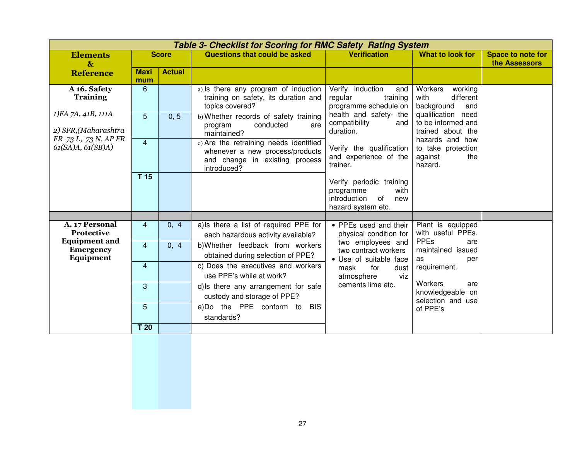|                                                                                                                            |                 |               | <b>Table 3- Checklist for Scoring for RMC Safety Rating System</b>                                                         |                                                                                                                              |                                                                                                                                     |                                           |
|----------------------------------------------------------------------------------------------------------------------------|-----------------|---------------|----------------------------------------------------------------------------------------------------------------------------|------------------------------------------------------------------------------------------------------------------------------|-------------------------------------------------------------------------------------------------------------------------------------|-------------------------------------------|
| <b>Elements</b>                                                                                                            |                 | <b>Score</b>  | Questions that could be asked                                                                                              | <b>Verification</b>                                                                                                          | <b>What to look for</b>                                                                                                             | <b>Space to note for</b><br>the Assessors |
| $\mathbf{\&}$<br><b>Reference</b>                                                                                          | <b>Maxi</b>     | <b>Actual</b> |                                                                                                                            |                                                                                                                              |                                                                                                                                     |                                           |
|                                                                                                                            | mum             |               |                                                                                                                            |                                                                                                                              |                                                                                                                                     |                                           |
| A 16. Safety<br><b>Training</b><br>1)FA 7A, 41B, 111A<br>2) SFR, (Maharashtra<br>FR 73 L, 73 N, AP FR<br>61(SA)A, 61(SB)A) | 6               |               | a) Is there any program of induction<br>training on safety, its duration and<br>topics covered?                            | Verify induction<br>and<br>regular<br>training<br>programme schedule on                                                      | Workers<br>working<br>different<br>with<br>background<br>and                                                                        |                                           |
|                                                                                                                            | 5               | 0, 5          | b) Whether records of safety training<br>conducted<br>program<br>are<br>maintained?                                        | health and safety- the<br>compatibility<br>and<br>duration.<br>Verify the qualification<br>and experience of the<br>trainer. | qualification need<br>to be informed and<br>trained about the<br>hazards and how<br>to take protection<br>against<br>the<br>hazard. |                                           |
|                                                                                                                            | $\overline{4}$  |               | c) Are the retraining needs identified<br>whenever a new process/products<br>and change in existing process<br>introduced? |                                                                                                                              |                                                                                                                                     |                                           |
|                                                                                                                            | T <sub>15</sub> |               |                                                                                                                            | Verify periodic training<br>with<br>programme<br>introduction<br>0f<br>new<br>hazard system etc.                             |                                                                                                                                     |                                           |
|                                                                                                                            |                 |               |                                                                                                                            |                                                                                                                              |                                                                                                                                     |                                           |
| A. 17 Personal<br><b>Protective</b><br><b>Equipment and</b>                                                                | $\overline{4}$  | 0, 4          | a) Is there a list of required PPE for<br>each hazardous activity available?                                               | • PPEs used and their<br>physical condition for                                                                              | Plant is equipped<br>with useful PPEs.<br><b>PPEs</b><br>are                                                                        |                                           |
| <b>Emergency</b><br>Equipment                                                                                              | $\overline{4}$  | 0, 4          | b)Whether feedback from workers<br>obtained during selection of PPE?                                                       | two employees and<br>two contract workers<br>• Use of suitable face                                                          | maintained issued<br>as<br>per                                                                                                      |                                           |
|                                                                                                                            | $\overline{4}$  |               | c) Does the executives and workers<br>use PPE's while at work?                                                             | mask<br>for<br>dust<br>atmosphere<br>viz                                                                                     | requirement.                                                                                                                        |                                           |
|                                                                                                                            | 3               |               | d) Is there any arrangement for safe<br>custody and storage of PPE?                                                        | cements lime etc.                                                                                                            | Workers<br>are<br>knowledgeable on<br>selection and use                                                                             |                                           |
|                                                                                                                            | $\overline{5}$  |               | e)Do the PPE conform to<br><b>BIS</b><br>standards?                                                                        |                                                                                                                              | of PPE's                                                                                                                            |                                           |
|                                                                                                                            | T 20            |               |                                                                                                                            |                                                                                                                              |                                                                                                                                     |                                           |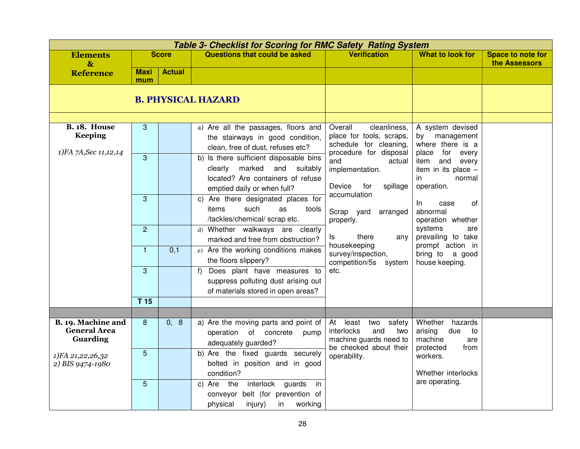|                                                       |                    |                  | <b>Table 3- Checklist for Scoring for RMC Safety Rating System</b>                                                                                 |                                                                                                           |                                                                                                      |                                           |
|-------------------------------------------------------|--------------------|------------------|----------------------------------------------------------------------------------------------------------------------------------------------------|-----------------------------------------------------------------------------------------------------------|------------------------------------------------------------------------------------------------------|-------------------------------------------|
| <b>Elements</b><br>$\mathbf{\&}$                      |                    | <b>Score</b>     | <b>Questions that could be asked</b>                                                                                                               | <b>Verification</b>                                                                                       | <b>What to look for</b>                                                                              | <b>Space to note for</b><br>the Assessors |
| <b>Reference</b>                                      | <b>Maxi</b><br>mum | <b>Actual</b>    |                                                                                                                                                    |                                                                                                           |                                                                                                      |                                           |
|                                                       |                    |                  | <b>B. PHYSICAL HAZARD</b>                                                                                                                          |                                                                                                           |                                                                                                      |                                           |
|                                                       |                    |                  |                                                                                                                                                    |                                                                                                           |                                                                                                      |                                           |
| <b>B. 18. House</b><br><b>Keeping</b>                 | 3                  |                  | a) Are all the passages, floors and<br>the stairways in good condition,<br>clean, free of dust, refuses etc?                                       | Overall<br>cleanliness,<br>place for tools, scraps,<br>schedule for cleaning,                             | A system devised<br>management<br>by<br>where there is a                                             |                                           |
| 1)FA 7A, Sec 11, 12, 14                               | $\overline{3}$     |                  | b) Is there sufficient disposable bins<br>marked<br>and<br>clearly<br>suitably<br>located? Are containers of refuse<br>emptied daily or when full? | procedure for disposal<br>and<br>actual<br>implementation.<br>Device<br>for<br>spillage                   | for<br>place<br>every<br>item<br>and<br>every<br>item in its place $-$<br>in<br>normal<br>operation. |                                           |
|                                                       | 3                  |                  | c) Are there designated places for<br>such<br>items<br>as<br>tools<br>/tackles/chemical/ scrap etc.                                                | accumulation<br>Scrap yard<br>arranged<br>properly.                                                       | 0f<br>In.<br>case<br>abnormal<br>operation whether                                                   |                                           |
|                                                       | $\overline{2}$     |                  | d) Whether walkways are clearly<br>marked and free from obstruction?                                                                               | there<br>ls.<br>any<br>housekeeping                                                                       | systems<br>are<br>prevailing to take<br>prompt action in                                             |                                           |
|                                                       | $\mathbf{1}$       | $\overline{0,1}$ | e) Are the working conditions makes<br>the floors slippery?                                                                                        | survey/inspection,<br>competition/5s system                                                               | bring to a good<br>house keeping.                                                                    |                                           |
|                                                       | 3                  |                  | Does plant have measures to<br>f<br>suppress polluting dust arising out<br>of materials stored in open areas?                                      | etc.                                                                                                      |                                                                                                      |                                           |
|                                                       | T <sub>15</sub>    |                  |                                                                                                                                                    |                                                                                                           |                                                                                                      |                                           |
|                                                       |                    |                  |                                                                                                                                                    |                                                                                                           |                                                                                                      |                                           |
| B. 19. Machine and<br><b>General Area</b><br>Guarding | 8                  | 0, 8             | a) Are the moving parts and point of<br>operation of concrete<br>pump<br>adequately guarded?                                                       | At least<br>two<br>safety<br>interlocks<br>and<br>two<br>machine guards need to<br>be checked about their | Whether<br>hazards<br>arising<br>due<br>to<br>machine<br>are<br>protected<br>from                    |                                           |
| 1)FA 21,22,26,32<br>2) BIS 9474-1980                  | $\overline{5}$     |                  | b) Are the fixed guards securely<br>bolted in position and in good<br>condition?                                                                   | operability.                                                                                              | workers.<br>Whether interlocks                                                                       |                                           |
|                                                       | 5                  |                  | interlock guards<br>c) Are<br>the<br>in<br>conveyor belt (for prevention of<br>physical<br>injury)<br>working<br>in                                |                                                                                                           | are operating.                                                                                       |                                           |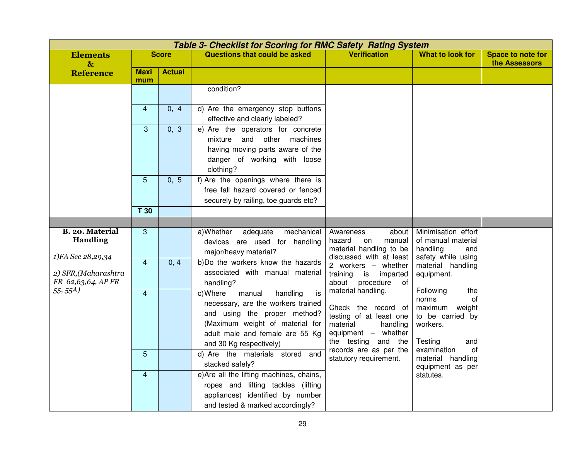|                                                    |               |                                                                                                                                                                                                                                                                                                                                                                                           |                                                                                                                                                                          |                                                                                                                                                            | <b>Table 3- Checklist for Scoring for RMC Safety Rating System</b> |  |  |  |  |  |  |  |  |
|----------------------------------------------------|---------------|-------------------------------------------------------------------------------------------------------------------------------------------------------------------------------------------------------------------------------------------------------------------------------------------------------------------------------------------------------------------------------------------|--------------------------------------------------------------------------------------------------------------------------------------------------------------------------|------------------------------------------------------------------------------------------------------------------------------------------------------------|--------------------------------------------------------------------|--|--|--|--|--|--|--|--|
| <b>Score</b>                                       |               | <b>Questions that could be asked</b>                                                                                                                                                                                                                                                                                                                                                      | <b>Verification</b>                                                                                                                                                      | What to look for                                                                                                                                           | Space to note for<br>the Assessors                                 |  |  |  |  |  |  |  |  |
| <b>Maxi</b><br>mum                                 | <b>Actual</b> |                                                                                                                                                                                                                                                                                                                                                                                           |                                                                                                                                                                          |                                                                                                                                                            |                                                                    |  |  |  |  |  |  |  |  |
|                                                    |               | condition?                                                                                                                                                                                                                                                                                                                                                                                |                                                                                                                                                                          |                                                                                                                                                            |                                                                    |  |  |  |  |  |  |  |  |
| $\overline{4}$                                     | 0, 4          | d) Are the emergency stop buttons<br>effective and clearly labeled?                                                                                                                                                                                                                                                                                                                       |                                                                                                                                                                          |                                                                                                                                                            |                                                                    |  |  |  |  |  |  |  |  |
| $\mathbf{3}$                                       | 0, 3          | e) Are the operators for concrete<br>and<br>other<br>mixture<br>machines<br>having moving parts aware of the<br>danger of working with loose<br>clothing?                                                                                                                                                                                                                                 |                                                                                                                                                                          |                                                                                                                                                            |                                                                    |  |  |  |  |  |  |  |  |
| 5<br>T <sub>30</sub>                               | 0, 5          | f) Are the openings where there is<br>free fall hazard covered or fenced<br>securely by railing, toe guards etc?                                                                                                                                                                                                                                                                          |                                                                                                                                                                          |                                                                                                                                                            |                                                                    |  |  |  |  |  |  |  |  |
|                                                    |               |                                                                                                                                                                                                                                                                                                                                                                                           |                                                                                                                                                                          |                                                                                                                                                            |                                                                    |  |  |  |  |  |  |  |  |
| 3                                                  |               | a)Whether<br>adequate<br>mechanical<br>devices are used for handling<br>major/heavy material?                                                                                                                                                                                                                                                                                             | Awareness<br>about<br>hazard<br>on<br>manual<br>material handling to be                                                                                                  | Minimisation effort<br>of manual material<br>handling<br>and                                                                                               |                                                                    |  |  |  |  |  |  |  |  |
| $\overline{4}$                                     | 0, 4          | b)Do the workers know the hazards<br>associated with manual material<br>handling?                                                                                                                                                                                                                                                                                                         | 2 workers - whether<br>training<br>is imparted<br>about<br>procedure of                                                                                                  | material handling<br>equipment.                                                                                                                            |                                                                    |  |  |  |  |  |  |  |  |
| $\overline{4}$<br>$\overline{5}$<br>$\overline{4}$ |               | c) Where<br>manual<br>handling<br>is<br>necessary, are the workers trained<br>and using the proper method?<br>(Maximum weight of material for<br>adult male and female are 55 Kg<br>and 30 Kg respectively)<br>d) Are the materials stored<br>and<br>stacked safely?<br>e)Are all the lifting machines, chains,<br>ropes and lifting tackles (lifting<br>appliances) identified by number | Check the record of<br>testing of at least one<br>material<br>handling<br>equipment - whether<br>the testing and the<br>records are as per the<br>statutory requirement. | norms<br>οf<br>maximum weight<br>to be carried by<br>workers.<br>Testing<br>and<br>examination<br>of<br>material handling<br>equipment as per<br>statutes. |                                                                    |  |  |  |  |  |  |  |  |
|                                                    |               |                                                                                                                                                                                                                                                                                                                                                                                           | and tested & marked accordingly?                                                                                                                                         | discussed with at least<br>material handling.                                                                                                              | safety while using<br>Following<br>the                             |  |  |  |  |  |  |  |  |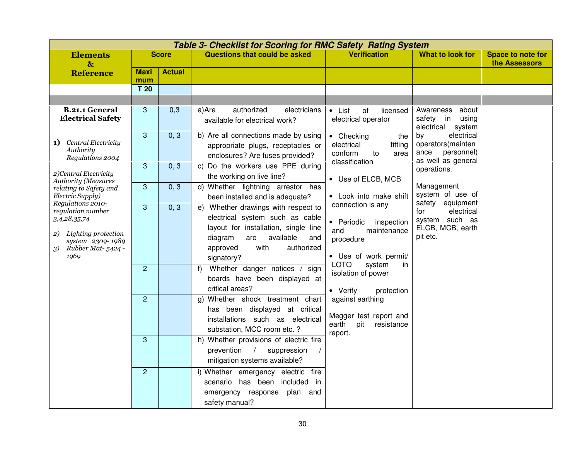|                                                                                                                                                                                   | <b>Table 3- Checklist for Scoring for RMC Safety Rating System</b> |               |                                                                                                                                                                                                                                                                                                                                                                                                                                                                                                                                                                                |                                                                                                                                                                                                                                                                                 |                                                                                         |                                           |  |  |  |  |
|-----------------------------------------------------------------------------------------------------------------------------------------------------------------------------------|--------------------------------------------------------------------|---------------|--------------------------------------------------------------------------------------------------------------------------------------------------------------------------------------------------------------------------------------------------------------------------------------------------------------------------------------------------------------------------------------------------------------------------------------------------------------------------------------------------------------------------------------------------------------------------------|---------------------------------------------------------------------------------------------------------------------------------------------------------------------------------------------------------------------------------------------------------------------------------|-----------------------------------------------------------------------------------------|-------------------------------------------|--|--|--|--|
| <b>Elements</b><br>$\mathbf{g}$                                                                                                                                                   |                                                                    | <b>Score</b>  | <b>Questions that could be asked</b>                                                                                                                                                                                                                                                                                                                                                                                                                                                                                                                                           | <b>Verification</b>                                                                                                                                                                                                                                                             | What to look for                                                                        | <b>Space to note for</b><br>the Assessors |  |  |  |  |
| <b>Reference</b>                                                                                                                                                                  | <b>Maxi</b><br>mum                                                 | <b>Actual</b> |                                                                                                                                                                                                                                                                                                                                                                                                                                                                                                                                                                                |                                                                                                                                                                                                                                                                                 |                                                                                         |                                           |  |  |  |  |
|                                                                                                                                                                                   | T 20                                                               |               |                                                                                                                                                                                                                                                                                                                                                                                                                                                                                                                                                                                |                                                                                                                                                                                                                                                                                 |                                                                                         |                                           |  |  |  |  |
|                                                                                                                                                                                   |                                                                    |               |                                                                                                                                                                                                                                                                                                                                                                                                                                                                                                                                                                                |                                                                                                                                                                                                                                                                                 |                                                                                         |                                           |  |  |  |  |
| <b>B.21.1 General</b><br><b>Electrical Safety</b>                                                                                                                                 | 3                                                                  | 0,3           | authorized<br>electricians<br>a)Are<br>available for electrical work?                                                                                                                                                                                                                                                                                                                                                                                                                                                                                                          | of<br>$\bullet$ List<br>licensed<br>electrical operator                                                                                                                                                                                                                         | about<br>Awareness<br>in<br>using<br>safety<br>electrical<br>system                     |                                           |  |  |  |  |
| 1) Central Electricity<br>Authority<br>Regulations 2004<br>2)Central Electricity<br><b>Authority (Measures</b><br>relating to Safety and<br>Electric Supply)<br>Regulations 2010- | 3                                                                  | 0, 3          | b) Are all connections made by using<br>appropriate plugs, receptacles or<br>enclosures? Are fuses provided?                                                                                                                                                                                                                                                                                                                                                                                                                                                                   | electrical<br>by<br>• Checking<br>the<br>operators(mainten<br>electrical<br>fitting<br>personnel)<br>ance<br>conform<br>to<br>area<br>as well as general<br>classification                                                                                                      |                                                                                         |                                           |  |  |  |  |
|                                                                                                                                                                                   | 3                                                                  | 0, 3          | c) Do the workers use PPE during<br>the working on live line?                                                                                                                                                                                                                                                                                                                                                                                                                                                                                                                  | • Use of ELCB, MCB                                                                                                                                                                                                                                                              | operations.<br>Management<br>system of use of                                           |                                           |  |  |  |  |
|                                                                                                                                                                                   | 3                                                                  | 0, 3          | d) Whether lightning arrestor has<br>been installed and is adequate?                                                                                                                                                                                                                                                                                                                                                                                                                                                                                                           | • Look into make shift                                                                                                                                                                                                                                                          |                                                                                         |                                           |  |  |  |  |
| regulation number<br>3,4,28,35,74<br>Lighting protection<br>2)<br>system 2309-1989<br>Rubber Mat-5424 -<br>3)<br>1969                                                             | 3<br>$\overline{2}$<br>$\overline{2}$<br>3                         | 0, 3          | Whether drawings with respect to<br>e)<br>electrical system such as cable<br>layout for installation, single line<br>available<br>diagram<br>are<br>and<br>with<br>authorized<br>approved<br>signatory?<br>Whether danger notices / sign<br>f<br>boards have been displayed at<br>critical areas?<br>g) Whether shock treatment chart<br>has been displayed at critical<br>installations such as electrical<br>substation, MCC room etc. ?<br>h) Whether provisions of electric fire<br>prevention<br>$\sqrt{2}$<br>suppression<br>$\sqrt{2}$<br>mitigation systems available? | connection is any<br>• Periodic<br>inspection<br>and<br>maintenance<br>procedure<br>• Use of work permit/<br><b>LOTO</b><br>system<br>in<br>isolation of power<br>• Verify<br>protection<br>against earthing<br>Megger test report and<br>resistance<br>earth<br>pit<br>report. | safety equipment<br>electrical<br>for<br>system such as<br>ELCB, MCB, earth<br>pit etc. |                                           |  |  |  |  |
|                                                                                                                                                                                   | $\overline{c}$                                                     |               | i) Whether emergency electric<br>fire<br>has been included in<br>scenario<br>emergency response<br>plan<br>and<br>safety manual?                                                                                                                                                                                                                                                                                                                                                                                                                                               |                                                                                                                                                                                                                                                                                 |                                                                                         |                                           |  |  |  |  |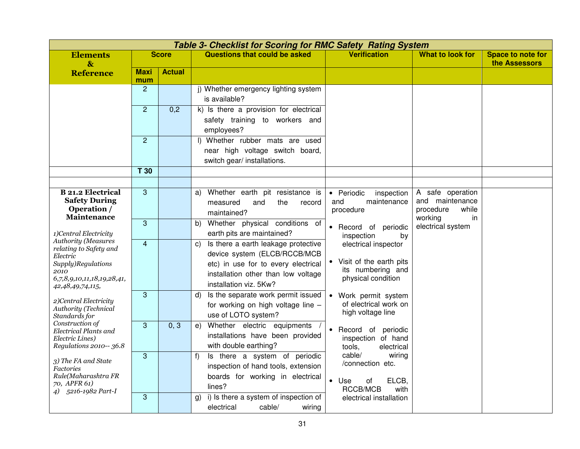|                                                                                                                                                                                          |                       |               | <b>Table 3- Checklist for Scoring for RMC Safety Rating System</b>                                                                                                                |                                                                                              |                                                           |                                           |
|------------------------------------------------------------------------------------------------------------------------------------------------------------------------------------------|-----------------------|---------------|-----------------------------------------------------------------------------------------------------------------------------------------------------------------------------------|----------------------------------------------------------------------------------------------|-----------------------------------------------------------|-------------------------------------------|
| <b>Elements</b><br>$\mathbf{\&}$                                                                                                                                                         |                       | <b>Score</b>  | <b>Questions that could be asked</b>                                                                                                                                              | <b>Verification</b>                                                                          | <b>What to look for</b>                                   | <b>Space to note for</b><br>the Assessors |
| <b>Reference</b>                                                                                                                                                                         | <b>Maxi</b>           | <b>Actual</b> |                                                                                                                                                                                   |                                                                                              |                                                           |                                           |
|                                                                                                                                                                                          | mum<br>$\overline{2}$ |               | i) Whether emergency lighting system<br>is available?                                                                                                                             |                                                                                              |                                                           |                                           |
|                                                                                                                                                                                          | $\overline{2}$        | 0,2           | k) Is there a provision for electrical<br>safety training to workers and<br>employees?                                                                                            |                                                                                              |                                                           |                                           |
|                                                                                                                                                                                          | $\overline{2}$        |               | I) Whether rubber mats are used<br>near high voltage switch board,<br>switch gear/ installations.                                                                                 |                                                                                              |                                                           |                                           |
|                                                                                                                                                                                          | T <sub>30</sub>       |               |                                                                                                                                                                                   |                                                                                              |                                                           |                                           |
|                                                                                                                                                                                          |                       |               |                                                                                                                                                                                   |                                                                                              |                                                           |                                           |
| <b>B</b> 21.2 Electrical<br><b>Safety During</b><br>Operation /                                                                                                                          | 3                     |               | Whether earth pit resistance is<br>a)<br>measured<br>the<br>and<br>record<br>maintained?                                                                                          | • Periodic<br>inspection<br>maintenance<br>and<br>procedure                                  | A safe operation<br>and maintenance<br>procedure<br>while |                                           |
| Maintenance<br>1)Central Electricity<br><b>Authority (Measures</b><br>relating to Safety and<br>Electric<br>Supply)Regulations<br>2010<br>6,7,8,9,10,11,18,19,28,41,<br>42,48,49,74,115, | $\mathbf{3}$          |               | Whether physical conditions of<br>b)<br>earth pits are maintained?                                                                                                                | • Record of periodic<br>inspection<br>by                                                     | working<br>in<br>electrical system                        |                                           |
|                                                                                                                                                                                          | $\overline{4}$        |               | Is there a earth leakage protective<br>C)<br>device system (ELCB/RCCB/MCB<br>etc) in use for to every electrical<br>installation other than low voltage<br>installation viz. 5Kw? | electrical inspector<br>• Visit of the earth pits<br>its numbering and<br>physical condition |                                                           |                                           |
| 2)Central Electricity<br>Authority (Technical<br>Standards for                                                                                                                           | $\mathbf{3}$          |               | Is the separate work permit issued<br>d)<br>for working on high voltage line -<br>use of LOTO system?                                                                             | • Work permit system<br>of electrical work on<br>high voltage line                           |                                                           |                                           |
| Construction of<br>Electrical Plants and<br>Electric Lines)<br>Regulations 2010-- 36.8                                                                                                   | 3                     | 0, 3          | Whether electric equipments<br>e)<br>installations have been provided<br>with double earthing?                                                                                    | • Record of periodic<br>inspection of hand<br>tools,<br>electrical                           |                                                           |                                           |
| 3) The FA and State<br><b>Factories</b><br>Rule(Maharashtra FR<br>70, APFR 61)                                                                                                           | $\mathbf{3}$          |               | Is there a system of periodic<br>f)<br>inspection of hand tools, extension<br>boards for working in electrical<br>lines?                                                          | cable/<br>wiring<br>/connection etc.<br>ELCB,<br>$\bullet$ Use<br>οf                         |                                                           |                                           |
| 4) 5216-1982 Part-I                                                                                                                                                                      | 3                     |               | i) Is there a system of inspection of<br>g)<br>electrical<br>cable/<br>wiring                                                                                                     | RCCB/MCB<br>with<br>electrical installation                                                  |                                                           |                                           |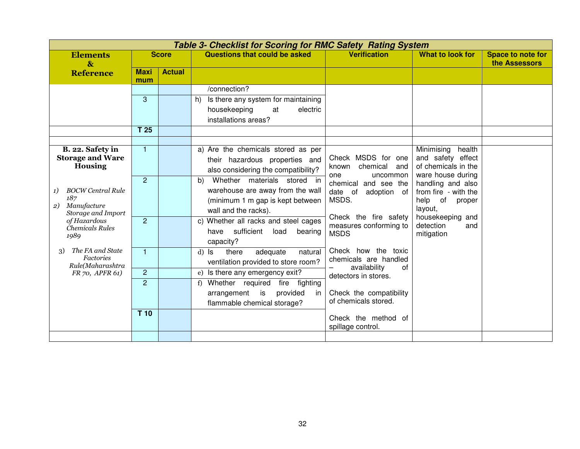|                                                                                                                                                                                                     | <b>Table 3- Checklist for Scoring for RMC Safety Rating System</b> |               |                                                                                                                                                                                                                                                                                                                                                |                                                                                                                                                                                                   |                                                                                                                                                                                                                             |                                           |  |  |  |  |
|-----------------------------------------------------------------------------------------------------------------------------------------------------------------------------------------------------|--------------------------------------------------------------------|---------------|------------------------------------------------------------------------------------------------------------------------------------------------------------------------------------------------------------------------------------------------------------------------------------------------------------------------------------------------|---------------------------------------------------------------------------------------------------------------------------------------------------------------------------------------------------|-----------------------------------------------------------------------------------------------------------------------------------------------------------------------------------------------------------------------------|-------------------------------------------|--|--|--|--|
| <b>Elements</b><br>$\boldsymbol{\&}$                                                                                                                                                                |                                                                    | <b>Score</b>  | Questions that could be asked                                                                                                                                                                                                                                                                                                                  | <b>Verification</b>                                                                                                                                                                               | <b>What to look for</b>                                                                                                                                                                                                     | <b>Space to note for</b><br>the Assessors |  |  |  |  |
| <b>Reference</b>                                                                                                                                                                                    | <b>Maxi</b><br>mum                                                 | <b>Actual</b> |                                                                                                                                                                                                                                                                                                                                                |                                                                                                                                                                                                   |                                                                                                                                                                                                                             |                                           |  |  |  |  |
|                                                                                                                                                                                                     | 3<br>T 25                                                          |               | /connection?<br>Is there any system for maintaining<br>h)<br>housekeeping<br>at<br>electric<br>installations areas?                                                                                                                                                                                                                            |                                                                                                                                                                                                   |                                                                                                                                                                                                                             |                                           |  |  |  |  |
|                                                                                                                                                                                                     |                                                                    |               |                                                                                                                                                                                                                                                                                                                                                |                                                                                                                                                                                                   |                                                                                                                                                                                                                             |                                           |  |  |  |  |
| B. 22. Safety in<br><b>Storage and Ware</b><br><b>Housing</b><br><b>BOCW Central Rule</b><br>1)<br>187<br>Manufacture<br>2)<br>Storage and Import<br>of Hazardous<br><b>Chemicals Rules</b><br>1989 | $\mathbf{1}$<br>$\overline{2}$<br>$\overline{2}$                   |               | a) Are the chemicals stored as per<br>their hazardous properties and<br>also considering the compatibility?<br>Whether materials stored in<br>b)<br>warehouse are away from the wall<br>(minimum 1 m gap is kept between<br>wall and the racks).<br>c) Whether all racks and steel cages<br>sufficient<br>load<br>bearing<br>have<br>capacity? | Check MSDS for one<br>chemical<br>known<br>and<br>uncommon<br>one<br>chemical<br>and see the<br>date of<br>adoption of<br>MSDS.<br>Check the fire safety<br>measures conforming to<br><b>MSDS</b> | Minimising<br>health<br>and safety effect<br>of chemicals in the<br>ware house during<br>handling and also<br>from fire - with the<br>of<br>help<br>proper<br>layout,<br>housekeeping and<br>detection<br>and<br>mitigation |                                           |  |  |  |  |
| The FA and State<br>3)<br><b>Factories</b><br>Rule(Maharashtra<br>FR 70, APFR 61)                                                                                                                   | $\mathbf{1}$<br>$\overline{2}$<br>$\overline{2}$<br>T 10           |               | $d)$ $ls$<br>there<br>adequate<br>natural<br>ventilation provided to store room?<br>Is there any emergency exit?<br>e)<br>Whether required<br>fire<br>fighting<br>f)<br>provided<br>is<br>arrangement<br>in<br>flammable chemical storage?                                                                                                     | Check how the toxic<br>chemicals are handled<br>availability<br>0f<br>detectors in stores.<br>Check the compatibility<br>of chemicals stored.<br>Check the method of<br>spillage control.         |                                                                                                                                                                                                                             |                                           |  |  |  |  |
|                                                                                                                                                                                                     |                                                                    |               |                                                                                                                                                                                                                                                                                                                                                |                                                                                                                                                                                                   |                                                                                                                                                                                                                             |                                           |  |  |  |  |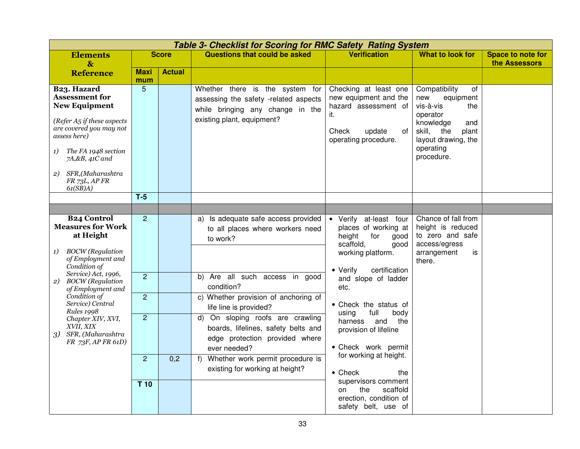|                                                                                                      | <b>Elements</b>                                                                                                                                                                                                                     |                                  |                                                                                                                           |                                                                                                                                            |                                                                                                                                                   |                                                                                                                                                                         | <b>Table 3- Checklist for Scoring for RMC Safety Rating System</b> |  |  |  |  |  |  |  |  |  |
|------------------------------------------------------------------------------------------------------|-------------------------------------------------------------------------------------------------------------------------------------------------------------------------------------------------------------------------------------|----------------------------------|---------------------------------------------------------------------------------------------------------------------------|--------------------------------------------------------------------------------------------------------------------------------------------|---------------------------------------------------------------------------------------------------------------------------------------------------|-------------------------------------------------------------------------------------------------------------------------------------------------------------------------|--------------------------------------------------------------------|--|--|--|--|--|--|--|--|--|
|                                                                                                      | $\mathbf{\&}$                                                                                                                                                                                                                       |                                  | <b>Score</b>                                                                                                              | <b>Questions that could be asked</b>                                                                                                       | <b>Verification</b>                                                                                                                               | <b>What to look for</b>                                                                                                                                                 | Space to note for<br>the Assessors                                 |  |  |  |  |  |  |  |  |  |
|                                                                                                      | <b>Reference</b>                                                                                                                                                                                                                    | <b>Maxi</b><br>mum               | <b>Actual</b>                                                                                                             |                                                                                                                                            |                                                                                                                                                   |                                                                                                                                                                         |                                                                    |  |  |  |  |  |  |  |  |  |
| 1)<br>2)                                                                                             | B <sub>2</sub> 3. Hazard<br><b>Assessment for</b><br><b>New Equipment</b><br>(Refer $A_5$ if these aspects<br>are covered you may not<br>assess here)<br>The FA 1948 section<br>7A,&B, 41C and<br>SFR,(Maharashtra<br>FR 73L, AP FR | 5                                |                                                                                                                           | Whether there is the system for<br>assessing the safety -related aspects<br>while bringing any change in the<br>existing plant, equipment? | Checking at least one<br>new equipment and the<br>hazard assessment of<br>it.<br>Check<br>update<br>of<br>operating procedure.                    | Compatibility<br>of<br>new<br>equipment<br>vis-à-vis<br>the<br>operator<br>knowledge<br>and<br>skill,<br>the<br>plant<br>layout drawing, the<br>operating<br>procedure. |                                                                    |  |  |  |  |  |  |  |  |  |
|                                                                                                      | 61(SB)A)                                                                                                                                                                                                                            | $T-5$                            |                                                                                                                           |                                                                                                                                            |                                                                                                                                                   |                                                                                                                                                                         |                                                                    |  |  |  |  |  |  |  |  |  |
|                                                                                                      |                                                                                                                                                                                                                                     |                                  |                                                                                                                           |                                                                                                                                            |                                                                                                                                                   |                                                                                                                                                                         |                                                                    |  |  |  |  |  |  |  |  |  |
| 1)                                                                                                   | <b>B24 Control</b><br><b>Measures for Work</b><br>at Height<br><b>BOCW</b> (Regulation<br>of Employment and<br>Condition of                                                                                                         | $\overline{2}$                   |                                                                                                                           | Is adequate safe access provided<br>a)<br>to all places where workers need<br>to work?                                                     | • Verify at-least four<br>places of working at<br>height<br>for<br>good<br>scaffold,<br>good<br>working platform.<br>certification<br>• Verify    | Chance of fall from<br>height is reduced<br>to zero and safe<br>access/egress<br>arrangement<br>is<br>there.                                                            |                                                                    |  |  |  |  |  |  |  |  |  |
| 2)                                                                                                   | Service) Act, 1996,<br><b>BOCW</b> (Regulation<br>of Employment and<br>Condition of<br>Service) Central                                                                                                                             | $\overline{2}$<br>$\overline{2}$ |                                                                                                                           | b) Are all such access in good<br>condition?<br>c) Whether provision of anchoring of<br>life line is provided?                             | and slope of ladder<br>etc.<br>• Check the status of                                                                                              |                                                                                                                                                                         |                                                                    |  |  |  |  |  |  |  |  |  |
| <b>Rules 1998</b><br>Chapter XIV, XVI,<br>XVII, XIX<br>SFR, (Maharashtra<br>3)<br>FR 73F, AP FR 61D) | $\overline{2}$                                                                                                                                                                                                                      |                                  | d) On sloping roofs are crawling<br>boards, lifelines, safety belts and<br>edge protection provided where<br>ever needed? | using<br>full<br>body<br>the<br>harness<br>and<br>provision of lifeline<br>• Check work permit                                             |                                                                                                                                                   |                                                                                                                                                                         |                                                                    |  |  |  |  |  |  |  |  |  |
|                                                                                                      |                                                                                                                                                                                                                                     | $\overline{c}$<br>T 10           | 0,2                                                                                                                       | Whether work permit procedure is<br>f<br>existing for working at height?                                                                   | for working at height.<br>$\bullet$ Check<br>the<br>supervisors comment<br>scaffold<br>the<br>on<br>erection, condition of<br>safety belt, use of |                                                                                                                                                                         |                                                                    |  |  |  |  |  |  |  |  |  |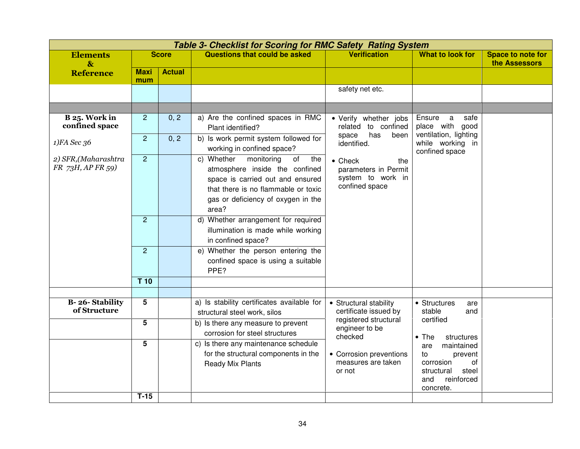|                                           |                    |               | <b>Table 3- Checklist for Scoring for RMC Safety Rating System</b>                                                                                                                                |                                                                                       |                                                                                                                |                                    |
|-------------------------------------------|--------------------|---------------|---------------------------------------------------------------------------------------------------------------------------------------------------------------------------------------------------|---------------------------------------------------------------------------------------|----------------------------------------------------------------------------------------------------------------|------------------------------------|
| <b>Elements</b><br>$\mathbf{g}$           |                    | <b>Score</b>  | <b>Questions that could be asked</b>                                                                                                                                                              | <b>Verification</b>                                                                   | <b>What to look for</b>                                                                                        | Space to note for<br>the Assessors |
| <b>Reference</b>                          | <b>Maxi</b><br>mum | <b>Actual</b> |                                                                                                                                                                                                   |                                                                                       |                                                                                                                |                                    |
|                                           |                    |               |                                                                                                                                                                                                   | safety net etc.                                                                       |                                                                                                                |                                    |
|                                           |                    |               |                                                                                                                                                                                                   |                                                                                       |                                                                                                                |                                    |
| B 25. Work in<br>confined space           | $\overline{2}$     | 0, 2          | a) Are the confined spaces in RMC<br>Plant identified?                                                                                                                                            | • Verify whether jobs<br>to confined<br>related                                       | Ensure<br>a<br>safe<br>place with good                                                                         |                                    |
| 1)FA Sec 36                               | $\overline{2}$     | 0, 2          | b) Is work permit system followed for<br>working in confined space?                                                                                                                               | has<br>space<br>been<br>identified.                                                   | ventilation, lighting<br>while working in<br>confined space                                                    |                                    |
| 2) SFR, (Maharashtra<br>FR 73H, AP FR 59) | 2                  |               | c) Whether<br>monitoring<br>of<br>the<br>atmosphere inside the confined<br>space is carried out and ensured<br>that there is no flammable or toxic<br>gas or deficiency of oxygen in the<br>area? | $\bullet$ Check<br>the<br>parameters in Permit<br>system to work in<br>confined space |                                                                                                                |                                    |
|                                           | $\overline{2}$     |               | d) Whether arrangement for required<br>illumination is made while working<br>in confined space?                                                                                                   |                                                                                       |                                                                                                                |                                    |
|                                           | $\overline{2}$     |               | e) Whether the person entering the<br>confined space is using a suitable<br>PPE?                                                                                                                  |                                                                                       |                                                                                                                |                                    |
|                                           | $T$ 10             |               |                                                                                                                                                                                                   |                                                                                       |                                                                                                                |                                    |
|                                           |                    |               |                                                                                                                                                                                                   |                                                                                       |                                                                                                                |                                    |
| <b>B-26-Stability</b><br>of Structure     | 5                  |               | a) Is stability certificates available for<br>structural steel work, silos                                                                                                                        | • Structural stability<br>certificate issued by                                       | • Structures<br>are<br>stable<br>and<br>certified                                                              |                                    |
|                                           | 5                  |               | b) Is there any measure to prevent<br>corrosion for steel structures                                                                                                                              | registered structural<br>engineer to be<br>checked                                    | $\bullet$ The<br>structures                                                                                    |                                    |
|                                           | 5<br>$T-15$        |               | c) Is there any maintenance schedule<br>for the structural components in the<br>Ready Mix Plants                                                                                                  | • Corrosion preventions<br>measures are taken<br>or not                               | maintained<br>are<br>to<br>prevent<br>corrosion<br>οf<br>steel<br>structural<br>reinforced<br>and<br>concrete. |                                    |
|                                           |                    |               |                                                                                                                                                                                                   |                                                                                       |                                                                                                                |                                    |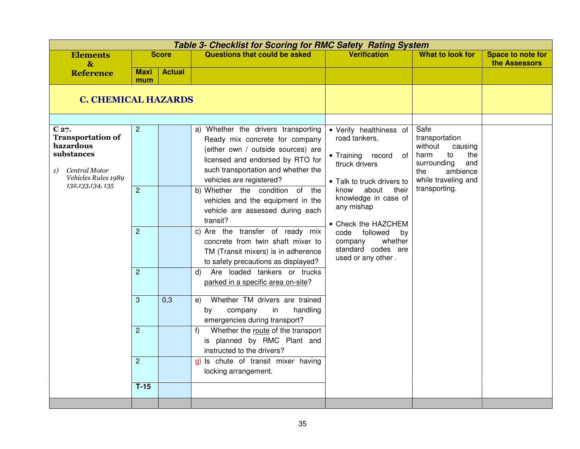| <b>Questions that could be asked</b><br><b>Verification</b><br><b>What to look for</b><br><b>Elements</b><br><b>Score</b><br><b>Space to note for</b><br>the Assessors<br>$\mathbf{\&}$<br><b>Actual</b><br><b>Maxi</b><br><b>Reference</b><br>mum<br><b>C. CHEMICAL HAZARDS</b><br>C27.<br>$\overline{c}$<br>a) Whether the drivers transporting<br>• Verify healthiness of<br>Safe<br><b>Transportation of</b><br>transportation<br>road tankers,<br>Ready mix concrete for company<br>hazardous<br>without<br>causing<br>(either own / outside sources) are<br>substances<br>harm<br>to<br>• Training record<br>the<br>of<br>licensed and endorsed by RTO for<br>surrounding<br>and<br>ttruck drivers<br>such transportation and whether the<br>Central Motor<br>1)<br>ambience<br>the<br>Vehicles Rules 1989<br>vehicles are registered?<br>while traveling and<br>• Talk to truck drivers to<br>132, 133, 134, 135<br>transporting.<br>b) Whether the condition of the<br>about<br>$\overline{2}$<br>know<br>their<br>knowledge in case of<br>vehicles and the equipment in the<br>any mishap<br>vehicle are assessed during each<br>transit?<br>• Check the HAZCHEM<br>$\overline{2}$<br>c) Are the transfer of ready mix<br>followed<br>code<br>by<br>concrete from twin shaft mixer to<br>whether<br>company<br>standard codes are<br>TM (Transit mixers) is in adherence<br>used or any other.<br>to safety precautions as displayed?<br>Are loaded tankers or trucks<br>$\overline{2}$<br>d)<br>parked in a specific area on-site?<br>3<br>Whether TM drivers are trained<br>0,3<br>e)<br>handling<br>by<br>company<br>in<br>emergencies during transport?<br>$\overline{2}$<br>Whether the route of the transport<br>f<br>is planned by RMC Plant and<br>instructed to the drivers?<br>$\overline{c}$<br>g) Is chute of transit mixer having<br>locking arrangement. | <b>Table 3- Checklist for Scoring for RMC Safety Rating System</b> |  |  |  |  |  |  |  |  |
|---------------------------------------------------------------------------------------------------------------------------------------------------------------------------------------------------------------------------------------------------------------------------------------------------------------------------------------------------------------------------------------------------------------------------------------------------------------------------------------------------------------------------------------------------------------------------------------------------------------------------------------------------------------------------------------------------------------------------------------------------------------------------------------------------------------------------------------------------------------------------------------------------------------------------------------------------------------------------------------------------------------------------------------------------------------------------------------------------------------------------------------------------------------------------------------------------------------------------------------------------------------------------------------------------------------------------------------------------------------------------------------------------------------------------------------------------------------------------------------------------------------------------------------------------------------------------------------------------------------------------------------------------------------------------------------------------------------------------------------------------------------------------------------------------------------------------------------------------------------------------------|--------------------------------------------------------------------|--|--|--|--|--|--|--|--|
|                                                                                                                                                                                                                                                                                                                                                                                                                                                                                                                                                                                                                                                                                                                                                                                                                                                                                                                                                                                                                                                                                                                                                                                                                                                                                                                                                                                                                                                                                                                                                                                                                                                                                                                                                                                                                                                                                 |                                                                    |  |  |  |  |  |  |  |  |
|                                                                                                                                                                                                                                                                                                                                                                                                                                                                                                                                                                                                                                                                                                                                                                                                                                                                                                                                                                                                                                                                                                                                                                                                                                                                                                                                                                                                                                                                                                                                                                                                                                                                                                                                                                                                                                                                                 |                                                                    |  |  |  |  |  |  |  |  |
|                                                                                                                                                                                                                                                                                                                                                                                                                                                                                                                                                                                                                                                                                                                                                                                                                                                                                                                                                                                                                                                                                                                                                                                                                                                                                                                                                                                                                                                                                                                                                                                                                                                                                                                                                                                                                                                                                 |                                                                    |  |  |  |  |  |  |  |  |
|                                                                                                                                                                                                                                                                                                                                                                                                                                                                                                                                                                                                                                                                                                                                                                                                                                                                                                                                                                                                                                                                                                                                                                                                                                                                                                                                                                                                                                                                                                                                                                                                                                                                                                                                                                                                                                                                                 | $T-15$                                                             |  |  |  |  |  |  |  |  |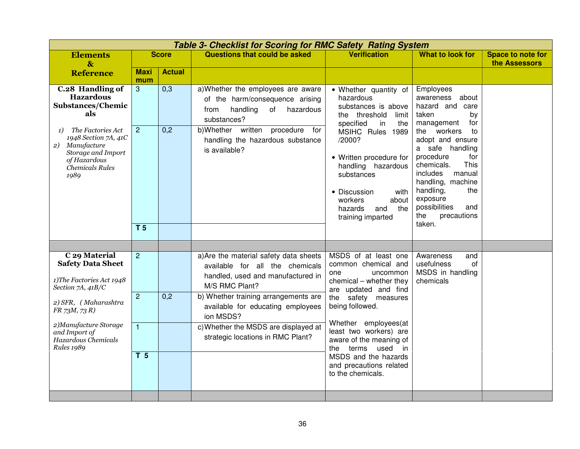|                                                                                                                                                                                                                               |                                                                    |               | <b>Table 3- Checklist for Scoring for RMC Safety Rating System</b>                                                                                                                                                                                                                                      |                                                                                                                                                                                                                                                                                                                                             |                                                                                                                                                                                                                                                                                                                                 |                                    |
|-------------------------------------------------------------------------------------------------------------------------------------------------------------------------------------------------------------------------------|--------------------------------------------------------------------|---------------|---------------------------------------------------------------------------------------------------------------------------------------------------------------------------------------------------------------------------------------------------------------------------------------------------------|---------------------------------------------------------------------------------------------------------------------------------------------------------------------------------------------------------------------------------------------------------------------------------------------------------------------------------------------|---------------------------------------------------------------------------------------------------------------------------------------------------------------------------------------------------------------------------------------------------------------------------------------------------------------------------------|------------------------------------|
| <b>Elements</b><br>$\mathbf{\&}$                                                                                                                                                                                              |                                                                    | <b>Score</b>  | <b>Questions that could be asked</b>                                                                                                                                                                                                                                                                    | <b>Verification</b>                                                                                                                                                                                                                                                                                                                         | <b>What to look for</b>                                                                                                                                                                                                                                                                                                         | Space to note for<br>the Assessors |
| <b>Reference</b>                                                                                                                                                                                                              | <b>Maxi</b><br>mum                                                 | <b>Actual</b> |                                                                                                                                                                                                                                                                                                         |                                                                                                                                                                                                                                                                                                                                             |                                                                                                                                                                                                                                                                                                                                 |                                    |
| <b>C.28 Handling of</b><br><b>Hazardous</b><br><b>Substances/Chemic</b><br>als                                                                                                                                                | 3                                                                  | 0,3           | a) Whether the employees are aware<br>of the harm/consequence arising<br>handling<br>hazardous<br>from<br>of<br>substances?                                                                                                                                                                             | • Whether quantity of<br>hazardous<br>substances is above<br>the threshold<br>limit<br>specified<br>in<br>the<br>MSIHC Rules 1989<br>/2000?<br>• Written procedure for<br>handling hazardous<br>substances<br>• Discussion<br>with<br>workers<br>about<br>hazards<br>the<br>and<br>training imparted                                        | Employees<br>about<br>awareness<br>hazard and care<br>taken<br>by<br>management<br>for<br>the workers<br>to<br>adopt and ensure<br>a safe handling<br>procedure<br>for<br>This<br>chemicals.<br>includes<br>manual<br>handling, machine<br>handling,<br>the<br>exposure<br>possibilities<br>and<br>the<br>precautions<br>taken. |                                    |
| The Factories Act<br>1)<br>1948 Section 7A, 41C<br>Manufacture<br>2)<br>Storage and Import<br>of Hazardous<br>Chemicals Rules<br>1989                                                                                         | $\overline{2}$<br>T <sub>5</sub>                                   | 0,2           | b)Whether written<br>procedure for<br>handling the hazardous substance<br>is available?                                                                                                                                                                                                                 |                                                                                                                                                                                                                                                                                                                                             |                                                                                                                                                                                                                                                                                                                                 |                                    |
|                                                                                                                                                                                                                               |                                                                    |               |                                                                                                                                                                                                                                                                                                         |                                                                                                                                                                                                                                                                                                                                             |                                                                                                                                                                                                                                                                                                                                 |                                    |
| C 29 Material<br><b>Safety Data Sheet</b><br>1) The Factories Act 1948<br>Section 7A, 41B/C<br>2) SFR, (Maharashtra<br>$FR$ 73M, 73 R)<br>2) Manufacture Storage<br>and Import of<br>Hazardous Chemicals<br><b>Rules 1989</b> | $\overline{2}$<br>$\overline{2}$<br>$\mathbf{1}$<br>T <sub>5</sub> | 0,2           | a) Are the material safety data sheets<br>available for all the chemicals<br>handled, used and manufactured in<br>M/S RMC Plant?<br>b) Whether training arrangements are<br>available for educating employees<br>ion MSDS?<br>c) Whether the MSDS are displayed at<br>strategic locations in RMC Plant? | MSDS of at least one<br>common chemical and<br>one<br>uncommon<br>chemical - whether they<br>are updated and find<br>the safety measures<br>being followed.<br>Whether employees(at<br>least two workers) are<br>aware of the meaning of<br>terms used<br>the<br>in<br>MSDS and the hazards<br>and precautions related<br>to the chemicals. | Awareness<br>and<br>of<br>usefulness<br>MSDS in handling<br>chemicals                                                                                                                                                                                                                                                           |                                    |
|                                                                                                                                                                                                                               |                                                                    |               |                                                                                                                                                                                                                                                                                                         |                                                                                                                                                                                                                                                                                                                                             |                                                                                                                                                                                                                                                                                                                                 |                                    |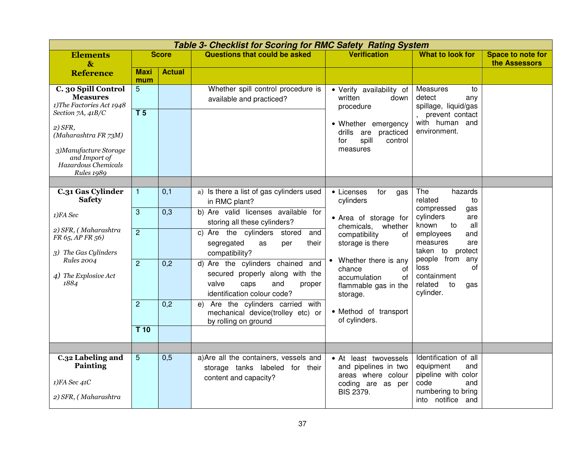|                                                                                                                                                                                                                     | Table 3- Checklist for Scoring for RMC Safety Rating System |               |                                                                                                                                         |                                                                                                                                                      |                                                                                                                            |                                           |  |  |  |  |
|---------------------------------------------------------------------------------------------------------------------------------------------------------------------------------------------------------------------|-------------------------------------------------------------|---------------|-----------------------------------------------------------------------------------------------------------------------------------------|------------------------------------------------------------------------------------------------------------------------------------------------------|----------------------------------------------------------------------------------------------------------------------------|-------------------------------------------|--|--|--|--|
| <b>Elements</b><br>$\mathbf{\&}$                                                                                                                                                                                    |                                                             | <b>Score</b>  | <b>Questions that could be asked</b>                                                                                                    | <b>Verification</b>                                                                                                                                  | <b>What to look for</b>                                                                                                    | <b>Space to note for</b><br>the Assessors |  |  |  |  |
| <b>Reference</b>                                                                                                                                                                                                    | <b>Maxi</b><br>mum                                          | <b>Actual</b> |                                                                                                                                         |                                                                                                                                                      |                                                                                                                            |                                           |  |  |  |  |
| C. 30 Spill Control<br><b>Measures</b><br>1)The Factories Act 1948<br>Section 7A, 41B/C<br>$2)$ SFR,<br>(Maharashtra FR 73M)<br>3) Manufacture Storage<br>and Import of<br>Hazardous Chemicals<br><b>Rules 1989</b> | 5<br>T <sub>5</sub>                                         |               | Whether spill control procedure is<br>available and practiced?                                                                          | • Verify availability of<br>written<br>down<br>procedure<br>• Whether emergency<br>drills<br>are<br>practiced<br>spill<br>for<br>control<br>measures | Measures<br>to<br>detect<br>any<br>spillage, liquid/gas<br>, prevent contact<br>with human and<br>environment.             |                                           |  |  |  |  |
|                                                                                                                                                                                                                     |                                                             |               |                                                                                                                                         |                                                                                                                                                      |                                                                                                                            |                                           |  |  |  |  |
| C.31 Gas Cylinder<br><b>Safety</b>                                                                                                                                                                                  | $\mathbf{1}$                                                | 0,1           | a) Is there a list of gas cylinders used<br>in RMC plant?                                                                               | • Licenses<br>for<br>gas<br>cylinders                                                                                                                | The<br>hazards<br>related<br>to                                                                                            |                                           |  |  |  |  |
| 1)FA Sec                                                                                                                                                                                                            | 3                                                           | 0,3           | b) Are valid licenses available for<br>storing all these cylinders?                                                                     | • Area of storage for<br>chemicals,<br>whether                                                                                                       | compressed<br>gas<br>cylinders<br>are<br>known<br>all<br>to                                                                |                                           |  |  |  |  |
| 2) SFR, (Maharashtra<br>FR 65, AP FR 56)<br>3) The Gas Cylinders                                                                                                                                                    | $\overline{2}$                                              |               | c) Are the cylinders<br>stored<br>and<br>segregated<br>their<br>as<br>per<br>compatibility?                                             | compatibility<br>of<br>storage is there                                                                                                              | employees<br>and<br>measures<br>are<br>taken to protect                                                                    |                                           |  |  |  |  |
| <b>Rules 2004</b><br>4) The Explosive Act<br>1884                                                                                                                                                                   | $\overline{2}$                                              | 0,2           | d) Are the cylinders chained<br>and<br>secured properly along with the<br>valve<br>caps<br>and<br>proper<br>identification colour code? | Whether there is any<br>chance<br>0f<br>accumulation<br>of<br>flammable gas in the<br>storage.                                                       | people from any<br>οf<br>loss<br>containment<br>related<br>to<br>gas<br>cylinder.                                          |                                           |  |  |  |  |
|                                                                                                                                                                                                                     | $\overline{2}$                                              | 0,2           | Are the cylinders carried with<br>e)<br>mechanical device(trolley etc) or<br>by rolling on ground                                       | • Method of transport<br>of cylinders.                                                                                                               |                                                                                                                            |                                           |  |  |  |  |
|                                                                                                                                                                                                                     | T <sub>10</sub>                                             |               |                                                                                                                                         |                                                                                                                                                      |                                                                                                                            |                                           |  |  |  |  |
|                                                                                                                                                                                                                     |                                                             |               |                                                                                                                                         |                                                                                                                                                      |                                                                                                                            |                                           |  |  |  |  |
| C.32 Labeling and<br>Painting<br>$1)FA$ Sec $41C$<br>2) SFR, (Maharashtra                                                                                                                                           | 5                                                           | 0,5           | a) Are all the containers, vessels and<br>storage tanks labeled for their<br>content and capacity?                                      | • At least twovessels<br>and pipelines in two<br>areas where colour<br>coding are as per<br><b>BIS 2379.</b>                                         | Identification of all<br>equipment<br>and<br>pipeline with color<br>code<br>and<br>numbering to bring<br>into notifice and |                                           |  |  |  |  |
|                                                                                                                                                                                                                     |                                                             |               |                                                                                                                                         |                                                                                                                                                      |                                                                                                                            |                                           |  |  |  |  |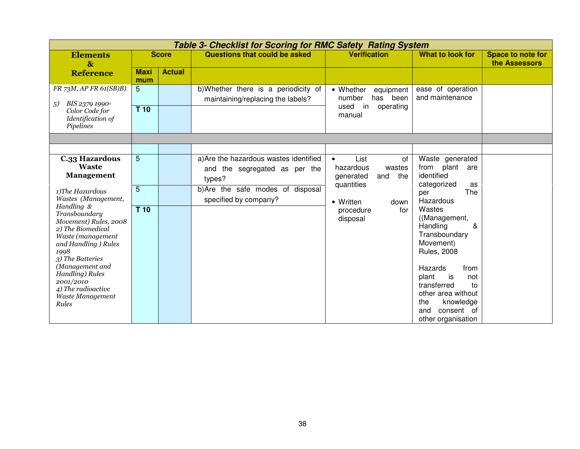| Table 3- Checklist for Scoring for RMC Safety Rating System                                                                                                                                                                                                 |                           |               |                                                                                                                                                |                                                                                                                                              |                                                                                                                                                                                                    |                                           |  |  |  |
|-------------------------------------------------------------------------------------------------------------------------------------------------------------------------------------------------------------------------------------------------------------|---------------------------|---------------|------------------------------------------------------------------------------------------------------------------------------------------------|----------------------------------------------------------------------------------------------------------------------------------------------|----------------------------------------------------------------------------------------------------------------------------------------------------------------------------------------------------|-------------------------------------------|--|--|--|
| <b>Elements</b><br>$\mathbf{\&}$                                                                                                                                                                                                                            |                           | <b>Score</b>  | Questions that could be asked                                                                                                                  | <b>Verification</b>                                                                                                                          | What to look for                                                                                                                                                                                   | <b>Space to note for</b><br>the Assessors |  |  |  |
| <b>Reference</b>                                                                                                                                                                                                                                            | <b>Maxi</b><br>mum        | <b>Actual</b> |                                                                                                                                                |                                                                                                                                              |                                                                                                                                                                                                    |                                           |  |  |  |
| FR 73M, AP FR 61(SB)B)<br>BIS 2379 1990-<br>5)<br>Color Code for<br>Identification of<br>Pipelines                                                                                                                                                          | 5<br>T 10                 |               | b) Whether there is a periodicity of<br>maintaining/replacing the labels?                                                                      | • Whether<br>equipment<br>has been<br>number<br>used<br>in<br>operating<br>manual                                                            | ease of operation<br>and maintenance                                                                                                                                                               |                                           |  |  |  |
|                                                                                                                                                                                                                                                             |                           |               |                                                                                                                                                |                                                                                                                                              |                                                                                                                                                                                                    |                                           |  |  |  |
| <b>C.33 Hazardous</b><br><b>Waste</b><br><b>Management</b><br>1) The Hazardous<br>Wastes (Management,<br>Handling &<br>Transboundary<br>Movement) Rules, 2008<br>2) The Biomedical<br>Waste (management<br>and Handling ) Rules<br>1998<br>3) The Batteries | 5<br>5<br>T <sub>10</sub> |               | a) Are the hazardous wastes identified<br>and the segregated as per the<br>types?<br>b)Are the safe modes of disposal<br>specified by company? | List<br>of<br>$\bullet$<br>hazardous<br>wastes<br>the<br>generated<br>and<br>quantities<br>• Written<br>down<br>for<br>procedure<br>disposal | Waste generated<br>from plant<br>are<br>identified<br>categorized<br>as<br>The<br>per<br>Hazardous<br>Wastes<br>((Management,<br>Handling<br>&<br>Transboundary<br>Movement)<br><b>Rules, 2008</b> |                                           |  |  |  |
| (Management and<br><b>Handling</b> ) Rules<br>2001/2010<br>4) The radioactive<br>Waste Management<br>Rules                                                                                                                                                  |                           |               |                                                                                                                                                |                                                                                                                                              | Hazards<br>from<br>plant<br>is<br>not<br>transferred<br>to<br>other area without<br>the<br>knowledge<br>consent of<br>and<br>other organisation                                                    |                                           |  |  |  |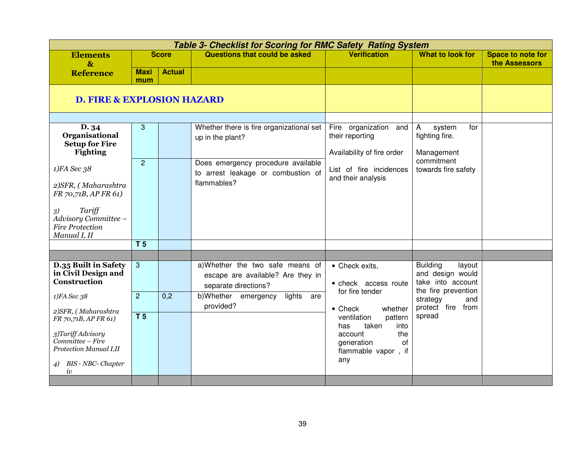|                                                                                | <b>Table 3- Checklist for Scoring for RMC Safety Rating System</b> |               |                                                                                              |                                                                        |                                                                                           |                                           |  |  |  |
|--------------------------------------------------------------------------------|--------------------------------------------------------------------|---------------|----------------------------------------------------------------------------------------------|------------------------------------------------------------------------|-------------------------------------------------------------------------------------------|-------------------------------------------|--|--|--|
| <b>Elements</b><br>$\boldsymbol{\&}$                                           |                                                                    | <b>Score</b>  | Questions that could be asked                                                                | <b>Verification</b>                                                    | <b>What to look for</b>                                                                   | <b>Space to note for</b><br>the Assessors |  |  |  |
| <b>Reference</b>                                                               | <b>Maxi</b><br>mum                                                 | <b>Actual</b> |                                                                                              |                                                                        |                                                                                           |                                           |  |  |  |
| <b>D. FIRE &amp; EXPLOSION HAZARD</b>                                          |                                                                    |               |                                                                                              |                                                                        |                                                                                           |                                           |  |  |  |
|                                                                                |                                                                    |               |                                                                                              |                                                                        |                                                                                           |                                           |  |  |  |
| D. 34<br>Organisational<br><b>Setup for Fire</b><br><b>Fighting</b>            | 3                                                                  |               | Whether there is fire organizational set<br>up in the plant?                                 | Fire organization and<br>their reporting<br>Availability of fire order | system<br>for<br>A<br>fighting fire.<br>Management                                        |                                           |  |  |  |
| 1)FA Sec 38                                                                    | 2                                                                  |               | Does emergency procedure available<br>to arrest leakage or combustion of<br>flammables?      | List of fire incidences<br>and their analysis                          | commitment<br>towards fire safety                                                         |                                           |  |  |  |
| 2) SFR, (Maharashtra<br>FR 70,71B, AP FR 61)                                   |                                                                    |               |                                                                                              |                                                                        |                                                                                           |                                           |  |  |  |
| Tariff<br>3)<br>Advisory Committee -<br><b>Fire Protection</b><br>Manual I, II |                                                                    |               |                                                                                              |                                                                        |                                                                                           |                                           |  |  |  |
|                                                                                | T <sub>5</sub>                                                     |               |                                                                                              |                                                                        |                                                                                           |                                           |  |  |  |
|                                                                                |                                                                    |               |                                                                                              |                                                                        |                                                                                           |                                           |  |  |  |
| D.35 Built in Safety<br>in Civil Design and<br><b>Construction</b>             | 3                                                                  |               | a)Whether the two safe means of<br>escape are available? Are they in<br>separate directions? | • Check exits,<br>• check access route<br>for fire tender              | <b>Building</b><br>layout<br>and design would<br>take into account<br>the fire prevention |                                           |  |  |  |
| 1)FA Sec 38<br>2)SFR, (Maharashtra                                             | $\overline{2}$                                                     | 0,2           | b)Whether emergency<br>lights are<br>provided?                                               | $\bullet$ Check<br>whether                                             | strategy<br>and<br>protect fire from                                                      |                                           |  |  |  |
| FR 70,71B, AP FR 61)                                                           | T <sub>5</sub>                                                     |               |                                                                                              | ventilation<br>pattern<br>taken<br>has<br>into                         | spread                                                                                    |                                           |  |  |  |
| 3)Tariff Advisory<br>Committee - Fire<br>Protection Manual I,II                |                                                                    |               |                                                                                              | the<br>account<br>of<br>generation<br>flammable vapor, if<br>any       |                                                                                           |                                           |  |  |  |
| BIS - NBC- Chapter<br>$\overline{4}$<br>iv                                     |                                                                    |               |                                                                                              |                                                                        |                                                                                           |                                           |  |  |  |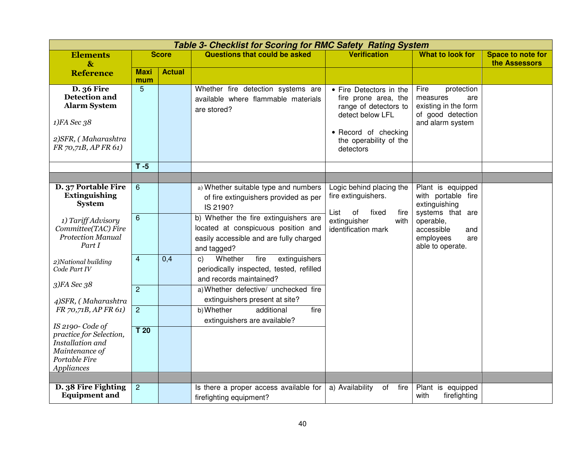|                                                                                                                                 | <b>Table 3- Checklist for Scoring for RMC Safety Rating System</b> |               |                                                                                                                                        |                                                                                                                                                             |                                                                                                        |                                           |  |  |  |
|---------------------------------------------------------------------------------------------------------------------------------|--------------------------------------------------------------------|---------------|----------------------------------------------------------------------------------------------------------------------------------------|-------------------------------------------------------------------------------------------------------------------------------------------------------------|--------------------------------------------------------------------------------------------------------|-------------------------------------------|--|--|--|
| <b>Elements</b><br>$\mathbf{r}$                                                                                                 |                                                                    | <b>Score</b>  | <b>Questions that could be asked</b>                                                                                                   | <b>Verification</b>                                                                                                                                         | <b>What to look for</b>                                                                                | <b>Space to note for</b><br>the Assessors |  |  |  |
| <b>Reference</b>                                                                                                                | <b>Maxi</b><br>mum                                                 | <b>Actual</b> |                                                                                                                                        |                                                                                                                                                             |                                                                                                        |                                           |  |  |  |
| <b>D.</b> 36 Fire<br><b>Detection and</b><br><b>Alarm System</b><br>1)FA Sec 38<br>2) SFR, (Maharashtra<br>FR 70,71B, AP FR 61) | 5                                                                  |               | Whether fire detection systems are<br>available where flammable materials<br>are stored?                                               | • Fire Detectors in the<br>fire prone area, the<br>range of detectors to<br>detect below LFL<br>• Record of checking<br>the operability of the<br>detectors | Fire<br>protection<br>measures<br>are<br>existing in the form<br>of good detection<br>and alarm system |                                           |  |  |  |
|                                                                                                                                 | $T - 5$                                                            |               |                                                                                                                                        |                                                                                                                                                             |                                                                                                        |                                           |  |  |  |
|                                                                                                                                 |                                                                    |               |                                                                                                                                        |                                                                                                                                                             |                                                                                                        |                                           |  |  |  |
| D. 37 Portable Fire<br><b>Extinguishing</b><br><b>System</b>                                                                    | 6                                                                  |               | a) Whether suitable type and numbers<br>of fire extinguishers provided as per<br>IS 2190?                                              | Logic behind placing the<br>fire extinguishers.<br>of<br>List<br>fixed<br>fire                                                                              | Plant is equipped<br>with portable fire<br>extinguishing<br>systems that are                           |                                           |  |  |  |
| 1) Tariff Advisory<br>Committee(TAC) Fire<br><b>Protection Manual</b><br>Part I                                                 | 6                                                                  |               | b) Whether the fire extinguishers are<br>located at conspicuous position and<br>easily accessible and are fully charged<br>and tagged? | extinguisher<br>with<br>identification mark                                                                                                                 | operable,<br>accessible<br>and<br>employees<br>are<br>able to operate.                                 |                                           |  |  |  |
| 2) National building<br>Code Part IV                                                                                            | 4                                                                  | 0,4           | Whether<br>extinguishers<br>fire<br>C)<br>periodically inspected, tested, refilled<br>and records maintained?                          |                                                                                                                                                             |                                                                                                        |                                           |  |  |  |
| 3)FA Sec 38<br>4)SFR, (Maharashtra                                                                                              | $\overline{2}$                                                     |               | a) Whether defective/ unchecked fire<br>extinguishers present at site?                                                                 |                                                                                                                                                             |                                                                                                        |                                           |  |  |  |
| FR 70,71B, AP FR 61)                                                                                                            | $\overline{2}$                                                     |               | b) Whether<br>additional<br>fire<br>extinguishers are available?                                                                       |                                                                                                                                                             |                                                                                                        |                                           |  |  |  |
| IS 2190-Code of<br>practice for Selection,<br>Installation and<br>Maintenance of<br>Portable Fire<br>Appliances                 | T <sub>20</sub>                                                    |               |                                                                                                                                        |                                                                                                                                                             |                                                                                                        |                                           |  |  |  |
|                                                                                                                                 |                                                                    |               |                                                                                                                                        |                                                                                                                                                             |                                                                                                        |                                           |  |  |  |
| D. 38 Fire Fighting<br><b>Equipment and</b>                                                                                     | $\overline{c}$                                                     |               | Is there a proper access available for<br>firefighting equipment?                                                                      | a) Availability<br>fire<br>of                                                                                                                               | Plant is equipped<br>with<br>firefighting                                                              |                                           |  |  |  |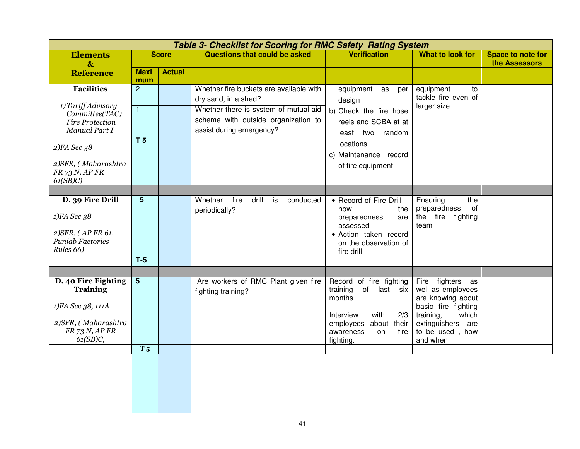|                         | <b>Table 3- Checklist for Scoring for RMC Safety Rating System</b> |               |                                             |                                 |                                           |                          |  |  |  |  |
|-------------------------|--------------------------------------------------------------------|---------------|---------------------------------------------|---------------------------------|-------------------------------------------|--------------------------|--|--|--|--|
| <b>Elements</b>         |                                                                    | <b>Score</b>  | <b>Questions that could be asked</b>        | <b>Verification</b>             | What to look for                          | <b>Space to note for</b> |  |  |  |  |
| $\boldsymbol{\&}$       |                                                                    |               |                                             |                                 |                                           | the Assessors            |  |  |  |  |
| <b>Reference</b>        | <b>Maxi</b><br>mum                                                 | <b>Actual</b> |                                             |                                 |                                           |                          |  |  |  |  |
| <b>Facilities</b>       | $\overline{2}$                                                     |               | Whether fire buckets are available with     | equipment as<br>per             | equipment<br>to                           |                          |  |  |  |  |
|                         |                                                                    |               | dry sand, in a shed?                        |                                 | tackle fire even of                       |                          |  |  |  |  |
| 1) Tariff Advisory      | $\overline{1}$                                                     |               | Whether there is system of mutual-aid       | design                          | larger size                               |                          |  |  |  |  |
| Committee(TAC)          |                                                                    |               |                                             | b) Check the fire hose          |                                           |                          |  |  |  |  |
| <b>Fire Protection</b>  |                                                                    |               | scheme with outside organization to         | reels and SCBA at at            |                                           |                          |  |  |  |  |
| Manual Part I           |                                                                    |               | assist during emergency?                    | two random<br>least             |                                           |                          |  |  |  |  |
| $2)FA$ Sec 38           | <b>T5</b>                                                          |               |                                             | locations                       |                                           |                          |  |  |  |  |
|                         |                                                                    |               |                                             | c) Maintenance record           |                                           |                          |  |  |  |  |
| 2) SFR, (Maharashtra    |                                                                    |               |                                             | of fire equipment               |                                           |                          |  |  |  |  |
| FR 73 N, AP FR          |                                                                    |               |                                             |                                 |                                           |                          |  |  |  |  |
| 61(SB)C                 |                                                                    |               |                                             |                                 |                                           |                          |  |  |  |  |
|                         |                                                                    |               |                                             |                                 |                                           |                          |  |  |  |  |
| D. 39 Fire Drill        | $5\phantom{.0}$                                                    |               | Whether<br>fire<br>drill<br>is<br>conducted | • Record of Fire Drill -        | the<br>Ensuring                           |                          |  |  |  |  |
| 1)FA Sec 38             |                                                                    |               | periodically?                               | how<br>the                      | of<br>preparedness                        |                          |  |  |  |  |
|                         |                                                                    |               |                                             | preparedness<br>are<br>assessed | the fire<br>fighting<br>team              |                          |  |  |  |  |
| 2) SFR, (AP FR 61,      |                                                                    |               |                                             | · Action taken record           |                                           |                          |  |  |  |  |
| <b>Punjab Factories</b> |                                                                    |               |                                             | on the observation of           |                                           |                          |  |  |  |  |
| Rules 66)               |                                                                    |               |                                             | fire drill                      |                                           |                          |  |  |  |  |
|                         | $T-5$                                                              |               |                                             |                                 |                                           |                          |  |  |  |  |
|                         |                                                                    |               |                                             |                                 |                                           |                          |  |  |  |  |
| D. 40 Fire Fighting     | $5\phantom{1}$                                                     |               | Are workers of RMC Plant given fire         | Record of fire fighting         | Fire fighters as                          |                          |  |  |  |  |
| <b>Training</b>         |                                                                    |               | fighting training?                          | training<br>of<br>last six      | well as employees                         |                          |  |  |  |  |
|                         |                                                                    |               |                                             | months.                         | are knowing about                         |                          |  |  |  |  |
| 1)FA Sec 38, 111A       |                                                                    |               |                                             | with<br>2/3<br>Interview        | basic fire fighting<br>training,<br>which |                          |  |  |  |  |
| 2) SFR, (Maharashtra    |                                                                    |               |                                             | employees<br>about their        | extinguishers are                         |                          |  |  |  |  |
| FR 73 N, AP FR          |                                                                    |               |                                             | fire<br>awareness<br>on         | to be used, how                           |                          |  |  |  |  |
| $61(SB)C$ ,             |                                                                    |               |                                             | fighting.                       | and when                                  |                          |  |  |  |  |
|                         | T <sub>5</sub>                                                     |               |                                             |                                 |                                           |                          |  |  |  |  |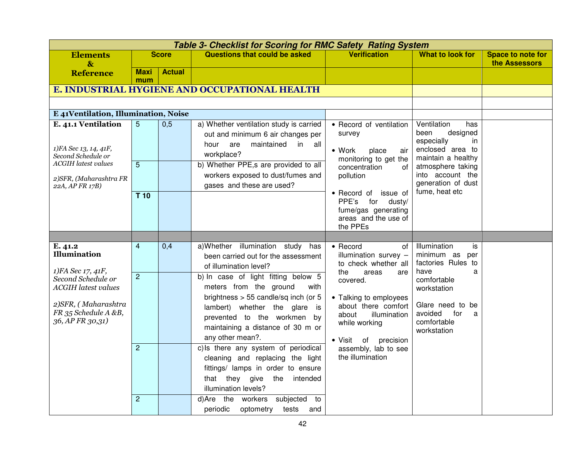|                                                                          |                    |               | Table 3- Checklist for Scoring for RMC Safety Rating System                                                                                                                 |                                                                                                                             |                                                                                                             |                                           |
|--------------------------------------------------------------------------|--------------------|---------------|-----------------------------------------------------------------------------------------------------------------------------------------------------------------------------|-----------------------------------------------------------------------------------------------------------------------------|-------------------------------------------------------------------------------------------------------------|-------------------------------------------|
| <b>Elements</b><br>$\mathbf{\&}$                                         |                    | <b>Score</b>  | <b>Questions that could be asked</b>                                                                                                                                        | <b>Verification</b>                                                                                                         | <b>What to look for</b>                                                                                     | <b>Space to note for</b><br>the Assessors |
| <b>Reference</b>                                                         | <b>Maxi</b><br>mum | <b>Actual</b> |                                                                                                                                                                             |                                                                                                                             |                                                                                                             |                                           |
|                                                                          |                    |               | E. INDUSTRIAL HYGIENE AND OCCUPATIONAL HEALTH                                                                                                                               |                                                                                                                             |                                                                                                             |                                           |
|                                                                          |                    |               |                                                                                                                                                                             |                                                                                                                             |                                                                                                             |                                           |
| E 41Ventilation, Illumination, Noise                                     |                    |               |                                                                                                                                                                             |                                                                                                                             |                                                                                                             |                                           |
| E. 41.1 Ventilation<br>1)FA Sec 13, 14, 41F,<br>Second Schedule or       | 5                  | 0,5           | a) Whether ventilation study is carried<br>out and minimum 6 air changes per<br>are<br>maintained<br>in all<br>hour<br>workplace?                                           | • Record of ventilation<br>survey<br>$\bullet$ Work<br>place<br>air                                                         | Ventilation<br>has<br>designed<br>been<br>especially<br><i>in</i><br>enclosed area to<br>maintain a healthy |                                           |
| <b>ACGIH</b> latest values<br>2) SFR, (Maharashtra FR<br>22A, AP FR 17B) | 5                  |               | b) Whether PPE,s are provided to all<br>workers exposed to dust/fumes and<br>gases and these are used?                                                                      | monitoring to get the<br>concentration<br>of<br>pollution                                                                   | atmosphere taking<br>into account the<br>generation of dust                                                 |                                           |
|                                                                          | T 10               |               |                                                                                                                                                                             | fume, heat etc<br>• Record of issue of<br>PPE's<br>for<br>dusty/<br>fume/gas generating<br>areas and the use of<br>the PPEs |                                                                                                             |                                           |
|                                                                          |                    |               |                                                                                                                                                                             |                                                                                                                             |                                                                                                             |                                           |
| E. 41.2<br><b>Illumination</b><br>1)FA Sec 17, 41F,                      | $\overline{4}$     | 0,4           | a)Whether illumination study has<br>been carried out for the assessment<br>of illumination level?                                                                           | • Record<br>of<br>illumination survey -<br>to check whether all<br>the<br>areas<br>are                                      | Illumination<br>is<br>minimum as<br>per<br>factories Rules to<br>have<br>a                                  |                                           |
| Second Schedule or<br><b>ACGIH</b> latest values                         | $\overline{2}$     |               | b) In case of light fitting below 5<br>meters from the ground<br>with<br>brightness $> 55$ candle/sq inch (or 5                                                             | covered.<br>• Talking to employees                                                                                          | comfortable<br>workstation                                                                                  |                                           |
| 2) SFR, (Maharashtra<br>FR 35 Schedule A &B,<br>36, AP FR 30,31)         |                    |               | lambert) whether the glare is<br>prevented to the workmen by<br>maintaining a distance of 30 m or<br>any other mean?.                                                       | about there comfort<br>illumination<br>about<br>while working<br>· Visit of precision                                       | Glare need to be<br>avoided for<br>a<br>comfortable<br>workstation                                          |                                           |
|                                                                          | 2                  |               | c) Is there any system of periodical<br>cleaning and replacing the light<br>fittings/ lamps in order to ensure<br>that they give<br>the<br>intended<br>illumination levels? | assembly, lab to see<br>the illumination                                                                                    |                                                                                                             |                                           |
|                                                                          | $\overline{2}$     |               | d)Are the workers<br>subjected to<br>periodic<br>optometry<br>tests<br>and                                                                                                  |                                                                                                                             |                                                                                                             |                                           |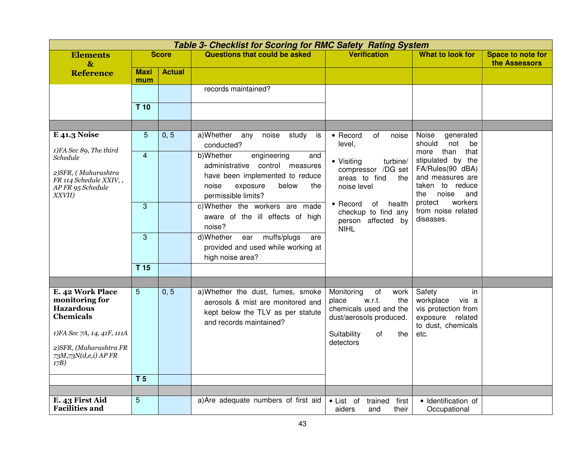|                                                                                                                                                                     |                    |               | Table 3- Checklist for Scoring for RMC Safety Rating System                                                                                                       |                                                                                                                                                  |                                                                                                                             |                                    |
|---------------------------------------------------------------------------------------------------------------------------------------------------------------------|--------------------|---------------|-------------------------------------------------------------------------------------------------------------------------------------------------------------------|--------------------------------------------------------------------------------------------------------------------------------------------------|-----------------------------------------------------------------------------------------------------------------------------|------------------------------------|
| <b>Elements</b><br>$\mathbf{\&}$                                                                                                                                    |                    | <b>Score</b>  | <b>Questions that could be asked</b>                                                                                                                              | <b>Verification</b>                                                                                                                              | <b>What to look for</b>                                                                                                     | Space to note for<br>the Assessors |
| <b>Reference</b>                                                                                                                                                    | <b>Maxi</b><br>mum | <b>Actual</b> |                                                                                                                                                                   |                                                                                                                                                  |                                                                                                                             |                                    |
|                                                                                                                                                                     |                    |               | records maintained?                                                                                                                                               |                                                                                                                                                  |                                                                                                                             |                                    |
|                                                                                                                                                                     | T <sub>10</sub>    |               |                                                                                                                                                                   |                                                                                                                                                  |                                                                                                                             |                                    |
|                                                                                                                                                                     |                    |               |                                                                                                                                                                   |                                                                                                                                                  |                                                                                                                             |                                    |
| <b>E</b> 41.3 Noise                                                                                                                                                 | 5                  | 0, 5          | a)Whether<br>noise<br>any<br>study<br>is<br>conducted?                                                                                                            | • Record<br>of<br>noise<br>level,                                                                                                                | Noise<br>generated<br>should<br>not<br>be                                                                                   |                                    |
| 1)FA Sec 89, The third<br><b>Schedule</b><br>2) SFR, (Maharashtra<br>FR 114 Schedule XXIV,,<br>AP FR 95 Schedule<br>XXVII)                                          | $\overline{4}$     |               | b)Whether<br>engineering<br>and<br>administrative control measures<br>have been implemented to reduce<br>exposure<br>below<br>noise<br>the<br>permissible limits? | • Visiting<br>turbine/<br>compressor /DG set<br>areas to find<br>the<br>noise level                                                              | that<br>than<br>more<br>stipulated by the<br>FA/Rules(90 dBA)<br>and measures are<br>taken to reduce<br>noise<br>the<br>and |                                    |
|                                                                                                                                                                     | 3                  |               | c)Whether the workers are made<br>aware of the ill effects of high<br>noise?                                                                                      | $\bullet$ Record<br>of<br>health<br>checkup to find any<br>person affected by<br><b>NIHL</b>                                                     | workers<br>protect<br>from noise related<br>diseases.                                                                       |                                    |
|                                                                                                                                                                     | 3                  |               | muffs/plugs<br>d)Whether<br>ear<br>are<br>provided and used while working at<br>high noise area?                                                                  |                                                                                                                                                  |                                                                                                                             |                                    |
|                                                                                                                                                                     | T <sub>15</sub>    |               |                                                                                                                                                                   |                                                                                                                                                  |                                                                                                                             |                                    |
|                                                                                                                                                                     |                    |               |                                                                                                                                                                   |                                                                                                                                                  |                                                                                                                             |                                    |
| E. 42 Work Place<br>monitoring for<br><b>Hazardous</b><br><b>Chemicals</b><br>1)FA Sec 7A, 14, 41F, 111A<br>2) SFR, (Maharashtra FR<br>73M,73N(d,e,i) AP FR<br>17B) | 5                  | 0, 5          | a) Whether the dust, fumes, smoke<br>aerosols & mist are monitored and<br>kept below the TLV as per statute<br>and records maintained?                            | Monitoring<br>of<br>work<br>w.r.t.<br>the<br>place<br>chemicals used and the<br>dust/aerosols produced.<br>Suitability<br>of<br>the<br>detectors | Safety<br>in<br>workplace<br>vis a<br>vis protection from<br>exposure related<br>to dust, chemicals<br>etc.                 |                                    |
|                                                                                                                                                                     | T <sub>5</sub>     |               |                                                                                                                                                                   |                                                                                                                                                  |                                                                                                                             |                                    |
|                                                                                                                                                                     |                    |               |                                                                                                                                                                   |                                                                                                                                                  |                                                                                                                             |                                    |
| E. 43 First Aid<br><b>Facilities and</b>                                                                                                                            | 5                  |               | a) Are adequate numbers of first aid                                                                                                                              | first<br>• List of<br>trained<br>aiders<br>and<br>their                                                                                          | · Identification of<br>Occupational                                                                                         |                                    |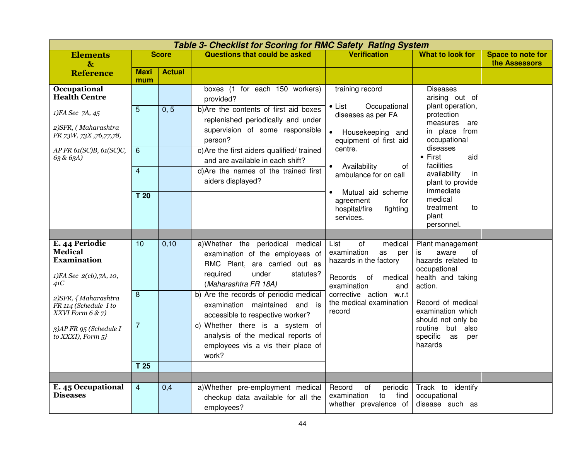|                                                                    |                    | <b>Table 3- Checklist for Scoring for RMC Safety Rating System</b> |                                                                                                                      |                                                                                              |                                                                              |                                           |  |  |  |  |  |
|--------------------------------------------------------------------|--------------------|--------------------------------------------------------------------|----------------------------------------------------------------------------------------------------------------------|----------------------------------------------------------------------------------------------|------------------------------------------------------------------------------|-------------------------------------------|--|--|--|--|--|
| <b>Elements</b><br>$\mathbf{\&}$                                   |                    | <b>Score</b>                                                       | <b>Questions that could be asked</b>                                                                                 | <b>Verification</b>                                                                          | <b>What to look for</b>                                                      | <b>Space to note for</b><br>the Assessors |  |  |  |  |  |
| <b>Reference</b>                                                   | <b>Maxi</b><br>mum | <b>Actual</b>                                                      |                                                                                                                      |                                                                                              |                                                                              |                                           |  |  |  |  |  |
| Occupational<br><b>Health Centre</b>                               |                    |                                                                    | boxes (1 for each 150 workers)<br>provided?                                                                          | training record                                                                              | <b>Diseases</b><br>arising out of                                            |                                           |  |  |  |  |  |
| 1)FA Sec 7A, 45<br>2)SFR, (Maharashtra                             | $\overline{5}$     | 0, 5                                                               | b)Are the contents of first aid boxes<br>replenished periodically and under<br>supervision of some responsible       | Occupational<br>∙ List<br>diseases as per FA                                                 | plant operation,<br>protection<br>measures<br>are                            |                                           |  |  |  |  |  |
| FR 73W, 73X ,76,77,78,                                             |                    |                                                                    | person?                                                                                                              | $\bullet$<br>Housekeeping and<br>equipment of first aid                                      | in place from<br>occupational                                                |                                           |  |  |  |  |  |
| AP FR 61(SC)B, 61(SC)C,<br>6.3 & 6.3A                              | 6                  |                                                                    | c) Are the first aiders qualified/ trained<br>and are available in each shift?                                       | centre.<br>Availability<br>of<br>$\bullet$                                                   | diseases<br>$\bullet$ First<br>aid<br>facilities                             |                                           |  |  |  |  |  |
|                                                                    | $\overline{4}$     |                                                                    | d) Are the names of the trained first<br>aiders displayed?                                                           | ambulance for on call                                                                        | availability<br><i>in</i><br>plant to provide<br>immediate                   |                                           |  |  |  |  |  |
|                                                                    | T 20               |                                                                    |                                                                                                                      | Mutual aid scheme<br>$\bullet$<br>agreement<br>for<br>hospital/fire<br>fighting<br>services. | medical<br>treatment<br>to<br>plant<br>personnel.                            |                                           |  |  |  |  |  |
|                                                                    |                    |                                                                    |                                                                                                                      |                                                                                              |                                                                              |                                           |  |  |  |  |  |
| E. 44 Periodic<br><b>Medical</b><br><b>Examination</b>             | 10                 | 0,10                                                               | a)Whether the periodical medical<br>examination of the employees of<br>RMC Plant, are carried out as                 | of<br>List<br>medical<br>examination<br>as<br>per<br>hazards in the factory                  | Plant management<br>aware<br>is.<br>0f<br>hazards related to<br>occupational |                                           |  |  |  |  |  |
| 1)FA Sec 2(cb),7A, 10,<br>41C                                      |                    |                                                                    | required<br>under<br>statutes?<br>(Maharashtra FR 18A)                                                               | Records<br>of<br>medical<br>examination<br>and                                               | health and taking<br>action.                                                 |                                           |  |  |  |  |  |
| 2) SFR, { Maharashtra<br>FR 114 (Schedule I to<br>XXVI Form 6 & 7) | $\,8\,$            |                                                                    | b) Are the records of periodic medical<br>examination maintained and is<br>accessible to respective worker?          | corrective action w.r.t<br>the medical examination<br>record                                 | Record of medical<br>examination which<br>should not only be                 |                                           |  |  |  |  |  |
| 3)AP FR 95 (Schedule I<br>to XXXI), Form $5$ }                     | $\overline{7}$     |                                                                    | c) Whether there is a system of<br>analysis of the medical reports of<br>employees vis a vis their place of<br>work? |                                                                                              | routine but also<br>specific<br>as<br>per<br>hazards                         |                                           |  |  |  |  |  |
|                                                                    | T <sub>25</sub>    |                                                                    |                                                                                                                      |                                                                                              |                                                                              |                                           |  |  |  |  |  |
|                                                                    |                    |                                                                    |                                                                                                                      |                                                                                              |                                                                              |                                           |  |  |  |  |  |
| E. 45 Occupational<br><b>Diseases</b>                              | $\overline{4}$     | 0,4                                                                | a) Whether pre-employment medical<br>checkup data available for all the<br>employees?                                | Record<br>of<br>periodic<br>examination<br>find<br>to<br>whether prevalence of               | Track to identify<br>occupational<br>disease such as                         |                                           |  |  |  |  |  |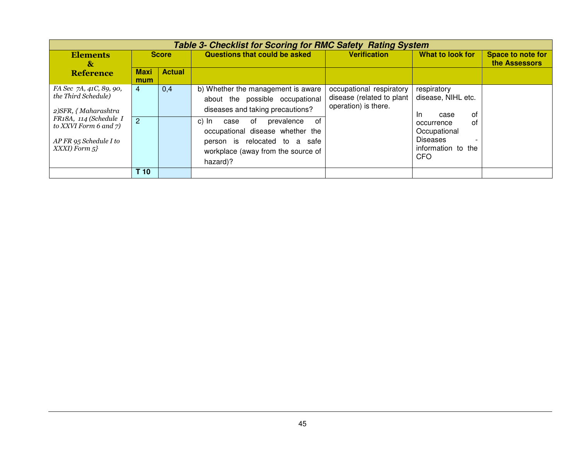|                                                                                                                                                                            | <b>Table 3- Checklist for Scoring for RMC Safety Rating System</b> |               |                                                                                                                                                                                                                                                                             |                                                                               |                                                                                                                                                                               |                                           |  |  |  |  |
|----------------------------------------------------------------------------------------------------------------------------------------------------------------------------|--------------------------------------------------------------------|---------------|-----------------------------------------------------------------------------------------------------------------------------------------------------------------------------------------------------------------------------------------------------------------------------|-------------------------------------------------------------------------------|-------------------------------------------------------------------------------------------------------------------------------------------------------------------------------|-------------------------------------------|--|--|--|--|
| <b>Elements</b><br>$\mathbf{\alpha}$                                                                                                                                       | <b>Score</b>                                                       |               | Questions that could be asked                                                                                                                                                                                                                                               | <b>Verification</b>                                                           | What to look for                                                                                                                                                              | <b>Space to note for</b><br>the Assessors |  |  |  |  |
| <b>Reference</b>                                                                                                                                                           | <b>Maxi</b><br>mum                                                 | <b>Actual</b> |                                                                                                                                                                                                                                                                             |                                                                               |                                                                                                                                                                               |                                           |  |  |  |  |
| FA Sec 7A, 41C, 89, 90,<br>the Third Schedule)<br>2) SFR, { Maharashtra<br>FR18A, 114 (Schedule I<br>to XXVI Form 6 and 7)<br>$AP$ FR 95 Schedule I to<br>$XXXI)$ Form $5$ | $\overline{4}$<br>$\overline{2}$                                   | 0,4           | b) Whether the management is aware<br>about the possible occupational<br>diseases and taking precautions?<br>of<br>c) In<br>prevalence<br>0f<br>case<br>occupational disease whether the<br>person is relocated to a safe<br>workplace (away from the source of<br>hazard)? | occupational respiratory<br>disease (related to plant<br>operation) is there. | respiratory<br>disease, NIHL etc.<br>0f<br>In.<br>case<br>οf<br>occurrence<br>Occupational<br><b>Diseases</b><br>$\overline{\phantom{a}}$<br>information to the<br><b>CFO</b> |                                           |  |  |  |  |
|                                                                                                                                                                            | T <sub>10</sub>                                                    |               |                                                                                                                                                                                                                                                                             |                                                                               |                                                                                                                                                                               |                                           |  |  |  |  |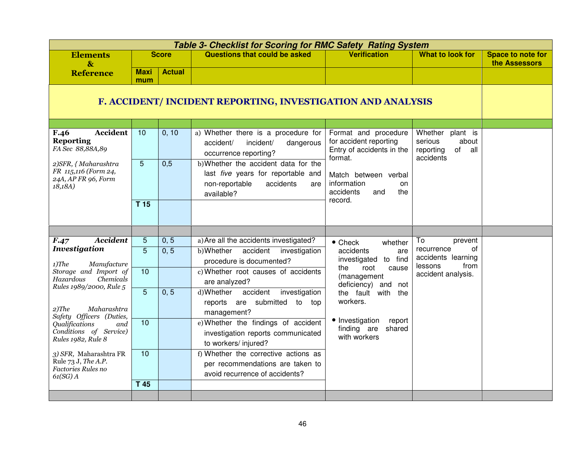|                                                                                 |                                                             |               | <b>Table 3- Checklist for Scoring for RMC Safety Rating System</b>                                                             |                                                                                        |                                                                                |                                           |  |  |
|---------------------------------------------------------------------------------|-------------------------------------------------------------|---------------|--------------------------------------------------------------------------------------------------------------------------------|----------------------------------------------------------------------------------------|--------------------------------------------------------------------------------|-------------------------------------------|--|--|
| <b>Elements</b><br>$\mathbf{g}$                                                 |                                                             | <b>Score</b>  | Questions that could be asked                                                                                                  | <b>Verification</b>                                                                    | <b>What to look for</b>                                                        | <b>Space to note for</b><br>the Assessors |  |  |
| <b>Reference</b>                                                                | <b>Maxi</b><br>mum                                          | <b>Actual</b> |                                                                                                                                |                                                                                        |                                                                                |                                           |  |  |
|                                                                                 | F. ACCIDENT/ INCIDENT REPORTING, INVESTIGATION AND ANALYSIS |               |                                                                                                                                |                                                                                        |                                                                                |                                           |  |  |
|                                                                                 |                                                             |               |                                                                                                                                |                                                                                        |                                                                                |                                           |  |  |
| Accident<br>F.46<br><b>Reporting</b><br>FA Sec 88,88A,89                        | $\overline{10}$                                             | 0, 10         | a) Whether there is a procedure for<br>incident/<br>accident/<br>dangerous<br>occurrence reporting?                            | Format and procedure<br>for accident reporting<br>Entry of accidents in the<br>format. | Whether<br>plant is<br>serious<br>about<br>of<br>reporting<br>all<br>accidents |                                           |  |  |
| 2) SFR, { Maharashtra<br>FR 115,116 (Form 24,<br>24A, AP FR 96, Form<br>18.18A) | 5                                                           | 0,5           | b) Whether the accident data for the<br>last five years for reportable and<br>accidents<br>non-reportable<br>are<br>available? | Match between verbal<br>information<br>on<br>accidents<br>the<br>and                   |                                                                                |                                           |  |  |
|                                                                                 | T <sub>15</sub>                                             |               |                                                                                                                                | record.                                                                                |                                                                                |                                           |  |  |
|                                                                                 |                                                             |               |                                                                                                                                |                                                                                        |                                                                                |                                           |  |  |
| <b>Accident</b><br>F.47                                                         | $\overline{5}$                                              | 0, 5          | a) Are all the accidents investigated?                                                                                         | $\bullet$ Check<br>whether                                                             | To<br>prevent                                                                  |                                           |  |  |
| <b>Investigation</b><br>$1)$ The<br>Manufacture                                 | $\overline{5}$                                              | 0, 5          | b)Whether<br>accident<br>investigation<br>procedure is documented?                                                             | accidents<br>are<br>investigated to find                                               | of<br>recurrence<br>accidents learning<br>lessons<br>from                      |                                           |  |  |
| Storage and Import of<br>Chemicals<br>Hazardous                                 | 10                                                          |               | c) Whether root causes of accidents<br>are analyzed?                                                                           | root<br>the<br>cause<br>(management<br>deficiency) and<br>not                          | accident analysis.                                                             |                                           |  |  |
| Rules 1989/2000, Rule 5                                                         | $\overline{5}$                                              | 0, 5          | accident<br>d)Whether<br>investigation                                                                                         | the fault with<br>the                                                                  |                                                                                |                                           |  |  |
| $2)$ The<br>Maharashtra<br>Safety Officers (Duties,                             |                                                             |               | submitted to top<br>reports<br>are<br>management?                                                                              | workers.                                                                               |                                                                                |                                           |  |  |
| <i><b>Oualifications</b></i><br>and                                             | 10                                                          |               | e) Whether the findings of accident                                                                                            | • Investigation<br>report                                                              |                                                                                |                                           |  |  |
| Conditions of Service)<br>Rules 1982, Rule 8                                    |                                                             |               | investigation reports communicated<br>to workers/injured?                                                                      | finding are<br>shared<br>with workers                                                  |                                                                                |                                           |  |  |
| 3) SFR, Maharashtra FR                                                          | 10                                                          |               | f) Whether the corrective actions as                                                                                           |                                                                                        |                                                                                |                                           |  |  |
| Rule 73 J, The A.P.<br>Factories Rules no                                       |                                                             |               | per recommendations are taken to                                                                                               |                                                                                        |                                                                                |                                           |  |  |
| $61(SG)$ A                                                                      |                                                             |               | avoid recurrence of accidents?                                                                                                 |                                                                                        |                                                                                |                                           |  |  |
|                                                                                 | $T$ 45                                                      |               |                                                                                                                                |                                                                                        |                                                                                |                                           |  |  |
|                                                                                 |                                                             |               |                                                                                                                                |                                                                                        |                                                                                |                                           |  |  |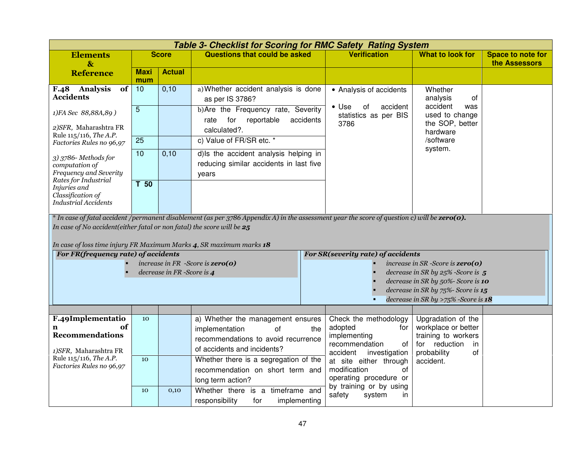|                                                                                                                                                                                                                                                                                                        |                    |                           | <b>Table 3- Checklist for Scoring for RMC Safety Rating System</b>                         |                                      |                                                                  |                                                                            |                                    |  |
|--------------------------------------------------------------------------------------------------------------------------------------------------------------------------------------------------------------------------------------------------------------------------------------------------------|--------------------|---------------------------|--------------------------------------------------------------------------------------------|--------------------------------------|------------------------------------------------------------------|----------------------------------------------------------------------------|------------------------------------|--|
| <b>Elements</b><br>$\mathbf{\&}$                                                                                                                                                                                                                                                                       |                    | <b>Score</b>              | <b>Questions that could be asked</b>                                                       |                                      | <b>Verification</b>                                              | What to look for                                                           | Space to note for<br>the Assessors |  |
| <b>Reference</b>                                                                                                                                                                                                                                                                                       | <b>Maxi</b><br>mum | <b>Actual</b>             |                                                                                            |                                      |                                                                  |                                                                            |                                    |  |
| F.48 Analysis<br>of<br><b>Accidents</b>                                                                                                                                                                                                                                                                | 10                 | 0,10                      | a) Whether accident analysis is done<br>as per IS 3786?                                    |                                      | • Analysis of accidents                                          | Whether<br>of<br>analysis                                                  |                                    |  |
| 1)FA Sec 88,88A,89)                                                                                                                                                                                                                                                                                    | $\overline{5}$     |                           | b) Are the Frequency rate, Severity<br>reportable<br>for<br>rate                           | accidents                            | $\bullet$ Use<br>accident<br>0f<br>statistics as per BIS<br>3786 | accident<br>was<br>used to change<br>the SOP, better                       |                                    |  |
| 2) SFR, Maharashtra FR<br>Rule 115/116, The A.P.                                                                                                                                                                                                                                                       |                    |                           | calculated?.                                                                               |                                      |                                                                  | hardware                                                                   |                                    |  |
| Factories Rules no 96,97                                                                                                                                                                                                                                                                               | 25                 |                           | c) Value of FR/SR etc. *                                                                   |                                      |                                                                  | /software                                                                  |                                    |  |
| 3) 3786- Methods for<br>computation of<br>Frequency and Severity<br>Rates for Industrial                                                                                                                                                                                                               | 10                 | 0,10                      | d) Is the accident analysis helping in<br>reducing similar accidents in last five<br>years |                                      |                                                                  | system.                                                                    |                                    |  |
| Injuries and<br>Classification of<br><b>Industrial Accidents</b>                                                                                                                                                                                                                                       | T <sub>50</sub>    |                           |                                                                                            |                                      |                                                                  |                                                                            |                                    |  |
| * In case of fatal accident /permanent disablement (as per 3786 Appendix A) in the assessment year the score of question c) will be <b>zero(0).</b><br>In case of No accident(either fatal or non fatal) the score will be $25$<br>In case of loss time injury FR Maximum Marks 4, SR maximum marks 18 |                    |                           |                                                                                            |                                      |                                                                  |                                                                            |                                    |  |
| For FR(frequency rate) of accidents                                                                                                                                                                                                                                                                    |                    |                           |                                                                                            |                                      | For SR(severity rate) of accidents                               |                                                                            |                                    |  |
|                                                                                                                                                                                                                                                                                                        |                    |                           | increase in FR -Score is $zero(o)$                                                         | increase in $SR$ -Score is $zero(o)$ |                                                                  |                                                                            |                                    |  |
|                                                                                                                                                                                                                                                                                                        |                    | decrease in FR-Score is 4 |                                                                                            |                                      |                                                                  | decrease in SR by $25\%$ -Score is 5<br>decrease in SR by 50%- Score is 10 |                                    |  |
|                                                                                                                                                                                                                                                                                                        |                    |                           |                                                                                            |                                      |                                                                  | decrease in SR by 75%- Score is 15                                         |                                    |  |
|                                                                                                                                                                                                                                                                                                        |                    |                           |                                                                                            |                                      |                                                                  | decrease in SR by >75% -Score is $18$                                      |                                    |  |
|                                                                                                                                                                                                                                                                                                        |                    |                           |                                                                                            |                                      |                                                                  |                                                                            |                                    |  |
| F.49Implementatio<br>оf                                                                                                                                                                                                                                                                                | 10                 |                           | a) Whether the management ensures                                                          |                                      | Check the methodology                                            | Upgradation of the                                                         |                                    |  |
| <b>Recommendations</b>                                                                                                                                                                                                                                                                                 |                    |                           | implementation<br>0f                                                                       | the                                  | adopted<br>for<br>implementing                                   | workplace or better<br>training to workers                                 |                                    |  |
|                                                                                                                                                                                                                                                                                                        |                    |                           | recommendations to avoid recurrence                                                        |                                      | recommendation<br>of                                             | for reduction<br>in                                                        |                                    |  |
| 1) SFR, Maharashtra FR<br>Rule 115/116, The A.P.                                                                                                                                                                                                                                                       | 10                 |                           | of accidents and incidents?                                                                |                                      | accident<br>investigation                                        | probability<br>0f                                                          |                                    |  |
| Factories Rules no 96,97                                                                                                                                                                                                                                                                               |                    |                           | Whether there is a segregation of the<br>recommendation on short term and                  |                                      | at site either through<br>modification<br>οf                     | accident.                                                                  |                                    |  |
|                                                                                                                                                                                                                                                                                                        |                    |                           | long term action?                                                                          |                                      | operating procedure or                                           |                                                                            |                                    |  |
|                                                                                                                                                                                                                                                                                                        | 10                 | 0,10                      | Whether there is a timeframe and                                                           |                                      | by training or by using                                          |                                                                            |                                    |  |
|                                                                                                                                                                                                                                                                                                        |                    |                           | responsibility<br>implementing<br>for                                                      |                                      | safety<br>system<br>in.                                          |                                                                            |                                    |  |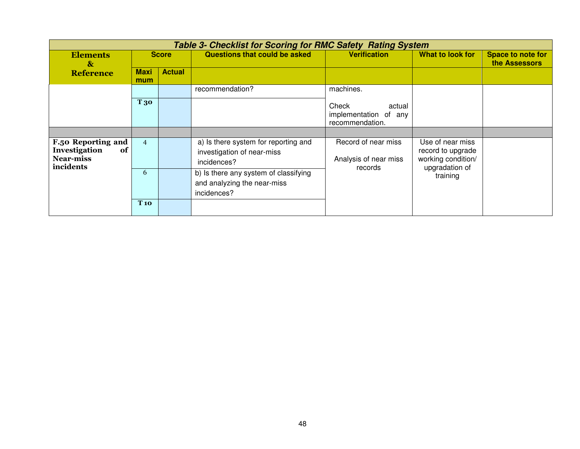|                                                                                   | <b>Table 3- Checklist for Scoring for RMC Safety Rating System</b> |               |                                                                                     |                                                             |                                                             |                                           |  |  |  |
|-----------------------------------------------------------------------------------|--------------------------------------------------------------------|---------------|-------------------------------------------------------------------------------------|-------------------------------------------------------------|-------------------------------------------------------------|-------------------------------------------|--|--|--|
| <b>Elements</b><br>$\boldsymbol{\&}$                                              |                                                                    | <b>Score</b>  | Questions that could be asked                                                       | <b>Verification</b>                                         | What to look for                                            | <b>Space to note for</b><br>the Assessors |  |  |  |
| <b>Reference</b>                                                                  | <b>Maxi</b><br>mum                                                 | <b>Actual</b> |                                                                                     |                                                             |                                                             |                                           |  |  |  |
|                                                                                   |                                                                    |               | recommendation?                                                                     | machines.                                                   |                                                             |                                           |  |  |  |
|                                                                                   | T 30                                                               |               |                                                                                     | Check<br>actual<br>implementation of any<br>recommendation. |                                                             |                                           |  |  |  |
|                                                                                   |                                                                    |               |                                                                                     |                                                             |                                                             |                                           |  |  |  |
| <b>F.50 Reporting and</b><br>Investigation<br>of<br><b>Near-miss</b><br>incidents | $\overline{4}$                                                     |               | a) Is there system for reporting and<br>investigation of near-miss<br>incidences?   | Record of near miss<br>Analysis of near miss                | Use of near miss<br>record to upgrade<br>working condition/ |                                           |  |  |  |
|                                                                                   | 6                                                                  |               | b) Is there any system of classifying<br>and analyzing the near-miss<br>incidences? | records                                                     | upgradation of<br>training                                  |                                           |  |  |  |
|                                                                                   | <b>T</b> 10                                                        |               |                                                                                     |                                                             |                                                             |                                           |  |  |  |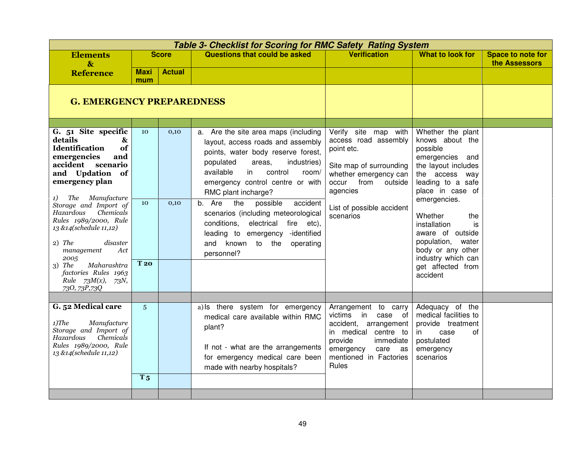|                                                                                                                                                                                                                                                                                                                                                                                                                                             |                        |               | <b>Table 3- Checklist for Scoring for RMC Safety Rating System</b>                                                                                                                                                                                                                                                                                                                                                                                                       |                                                                                                                                                                                               |                                                                                                                                                                                                                                                                                                                                    |                                           |
|---------------------------------------------------------------------------------------------------------------------------------------------------------------------------------------------------------------------------------------------------------------------------------------------------------------------------------------------------------------------------------------------------------------------------------------------|------------------------|---------------|--------------------------------------------------------------------------------------------------------------------------------------------------------------------------------------------------------------------------------------------------------------------------------------------------------------------------------------------------------------------------------------------------------------------------------------------------------------------------|-----------------------------------------------------------------------------------------------------------------------------------------------------------------------------------------------|------------------------------------------------------------------------------------------------------------------------------------------------------------------------------------------------------------------------------------------------------------------------------------------------------------------------------------|-------------------------------------------|
| <b>Elements</b><br>$\mathbf{g}$                                                                                                                                                                                                                                                                                                                                                                                                             |                        | <b>Score</b>  | <b>Questions that could be asked</b>                                                                                                                                                                                                                                                                                                                                                                                                                                     | <b>Verification</b>                                                                                                                                                                           | <b>What to look for</b>                                                                                                                                                                                                                                                                                                            | <b>Space to note for</b><br>the Assessors |
| <b>Reference</b>                                                                                                                                                                                                                                                                                                                                                                                                                            | Maxi<br>mum            | <b>Actual</b> |                                                                                                                                                                                                                                                                                                                                                                                                                                                                          |                                                                                                                                                                                               |                                                                                                                                                                                                                                                                                                                                    |                                           |
| <b>G. EMERGENCY PREPAREDNESS</b>                                                                                                                                                                                                                                                                                                                                                                                                            |                        |               |                                                                                                                                                                                                                                                                                                                                                                                                                                                                          |                                                                                                                                                                                               |                                                                                                                                                                                                                                                                                                                                    |                                           |
| G. 51 Site specific<br>details<br>&<br><b>Identification</b><br>of<br>emergencies<br>and<br>accident<br>scenario<br>and Updation of<br>emergency plan<br>Manufacture<br>The<br>1)<br>Storage and Import of<br>Hazardous<br>Chemicals<br>Rules 1989/2000, Rule<br>13 &14(schedule 11,12)<br>$2)$ The<br>disaster<br>management<br>Act<br>2005<br>Maharashtra<br>$3)$ The<br>factories Rules 1963<br>Rule $73M(x)$ , $73N$ ,<br>730, 73P, 73Q | 10<br>10<br><b>T20</b> | 0,10<br>0,10  | a. Are the site area maps (including<br>layout, access roads and assembly<br>points, water body reserve forest,<br>populated<br>areas,<br>industries)<br>available<br>in<br>control<br>room/<br>emergency control centre or with<br>RMC plant incharge?<br>b. Are<br>the<br>accident<br>possible<br>scenarios (including meteorological<br>conditions,<br>electrical<br>fire etc),<br>leading to emergency -identified<br>known to the<br>operating<br>and<br>personnel? | Verify site map with<br>access road assembly<br>point etc.<br>Site map of surrounding<br>whether emergency can<br>occur from<br>outside<br>agencies<br>List of possible accident<br>scenarios | Whether the plant<br>knows about the<br>possible<br>emergencies and<br>the layout includes<br>the access way<br>leading to a safe<br>place in case of<br>emergencies.<br>Whether<br>the<br>installation<br>is<br>aware of outside<br>population, water<br>body or any other<br>industry which can<br>get affected from<br>accident |                                           |
|                                                                                                                                                                                                                                                                                                                                                                                                                                             |                        |               |                                                                                                                                                                                                                                                                                                                                                                                                                                                                          |                                                                                                                                                                                               |                                                                                                                                                                                                                                                                                                                                    |                                           |
| G. 52 Medical care<br>$1)$ The<br>Manufacture<br>Storage and Import of<br>Chemicals<br>Hazardous<br>Rules 1989/2000, Rule<br>13 &14(schedule 11,12)                                                                                                                                                                                                                                                                                         | 5 <sup>5</sup>         |               | a) Is there system for emergency<br>medical care available within RMC<br>plant?<br>If not - what are the arrangements<br>for emergency medical care been<br>made with nearby hospitals?                                                                                                                                                                                                                                                                                  | Arrangement to carry<br>victims in<br>case of<br>accident, arrangement<br>in medical centre to<br>provide<br>immediate<br>emergency<br>care as<br>mentioned in Factories<br>Rules             | Adequacy of the<br>medical facilities to<br>provide treatment<br>case<br>in<br>οf<br>postulated<br>emergency<br>scenarios                                                                                                                                                                                                          |                                           |
|                                                                                                                                                                                                                                                                                                                                                                                                                                             | T <sub>5</sub>         |               |                                                                                                                                                                                                                                                                                                                                                                                                                                                                          |                                                                                                                                                                                               |                                                                                                                                                                                                                                                                                                                                    |                                           |
|                                                                                                                                                                                                                                                                                                                                                                                                                                             |                        |               |                                                                                                                                                                                                                                                                                                                                                                                                                                                                          |                                                                                                                                                                                               |                                                                                                                                                                                                                                                                                                                                    |                                           |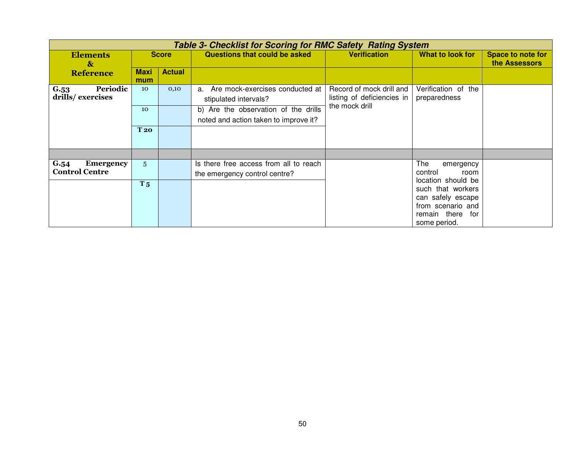|                                                   |                                                                                                                                        |                                     | <b>Table 3- Checklist for Scoring for RMC Safety Rating System</b>            |                     |                                                                                                                                             |                                           |
|---------------------------------------------------|----------------------------------------------------------------------------------------------------------------------------------------|-------------------------------------|-------------------------------------------------------------------------------|---------------------|---------------------------------------------------------------------------------------------------------------------------------------------|-------------------------------------------|
| <b>Elements</b><br>$\mathbf{\&}$                  | <b>Score</b>                                                                                                                           |                                     | Questions that could be asked                                                 | <b>Verification</b> | What to look for                                                                                                                            | <b>Space to note for</b><br>the Assessors |
| <b>Reference</b>                                  | <b>Maxi</b><br>mum                                                                                                                     | <b>Actual</b>                       |                                                                               |                     |                                                                                                                                             |                                           |
| Periodic<br>G.53<br>drills/exercises              | Are mock-exercises conducted at<br>Record of mock drill and<br>0,10<br>10<br>a.<br>listing of deficiencies in<br>stipulated intervals? | Verification of the<br>preparedness |                                                                               |                     |                                                                                                                                             |                                           |
|                                                   | 10                                                                                                                                     |                                     | b) Are the observation of the drills<br>noted and action taken to improve it? | the mock drill      |                                                                                                                                             |                                           |
|                                                   | <b>T20</b>                                                                                                                             |                                     |                                                                               |                     |                                                                                                                                             |                                           |
|                                                   |                                                                                                                                        |                                     |                                                                               |                     |                                                                                                                                             |                                           |
| G.54<br><b>Emergency</b><br><b>Control Centre</b> | 5 <sup>5</sup>                                                                                                                         |                                     | Is there free access from all to reach                                        |                     | The<br>emergency                                                                                                                            |                                           |
|                                                   |                                                                                                                                        |                                     | the emergency control centre?                                                 |                     | control<br>room<br>location should be<br>such that workers<br>can safely escape<br>from scenario and<br>remain there<br>for<br>some period. |                                           |
|                                                   | <b>T</b> <sub>5</sub>                                                                                                                  |                                     |                                                                               |                     |                                                                                                                                             |                                           |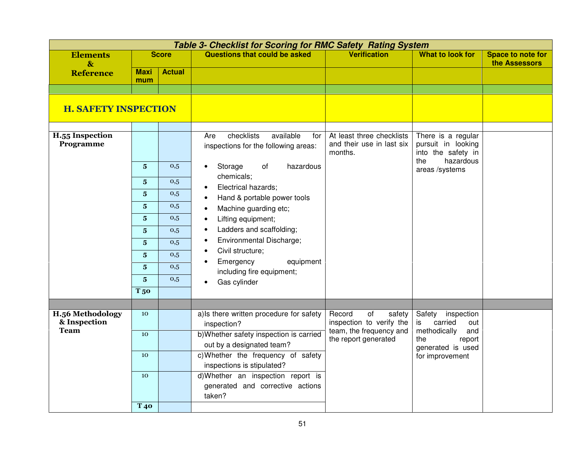|                                  |                         |               | <b>Table 3- Checklist for Scoring for RMC Safety Rating System</b>              |                                                                   |                                                                |                                           |
|----------------------------------|-------------------------|---------------|---------------------------------------------------------------------------------|-------------------------------------------------------------------|----------------------------------------------------------------|-------------------------------------------|
| <b>Elements</b><br>$\mathbf{\&}$ |                         | <b>Score</b>  | Questions that could be asked                                                   | <b>Verification</b>                                               | What to look for                                               | <b>Space to note for</b><br>the Assessors |
| <b>Reference</b>                 | <b>Maxi</b><br>mum      | <b>Actual</b> |                                                                                 |                                                                   |                                                                |                                           |
|                                  |                         |               |                                                                                 |                                                                   |                                                                |                                           |
| <b>H. SAFETY INSPECTION</b>      |                         |               |                                                                                 |                                                                   |                                                                |                                           |
| H.55 Inspection<br>Programme     |                         |               | checklists<br>available<br>Are<br>for<br>inspections for the following areas:   | At least three checklists<br>and their use in last six<br>months. | There is a regular<br>pursuit in looking<br>into the safety in |                                           |
|                                  | $\overline{\mathbf{5}}$ | 0,5           | Storage<br>of<br>hazardous<br>$\bullet$                                         |                                                                   | hazardous<br>the<br>areas /systems                             |                                           |
|                                  | $\overline{\mathbf{5}}$ | 0,5           | chemicals;<br>Electrical hazards;                                               |                                                                   |                                                                |                                           |
|                                  | $\overline{\mathbf{5}}$ | 0,5           | Hand & portable power tools<br>$\bullet$                                        |                                                                   |                                                                |                                           |
|                                  | $\overline{\mathbf{5}}$ | 0,5           | Machine guarding etc;                                                           |                                                                   |                                                                |                                           |
|                                  | $\overline{\mathbf{5}}$ | 0,5           | Lifting equipment;<br>$\bullet$                                                 |                                                                   |                                                                |                                           |
|                                  | $\overline{\mathbf{5}}$ | 0,5           | Ladders and scaffolding;<br>$\bullet$                                           |                                                                   |                                                                |                                           |
|                                  | $\overline{\mathbf{5}}$ | 0,5           | Environmental Discharge;<br>$\bullet$                                           |                                                                   |                                                                |                                           |
|                                  | $\overline{\mathbf{5}}$ | 0,5           | Civil structure;<br>$\bullet$<br>Emergency<br>equipment                         |                                                                   |                                                                |                                           |
|                                  | $\overline{\mathbf{5}}$ | 0,5           | including fire equipment;                                                       |                                                                   |                                                                |                                           |
|                                  | $\overline{\mathbf{5}}$ | 0,5           | Gas cylinder                                                                    |                                                                   |                                                                |                                           |
|                                  | <b>T</b> <sub>50</sub>  |               |                                                                                 |                                                                   |                                                                |                                           |
|                                  |                         |               |                                                                                 |                                                                   |                                                                |                                           |
| H.56 Methodology<br>& Inspection | 10                      |               | a) Is there written procedure for safety<br>inspection?                         | Record<br>of<br>safety<br>inspection to verify the                | Safety<br>inspection<br>is<br>carried<br>out                   |                                           |
| <b>Team</b>                      | 10                      |               | b) Whether safety inspection is carried<br>out by a designated team?            | team, the frequency and<br>the report generated                   | methodically<br>and<br>the<br>report<br>generated is used      |                                           |
|                                  | 10                      |               | c) Whether the frequency of safety<br>inspections is stipulated?                |                                                                   | for improvement                                                |                                           |
|                                  | 10                      |               | d)Whether an inspection report is<br>generated and corrective actions<br>taken? |                                                                   |                                                                |                                           |
|                                  | T <sub>40</sub>         |               |                                                                                 |                                                                   |                                                                |                                           |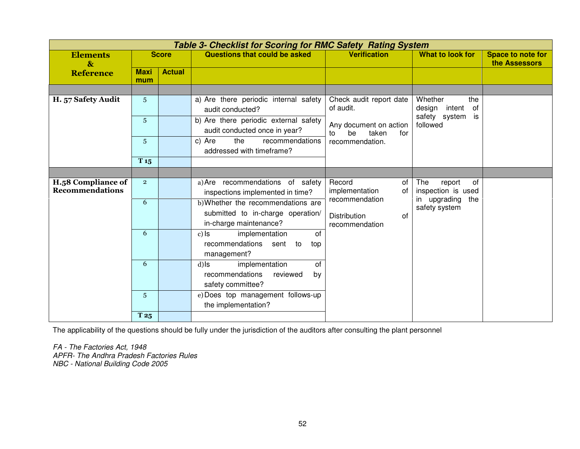|                                              |                    |               | Table 3- Checklist for Scoring for RMC Safety Rating System                               |                                                    |                                           |                                           |
|----------------------------------------------|--------------------|---------------|-------------------------------------------------------------------------------------------|----------------------------------------------------|-------------------------------------------|-------------------------------------------|
| <b>Elements</b><br>$\mathbf{\&}$             |                    | <b>Score</b>  | Questions that could be asked                                                             | <b>Verification</b>                                | What to look for                          | <b>Space to note for</b><br>the Assessors |
| <b>Reference</b>                             | <b>Maxi</b><br>mum | <b>Actual</b> |                                                                                           |                                                    |                                           |                                           |
|                                              |                    |               |                                                                                           |                                                    |                                           |                                           |
| H. 57 Safety Audit                           | 5 <sup>5</sup>     |               | a) Are there periodic internal safety<br>audit conducted?                                 | Check audit report date<br>of audit.               | Whether<br>the<br>of<br>design<br>intent  |                                           |
|                                              | 5 <sup>5</sup>     |               | b) Are there periodic external safety<br>audit conducted once in year?                    | Any document on action<br>be<br>taken<br>for<br>to | safety system<br>is<br>followed           |                                           |
|                                              | $5\phantom{.}$     |               | the<br>recommendations<br>c) Are<br>addressed with timeframe?                             | recommendation.                                    |                                           |                                           |
|                                              | T <sub>15</sub>    |               |                                                                                           |                                                    |                                           |                                           |
|                                              |                    |               |                                                                                           |                                                    |                                           |                                           |
| H.58 Compliance of<br><b>Recommendations</b> | $\overline{2}$     |               | a) Are recommendations of safety<br>inspections implemented in time?                      | Record<br>of<br>implementation<br>of               | The<br>report<br>0f<br>inspection is used |                                           |
|                                              | 6                  |               | b) Whether the recommendations are                                                        | recommendation                                     | in upgrading<br>the<br>safety system      |                                           |
|                                              |                    |               | submitted to in-charge operation/<br>in-charge maintenance?                               | <b>Distribution</b><br>0f<br>recommendation        |                                           |                                           |
|                                              | 6                  |               | implementation<br>of<br>$c)$ ls<br>recommendations<br>sent<br>to<br>top<br>management?    |                                                    |                                           |                                           |
|                                              | 6                  |               | implementation<br>of<br>$d)$ ls<br>recommendations<br>reviewed<br>by<br>safety committee? |                                                    |                                           |                                           |
|                                              | 5 <sup>5</sup>     |               | e) Does top management follows-up<br>the implementation?                                  |                                                    |                                           |                                           |
|                                              | T 25               |               |                                                                                           |                                                    |                                           |                                           |

The applicability of the questions should be fully under the jurisdiction of the auditors after consulting the plant personnel

FA - The Factories Act, 1948 APFR- The Andhra Pradesh Factories Rules NBC - National Building Code 2005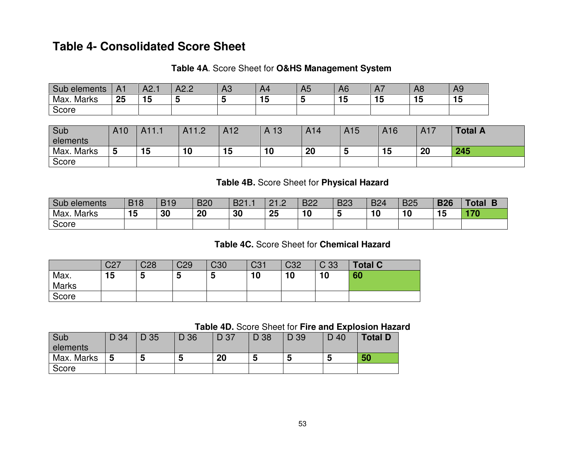# **Table 4- Consolidated Score Sheet**

#### **Table 4A**. Score Sheet for **O&HS Management System**

| Sub<br>elements      | A <sub>1</sub> | A2.       | A2.2 | ΔΩ<br>ΠU. | A4  | $\mathbf{u}$<br>nJ | A <sub>6</sub> | -<br>$\Gamma$ | $\Lambda$ r<br>Αŏ | A <sub>9</sub> |
|----------------------|----------------|-----------|------|-----------|-----|--------------------|----------------|---------------|-------------------|----------------|
| . .<br>Max.<br>Marks | 25             | 15<br>. . |      |           | 1 J |                    | . .<br>        | 15            | <br>              | . .<br>        |
| Score                |                |           |      |           |     |                    |                |               |                   |                |

| Sub        | A10 |    | AA12 | A12 | A 13 | A14 | A15    | A16 | A <sub>17</sub> | <b>Total A</b> |
|------------|-----|----|------|-----|------|-----|--------|-----|-----------------|----------------|
| elements   |     |    |      |     |      |     |        |     |                 |                |
| Max. Marks | ა   | 15 | 10   | 15  | 10   | 20  | $\sim$ | טו  | 20              | 245            |
| Score      |     |    |      |     |      |     |        |     |                 |                |

#### **Table 4B.** Score Sheet for **Physical Hazard**

| Sub<br>elements      | <b>B18</b> | <b>B19</b> | <b>B20</b> | DA<br>DZ I.I | $\Omega$<br>C<br>_ _<br>-- | <b>B22</b> | <b>B23</b> | <b>B24</b> | <b>B25</b> | <b>B26</b> | Total<br>∎ |
|----------------------|------------|------------|------------|--------------|----------------------------|------------|------------|------------|------------|------------|------------|
| <b>Marks</b><br>Max. | 15         | 30         | 20         | 30           | 25                         | 10         |            | יי         | 10         | 15         | 170        |
| ⌒<br>Score           |            |            |            |              |                            |            |            |            |            |            |            |

### **Table 4C.** Score Sheet for **Chemical Hazard**

|                      | C27 | C <sub>28</sub> | C <sub>29</sub> | C <sub>30</sub> | C <sub>31</sub> | C <sub>32</sub> | C 33 | <b>Total C</b> |
|----------------------|-----|-----------------|-----------------|-----------------|-----------------|-----------------|------|----------------|
| Max.<br><b>Marks</b> | 15  | <br>w           | ა               | -<br>w          | 10              | 10              | 10   | 60             |
| Score                |     |                 |                 |                 |                 |                 |      |                |

### **Table 4D.** Score Sheet for **Fire and Explosion Hazard**

| Sub        | D 34 | D 35 | D 36 | D 37 | D 38 | D 39 | D 40 | <b>Total D</b> |
|------------|------|------|------|------|------|------|------|----------------|
| elements   |      |      |      |      |      |      |      |                |
| Max. Marks | b    | J    | Э    | 20   | 5    |      | b    | 50             |
| Score      |      |      |      |      |      |      |      |                |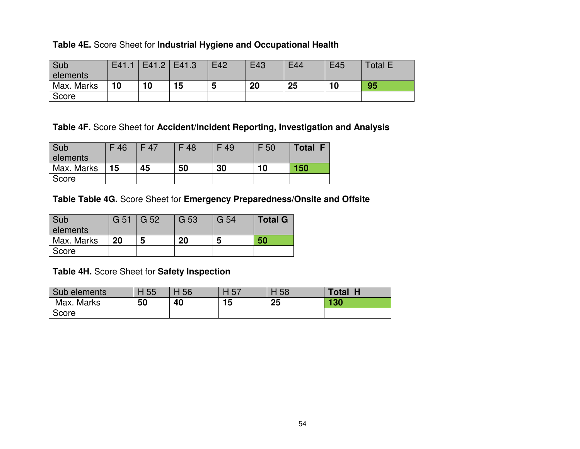#### **Table 4E.** Score Sheet for **Industrial Hygiene and Occupational Health**

| Sub        | E41.1 | $E41.2$   E41.3 |    | E42 | E43 | E44 | E45 | <b>Total E</b> |
|------------|-------|-----------------|----|-----|-----|-----|-----|----------------|
| elements   |       |                 |    |     |     |     |     |                |
| Max. Marks | 10    | 10              | 15 |     | 20  | 25  | 10  | 95             |
| Score      |       |                 |    |     |     |     |     |                |

# **Table 4F.** Score Sheet for **Accident/Incident Reporting, Investigation and Analysis**

| Sub        | F46 | F 47 | F 48 | F 49 | F 50 | <b>Total F</b> |
|------------|-----|------|------|------|------|----------------|
| elements   |     |      |      |      |      |                |
| Max. Marks | 15  | 45   | 50   | 30   | 10   | 150            |
| Score      |     |      |      |      |      |                |

### **Table Table 4G.** Score Sheet for **Emergency Preparedness/Onsite and Offsite**

| <b>Sub</b> | $G$ 51 $G$ 52 |   | G 53 | G 54 | <b>Total G</b> |
|------------|---------------|---|------|------|----------------|
| elements   |               |   |      |      |                |
| Max. Marks | 20            | 5 | 20   | 5    | 50             |
| Score      |               |   |      |      |                |

### **Table 4H.** Score Sheet for **Safety Inspection**

| Sub elements | H 55 | 56 | 57 | H 58 | <b>Total</b> |
|--------------|------|----|----|------|--------------|
| Max. Marks   | 50   | 40 | 15 | 25   | 130          |
| Score        |      |    |    |      |              |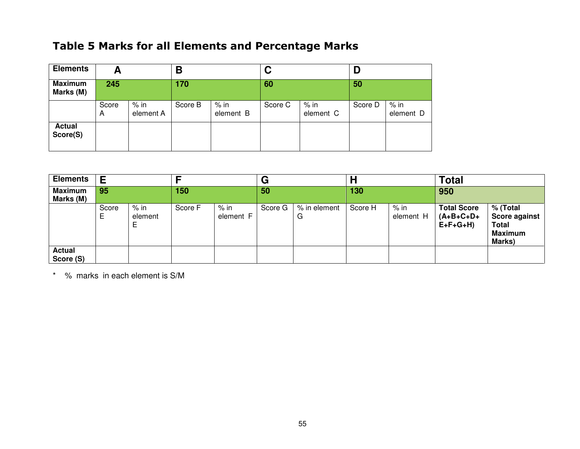# Table 5 Marks for all Elements and Percentage Marks

| <b>Elements</b>             | А          |                     | Β       |                     | C       |                     |         |                     |
|-----------------------------|------------|---------------------|---------|---------------------|---------|---------------------|---------|---------------------|
| <b>Maximum</b><br>Marks (M) | 245        |                     | 170     |                     | 60      |                     | 50      |                     |
|                             | Score<br>A | $%$ in<br>element A | Score B | $%$ in<br>element B | Score C | $%$ in<br>element C | Score D | $%$ in<br>element D |
| <b>Actual</b><br>Score(S)   |            |                     |         |                     |         |                     |         |                     |

| <b>Elements</b>             | Ε          |                      |         |                   | G       |                   |         |                     | <b>Total</b>                                   |                                                                       |
|-----------------------------|------------|----------------------|---------|-------------------|---------|-------------------|---------|---------------------|------------------------------------------------|-----------------------------------------------------------------------|
| <b>Maximum</b><br>Marks (M) | 95         |                      | 150     |                   | 50      |                   | 130     |                     | 950                                            |                                                                       |
|                             | Score<br>Е | % in<br>element<br>Е | Score F | % in<br>element F | Score G | % in element<br>G | Score H | $%$ in<br>element H | <b>Total Score</b><br>$(A+B+C+D+$<br>$E+F+G+H$ | % (Total<br><b>Score against</b><br>Total<br><b>Maximum</b><br>Marks) |
| Actual<br>Score (S)         |            |                      |         |                   |         |                   |         |                     |                                                |                                                                       |

\* % marks in each element is S/M